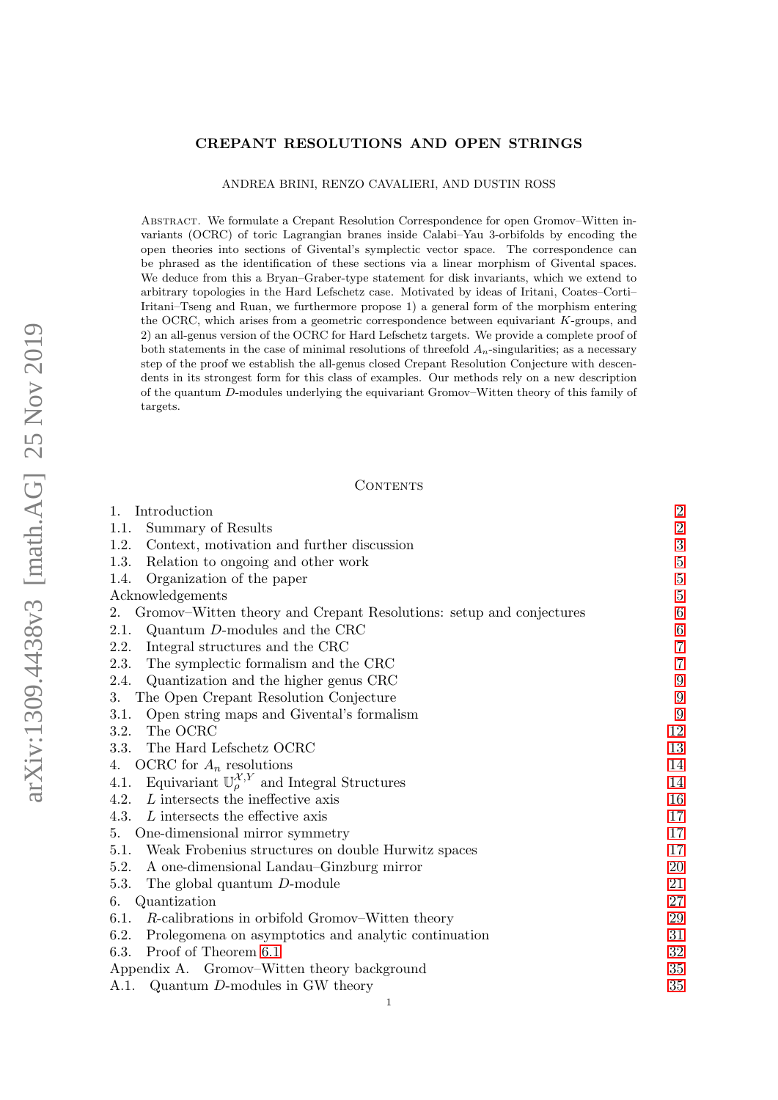#### CREPANT RESOLUTIONS AND OPEN STRINGS

# ANDREA BRINI, RENZO CAVALIERI, AND DUSTIN ROSS

Abstract. We formulate a Crepant Resolution Correspondence for open Gromov–Witten invariants (OCRC) of toric Lagrangian branes inside Calabi–Yau 3-orbifolds by encoding the open theories into sections of Givental's symplectic vector space. The correspondence can be phrased as the identification of these sections via a linear morphism of Givental spaces. We deduce from this a Bryan–Graber-type statement for disk invariants, which we extend to arbitrary topologies in the Hard Lefschetz case. Motivated by ideas of Iritani, Coates–Corti– Iritani–Tseng and Ruan, we furthermore propose 1) a general form of the morphism entering the OCRC, which arises from a geometric correspondence between equivariant  $K$ -groups, and 2) an all-genus version of the OCRC for Hard Lefschetz targets. We provide a complete proof of both statements in the case of minimal resolutions of threefold  $A_n$ -singularities; as a necessary step of the proof we establish the all-genus closed Crepant Resolution Conjecture with descendents in its strongest form for this class of examples. Our methods rely on a new description of the quantum D-modules underlying the equivariant Gromov–Witten theory of this family of targets.

#### CONTENTS

| Introduction<br>$\mathbf{1}$ .                                                  | $\boldsymbol{2}$ |
|---------------------------------------------------------------------------------|------------------|
| Summary of Results<br>1.1.                                                      | $\sqrt{2}$       |
| 1.2.<br>Context, motivation and further discussion                              | 3                |
| Relation to ongoing and other work<br>1.3.                                      | $\bf 5$          |
| Organization of the paper<br>1.4.                                               | $\overline{5}$   |
| Acknowledgements                                                                | $\overline{5}$   |
| Gromov–Witten theory and Crepant Resolutions: setup and conjectures<br>2.       | $\,6$            |
| Quantum $D$ -modules and the CRC<br>2.1.                                        | $\,6\,$          |
| Integral structures and the CRC<br>2.2.                                         | $\sqrt{ }$       |
| The symplectic formalism and the CRC<br>2.3.                                    | $\overline{7}$   |
| Quantization and the higher genus CRC<br>2.4.                                   | $\overline{9}$   |
| The Open Crepant Resolution Conjecture<br>3.                                    | $\boldsymbol{9}$ |
| Open string maps and Givental's formalism<br>3.1.                               | $\boldsymbol{9}$ |
| The OCRC<br>3.2.                                                                | 12               |
| The Hard Lefschetz OCRC<br>3.3.                                                 | 13               |
| OCRC for $A_n$ resolutions<br>4.                                                | 14               |
| Equivariant $\mathbb{U}_{\rho}^{\mathcal{X},Y}$ and Integral Structures<br>4.1. | 14               |
| L intersects the ineffective axis<br>4.2.                                       | 16               |
| L intersects the effective axis<br>4.3.                                         | 17               |
| One-dimensional mirror symmetry<br>5.                                           | 17               |
| 5.1. Weak Frobenius structures on double Hurwitz spaces                         | 17               |
| 5.2.<br>A one-dimensional Landau–Ginzburg mirror                                | 20               |
| The global quantum D-module<br>5.3.                                             | 21               |
| Quantization<br>6.                                                              | 27               |
| R-calibrations in orbifold Gromov–Witten theory<br>6.1.                         | 29               |
| 6.2.<br>Prolegomena on asymptotics and analytic continuation                    | 31               |
| Proof of Theorem 6.1<br>6.3.                                                    | 32               |
| Appendix A. Gromov–Witten theory background                                     | 35               |
| A.1. Quantum D-modules in GW theory                                             | 35               |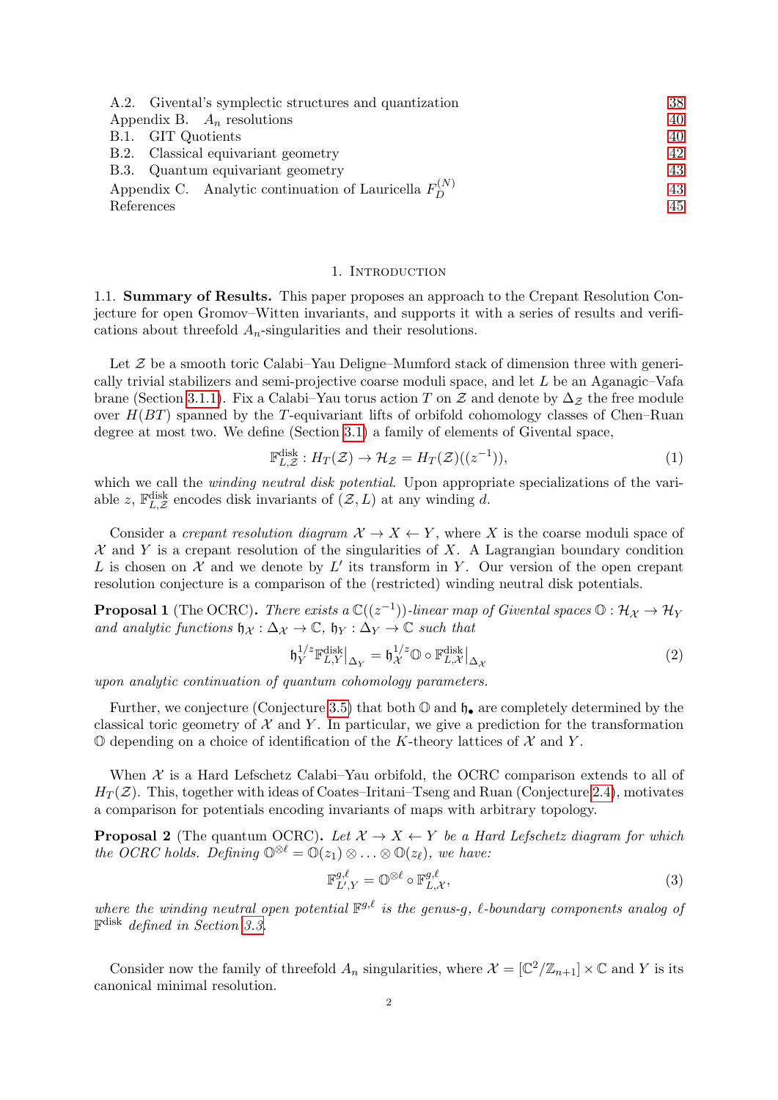| A.2. Givental's symplectic structures and quantization      | 38 |
|-------------------------------------------------------------|----|
| Appendix B. $A_n$ resolutions                               | 40 |
| B.1. GIT Quotients                                          | 40 |
| B.2. Classical equivariant geometry                         | 42 |
| B.3. Quantum equivariant geometry                           | 43 |
| Appendix C. Analytic continuation of Lauricella $F_n^{(N)}$ | 43 |
| References                                                  | 45 |

#### 1. INTRODUCTION

<span id="page-1-1"></span><span id="page-1-0"></span>1.1. Summary of Results. This paper proposes an approach to the Crepant Resolution Conjecture for open Gromov–Witten invariants, and supports it with a series of results and verifications about threefold  $A_n$ -singularities and their resolutions.

Let  $\mathcal Z$  be a smooth toric Calabi–Yau Deligne–Mumford stack of dimension three with generically trivial stabilizers and semi-projective coarse moduli space, and let L be an Aganagic–Vafa brane (Section [3.1.1\)](#page-8-3). Fix a Calabi–Yau torus action T on Z and denote by  $\Delta_{\mathcal{Z}}$  the free module over  $H(BT)$  spanned by the T-equivariant lifts of orbifold cohomology classes of Chen–Ruan degree at most two. We define (Section [3.1\)](#page-8-2) a family of elements of Givental space,

$$
\mathbb{F}_{L,\mathcal{Z}}^{\text{disk}}: H_T(\mathcal{Z}) \to \mathcal{H}_{\mathcal{Z}} = H_T(\mathcal{Z})((z^{-1})),\tag{1}
$$

which we call the *winding neutral disk potential*. Upon appropriate specializations of the variable z,  $\mathbb{F}_{L,\mathcal{Z}}^{\text{disk}}$  encodes disk invariants of  $(\mathcal{Z}, L)$  at any winding d.

Consider a crepant resolution diagram  $X \to X \leftarrow Y$ , where X is the coarse moduli space of  $X$  and Y is a crepant resolution of the singularities of X. A Lagrangian boundary condition L is chosen on  $X$  and we denote by  $L'$  its transform in Y. Our version of the open crepant resolution conjecture is a comparison of the (restricted) winding neutral disk potentials.

**Proposal 1** (The OCRC). There exists a  $\mathbb{C}((z^{-1}))$ -linear map of Givental spaces  $\mathbb{O} : \mathcal{H}_{\mathcal{X}} \to \mathcal{H}_{Y}$ and analytic functions  $\mathfrak{h}_{\mathcal{X}} : \Delta_{\mathcal{X}} \to \mathbb{C}$ ,  $\mathfrak{h}_Y : \Delta_Y \to \mathbb{C}$  such that

$$
\mathfrak{h}_Y^{1/z} \mathbb{F}_{L,Y}^{\text{disk}}|_{\Delta_Y} = \mathfrak{h}_\mathcal{X}^{1/z} \mathbb{O} \circ \mathbb{F}_{L,\mathcal{X}}^{\text{disk}}|_{\Delta_\mathcal{X}} \tag{2}
$$

upon analytic continuation of quantum cohomology parameters.

Further, we conjecture (Conjecture [3.5\)](#page-10-0) that both  $\mathbb{O}$  and  $\mathfrak{h}_{\bullet}$  are completely determined by the classical toric geometry of  $\mathcal X$  and Y. In particular, we give a prediction for the transformation  $\mathbb O$  depending on a choice of identification of the K-theory lattices of  $\mathcal X$  and Y.

When  $\mathcal X$  is a Hard Lefschetz Calabi–Yau orbifold, the OCRC comparison extends to all of  $H_T(\mathcal{Z})$ . This, together with ideas of Coates–Iritani–Tseng and Ruan (Conjecture [2.4\)](#page-8-4), motivates a comparison for potentials encoding invariants of maps with arbitrary topology.

**Proposal 2** (The quantum OCRC). Let  $X \to X \leftarrow Y$  be a Hard Lefschetz diagram for which the OCRC holds. Defining  $\mathbb{O}^{\otimes \ell} = \mathbb{O}(z_1) \otimes \ldots \otimes \mathbb{O}(z_\ell)$ , we have:

$$
\mathbb{F}_{L',Y}^{g,\ell} = \mathbb{O}^{\otimes \ell} \circ \mathbb{F}_{L,\mathcal{X}}^{g,\ell},\tag{3}
$$

where the winding neutral open potential  $\mathbb{F}^{g,\ell}$  is the genus-g,  $\ell$ -boundary components analog of F disk defined in Section [3.3.](#page-12-0)

Consider now the family of threefold  $A_n$  singularities, where  $\mathcal{X} = [\mathbb{C}^2/\mathbb{Z}_{n+1}] \times \mathbb{C}$  and Y is its canonical minimal resolution.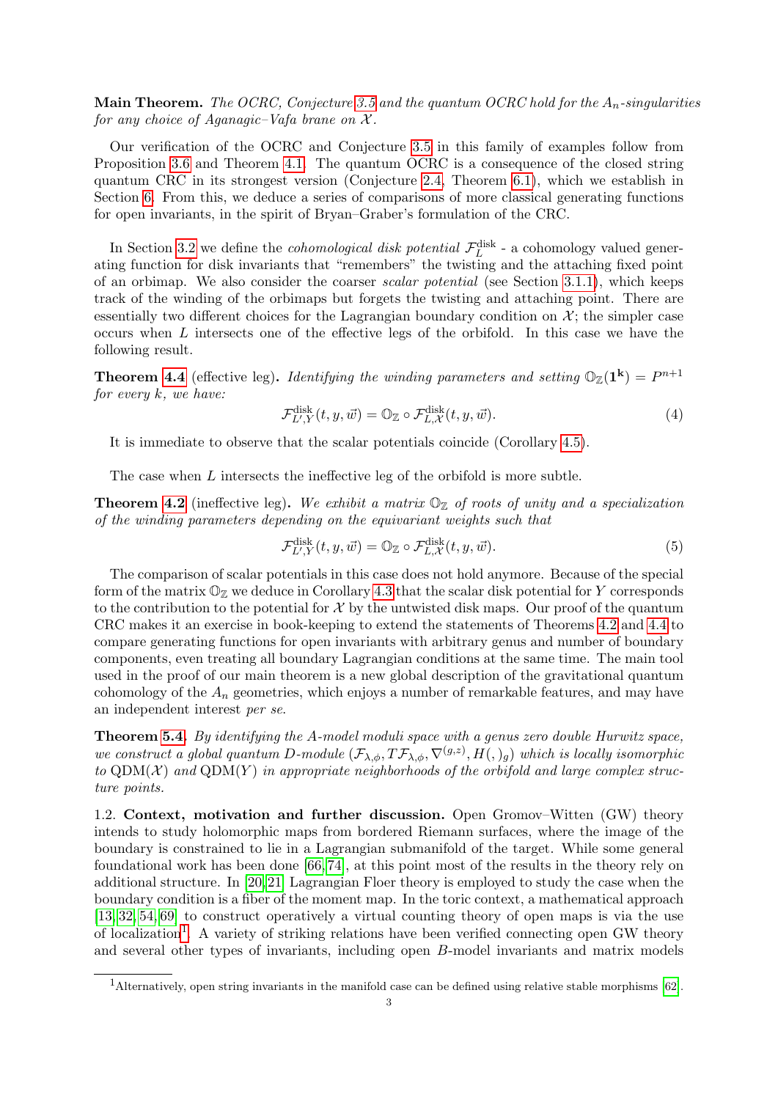**Main Theorem.** The OCRC, Conjecture [3.5](#page-10-0) and the quantum OCRC hold for the  $A_n$ -singularities for any choice of Aganagic–Vafa brane on  $\mathcal{X}$ .

Our verification of the OCRC and Conjecture [3.5](#page-10-0) in this family of examples follow from Proposition [3.6](#page-11-1) and Theorem [4.1.](#page-13-2) The quantum OCRC is a consequence of the closed string quantum CRC in its strongest version (Conjecture [2.4,](#page-8-4) Theorem [6.1\)](#page-26-1), which we establish in Section [6.](#page-26-0) From this, we deduce a series of comparisons of more classical generating functions for open invariants, in the spirit of Bryan–Graber's formulation of the CRC.

In Section [3.2](#page-11-0) we define the *cohomological disk potential*  $\mathcal{F}_L^{\text{disk}}$  - a cohomology valued generating function for disk invariants that "remembers" the twisting and the attaching fixed point of an orbimap. We also consider the coarser *scalar potential* (see Section [3.1.1\)](#page-8-3), which keeps track of the winding of the orbimaps but forgets the twisting and attaching point. There are essentially two different choices for the Lagrangian boundary condition on  $\mathcal{X}$ ; the simpler case occurs when L intersects one of the effective legs of the orbifold. In this case we have the following result.

**Theorem [4.4](#page-16-3)** (effective leg). Identifying the winding parameters and setting  $\mathbb{O}_{\mathbb{Z}}(1^k) = P^{n+1}$ for every  $k$ , we have:

$$
\mathcal{F}_{L',Y}^{\text{disk}}(t,y,\vec{w}) = \mathbb{O}_{\mathbb{Z}} \circ \mathcal{F}_{L,\mathcal{X}}^{\text{disk}}(t,y,\vec{w}). \tag{4}
$$

It is immediate to observe that the scalar potentials coincide (Corollary [4.5\)](#page-16-4).

The case when L intersects the ineffective leg of the orbifold is more subtle.

**Theorem [4.2](#page-15-1)** (ineffective leg). We exhibit a matrix  $\mathbb{O}_{\mathbb{Z}}$  of roots of unity and a specialization of the winding parameters depending on the equivariant weights such that

$$
\mathcal{F}_{L',Y}^{\text{disk}}(t,y,\vec{w}) = \mathbb{O}_{\mathbb{Z}} \circ \mathcal{F}_{L,\mathcal{X}}^{\text{disk}}(t,y,\vec{w}). \tag{5}
$$

The comparison of scalar potentials in this case does not hold anymore. Because of the special form of the matrix  $\mathbb{O}_{\mathbb{Z}}$  we deduce in Corollary [4.3](#page-15-2) that the scalar disk potential for Y corresponds to the contribution to the potential for  $\mathcal X$  by the untwisted disk maps. Our proof of the quantum CRC makes it an exercise in book-keeping to extend the statements of Theorems [4.2](#page-15-1) and [4.4](#page-16-3) to compare generating functions for open invariants with arbitrary genus and number of boundary components, even treating all boundary Lagrangian conditions at the same time. The main tool used in the proof of our main theorem is a new global description of the gravitational quantum cohomology of the  $A_n$  geometries, which enjoys a number of remarkable features, and may have an independent interest per se.

Theorem [5.4.](#page-19-1) By identifying the A-model moduli space with a genus zero double Hurwitz space, we construct a global quantum D-module  $(\mathcal{F}_{\lambda,\phi},T\mathcal{F}_{\lambda,\phi},\nabla^{(g,z)},H(,)_{g})$  which is locally isomorphic to  $QDM(X)$  and  $QDM(Y)$  in appropriate neighborhoods of the orbifold and large complex structure points.

<span id="page-2-0"></span>1.2. Context, motivation and further discussion. Open Gromov–Witten (GW) theory intends to study holomorphic maps from bordered Riemann surfaces, where the image of the boundary is constrained to lie in a Lagrangian submanifold of the target. While some general foundational work has been done [\[66,](#page-46-0) [74\]](#page-46-1), at this point most of the results in the theory rely on additional structure. In [\[20,](#page-45-0) [21\]](#page-45-1) Lagrangian Floer theory is employed to study the case when the boundary condition is a fiber of the moment map. In the toric context, a mathematical approach [\[13,](#page-44-1) [32,](#page-45-2) [54,](#page-46-2) [69\]](#page-46-3) to construct operatively a virtual counting theory of open maps is via the use of localization<sup>[1](#page-2-1)</sup>. A variety of striking relations have been verified connecting open GW theory and several other types of invariants, including open B-model invariants and matrix models

<span id="page-2-1"></span><sup>1</sup>Alternatively, open string invariants in the manifold case can be defined using relative stable morphisms [\[62\]](#page-46-4).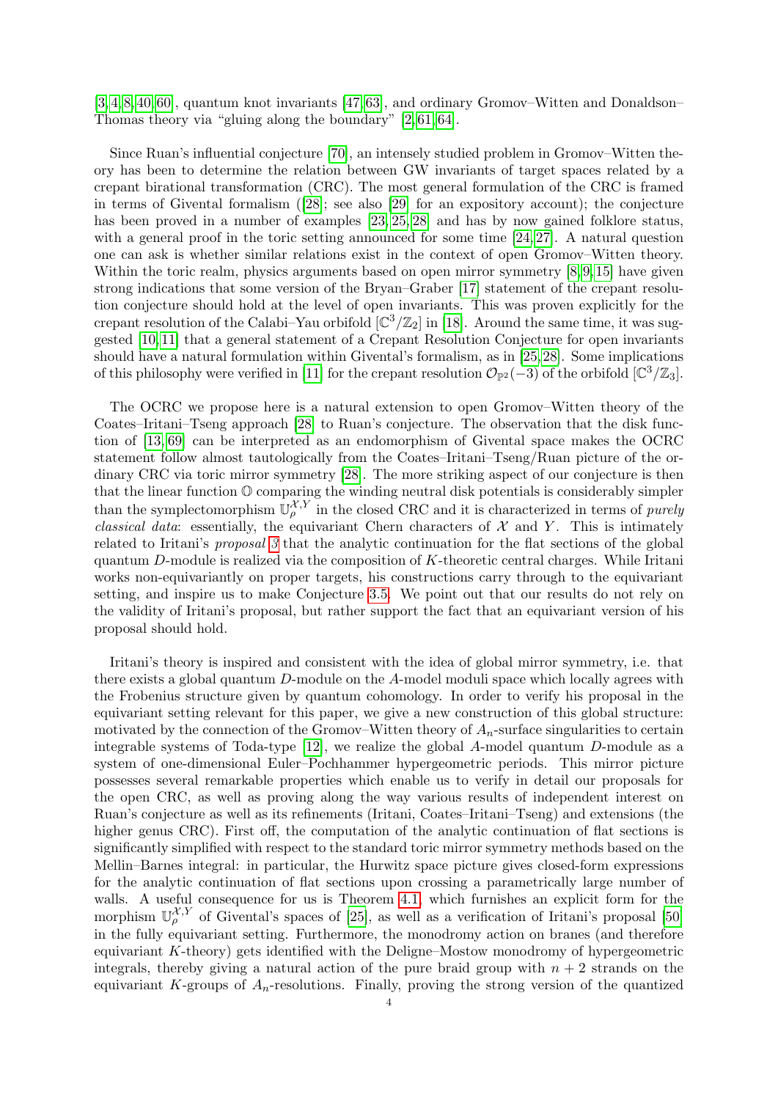[\[3,](#page-44-2) [4,](#page-44-3) [8,](#page-44-4) [40,](#page-45-3) [60\]](#page-46-5), quantum knot invariants [\[47,](#page-45-4) [63\]](#page-46-6), and ordinary Gromov–Witten and Donaldson– Thomas theory via "gluing along the boundary" [\[2,](#page-44-5) [61,](#page-46-7) [64\]](#page-46-8).

Since Ruan's influential conjecture [\[70\]](#page-46-9), an intensely studied problem in Gromov–Witten theory has been to determine the relation between GW invariants of target spaces related by a crepant birational transformation (CRC). The most general formulation of the CRC is framed in terms of Givental formalism([\[28\]](#page-45-5); see also [\[29\]](#page-45-6) for an expository account); the conjecture has been proved in a number of examples  $[23, 25, 28]$  $[23, 25, 28]$  $[23, 25, 28]$  and has by now gained folklore status, with a general proof in the toric setting announced for some time  $[24, 27]$  $[24, 27]$ . A natural question one can ask is whether similar relations exist in the context of open Gromov–Witten theory. Within the toric realm, physics arguments based on open mirror symmetry [\[8,](#page-44-4)9,15] have given strong indications that some version of the Bryan–Graber [\[17\]](#page-45-11) statement of the crepant resolution conjecture should hold at the level of open invariants. This was proven explicitly for the crepant resolution of the Calabi–Yau orbifold  $\left[\mathbb{C}^3/\mathbb{Z}_2\right]$  in [\[18\]](#page-45-12). Around the same time, it was suggested [\[10,](#page-44-8) [11\]](#page-44-9) that a general statement of a Crepant Resolution Conjecture for open invariants should have a natural formulation within Givental's formalism, as in [\[25,](#page-45-8) [28\]](#page-45-5). Some implications of this philosophy were verified in [\[11\]](#page-44-9) for the crepant resolution  $\mathcal{O}_{\mathbb{P}^2}(-3)$  of the orbifold  $[\mathbb{C}^3/\mathbb{Z}_3]$ .

The OCRC we propose here is a natural extension to open Gromov–Witten theory of the Coates–Iritani–Tseng approach [\[28\]](#page-45-5) to Ruan's conjecture. The observation that the disk function of [\[13,](#page-44-1) [69\]](#page-46-3) can be interpreted as an endomorphism of Givental space makes the OCRC statement follow almost tautologically from the Coates–Iritani–Tseng/Ruan picture of the ordinary CRC via toric mirror symmetry [\[28\]](#page-45-5). The more striking aspect of our conjecture is then that the linear function O comparing the winding neutral disk potentials is considerably simpler than the symplectomorphism  $\mathbb{U}_{\rho}^{\mathcal{X},Y}$  in the closed CRC and it is characterized in terms of *purely* classical data: essentially, the equivariant Chern characters of  $\mathcal X$  and Y. This is intimately related to Iritani's proposal [3](#page-7-0) that the analytic continuation for the flat sections of the global quantum D-module is realized via the composition of K-theoretic central charges. While Iritani works non-equivariantly on proper targets, his constructions carry through to the equivariant setting, and inspire us to make Conjecture [3.5.](#page-10-0) We point out that our results do not rely on the validity of Iritani's proposal, but rather support the fact that an equivariant version of his proposal should hold.

Iritani's theory is inspired and consistent with the idea of global mirror symmetry, i.e. that there exists a global quantum D-module on the A-model moduli space which locally agrees with the Frobenius structure given by quantum cohomology. In order to verify his proposal in the equivariant setting relevant for this paper, we give a new construction of this global structure: motivated by the connection of the Gromov–Witten theory of  $A_n$ -surface singularities to certain integrable systems of Toda-type  $[12]$ , we realize the global A-model quantum D-module as a system of one-dimensional Euler–Pochhammer hypergeometric periods. This mirror picture possesses several remarkable properties which enable us to verify in detail our proposals for the open CRC, as well as proving along the way various results of independent interest on Ruan's conjecture as well as its refinements (Iritani, Coates–Iritani–Tseng) and extensions (the higher genus CRC). First off, the computation of the analytic continuation of flat sections is significantly simplified with respect to the standard toric mirror symmetry methods based on the Mellin–Barnes integral: in particular, the Hurwitz space picture gives closed-form expressions for the analytic continuation of flat sections upon crossing a parametrically large number of walls. A useful consequence for us is Theorem [4.1,](#page-13-2) which furnishes an explicit form for the morphism  $\mathbb{U}_{\rho}^{\mathcal{X},Y}$  of Givental's spaces of [\[25\]](#page-45-8), as well as a verification of Iritani's proposal [\[50\]](#page-46-10) in the fully equivariant setting. Furthermore, the monodromy action on branes (and therefore equivariant K-theory) gets identified with the Deligne–Mostow monodromy of hypergeometric integrals, thereby giving a natural action of the pure braid group with  $n + 2$  strands on the equivariant K-groups of  $A_n$ -resolutions. Finally, proving the strong version of the quantized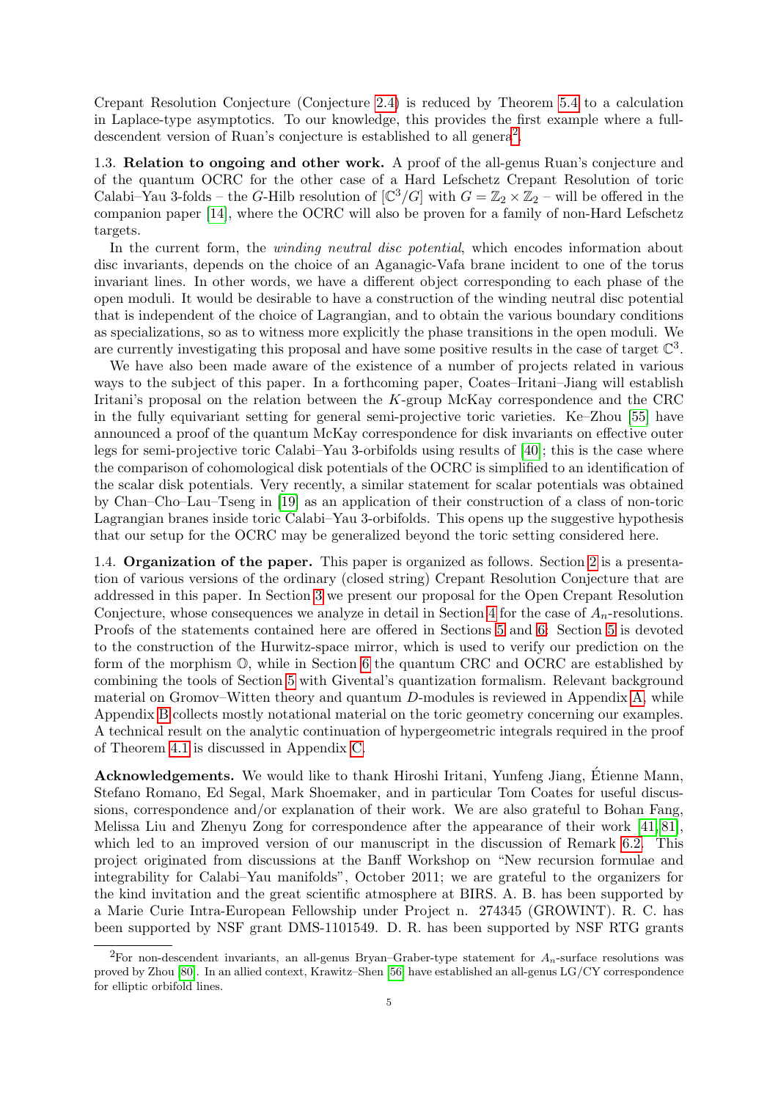Crepant Resolution Conjecture (Conjecture [2.4\)](#page-8-4) is reduced by Theorem [5.4](#page-19-1) to a calculation in Laplace-type asymptotics. To our knowledge, this provides the first example where a full-descendent version of Ruan's conjecture is established to all genera<sup>[2](#page-4-3)</sup>.

<span id="page-4-0"></span>1.3. Relation to ongoing and other work. A proof of the all-genus Ruan's conjecture and of the quantum OCRC for the other case of a Hard Lefschetz Crepant Resolution of toric Calabi–Yau 3-folds – the G-Hilb resolution of  $\left[\mathbb{C}^3/G\right]$  with  $G = \mathbb{Z}_2 \times \mathbb{Z}_2$  – will be offered in the companion paper [\[14\]](#page-44-11), where the OCRC will also be proven for a family of non-Hard Lefschetz targets.

In the current form, the *winding neutral disc potential*, which encodes information about disc invariants, depends on the choice of an Aganagic-Vafa brane incident to one of the torus invariant lines. In other words, we have a different object corresponding to each phase of the open moduli. It would be desirable to have a construction of the winding neutral disc potential that is independent of the choice of Lagrangian, and to obtain the various boundary conditions as specializations, so as to witness more explicitly the phase transitions in the open moduli. We are currently investigating this proposal and have some positive results in the case of target  $\mathbb{C}^3$ .

We have also been made aware of the existence of a number of projects related in various ways to the subject of this paper. In a forthcoming paper, Coates–Iritani–Jiang will establish Iritani's proposal on the relation between the  $K$ -group McKay correspondence and the CRC in the fully equivariant setting for general semi-projective toric varieties. Ke–Zhou [\[55\]](#page-46-11) have announced a proof of the quantum McKay correspondence for disk invariants on effective outer legs for semi-projective toric Calabi–Yau 3-orbifolds using results of [\[40\]](#page-45-3); this is the case where the comparison of cohomological disk potentials of the OCRC is simplified to an identification of the scalar disk potentials. Very recently, a similar statement for scalar potentials was obtained by Chan–Cho–Lau–Tseng in [\[19\]](#page-45-13) as an application of their construction of a class of non-toric Lagrangian branes inside toric Calabi–Yau 3-orbifolds. This opens up the suggestive hypothesis that our setup for the OCRC may be generalized beyond the toric setting considered here.

<span id="page-4-1"></span>1.4. Organization of the paper. This paper is organized as follows. Section [2](#page-5-0) is a presentation of various versions of the ordinary (closed string) Crepant Resolution Conjecture that are addressed in this paper. In Section [3](#page-8-1) we present our proposal for the Open Crepant Resolution Conjecture, whose consequences we analyze in detail in Section [4](#page-13-0) for the case of  $A_n$ -resolutions. Proofs of the statements contained here are offered in Sections [5](#page-16-1) and [6:](#page-26-0) Section [5](#page-16-1) is devoted to the construction of the Hurwitz-space mirror, which is used to verify our prediction on the form of the morphism O, while in Section [6](#page-26-0) the quantum CRC and OCRC are established by combining the tools of Section [5](#page-16-1) with Givental's quantization formalism. Relevant background material on Gromov–Witten theory and quantum D-modules is reviewed in Appendix [A,](#page-34-0) while Appendix [B](#page-39-0) collects mostly notational material on the toric geometry concerning our examples. A technical result on the analytic continuation of hypergeometric integrals required in the proof of Theorem [4.1](#page-13-2) is discussed in Appendix [C.](#page-42-1)

<span id="page-4-2"></span>Acknowledgements. We would like to thank Hiroshi Iritani, Yunfeng Jiang, Etienne Mann, ´ Stefano Romano, Ed Segal, Mark Shoemaker, and in particular Tom Coates for useful discussions, correspondence and/or explanation of their work. We are also grateful to Bohan Fang, Melissa Liu and Zhenyu Zong for correspondence after the appearance of their work [\[41,](#page-45-14) [81\]](#page-47-0), which led to an improved version of our manuscript in the discussion of Remark [6.2.](#page-27-0) This project originated from discussions at the Banff Workshop on "New recursion formulae and integrability for Calabi–Yau manifolds", October 2011; we are grateful to the organizers for the kind invitation and the great scientific atmosphere at BIRS. A. B. has been supported by a Marie Curie Intra-European Fellowship under Project n. 274345 (GROWINT). R. C. has been supported by NSF grant DMS-1101549. D. R. has been supported by NSF RTG grants

<span id="page-4-3"></span><sup>&</sup>lt;sup>2</sup>For non-descendent invariants, an all-genus Bryan–Graber-type statement for  $A_n$ -surface resolutions was proved by Zhou [\[80\]](#page-47-1). In an allied context, Krawitz–Shen [\[56\]](#page-46-12) have established an all-genus LG/CY correspondence for elliptic orbifold lines.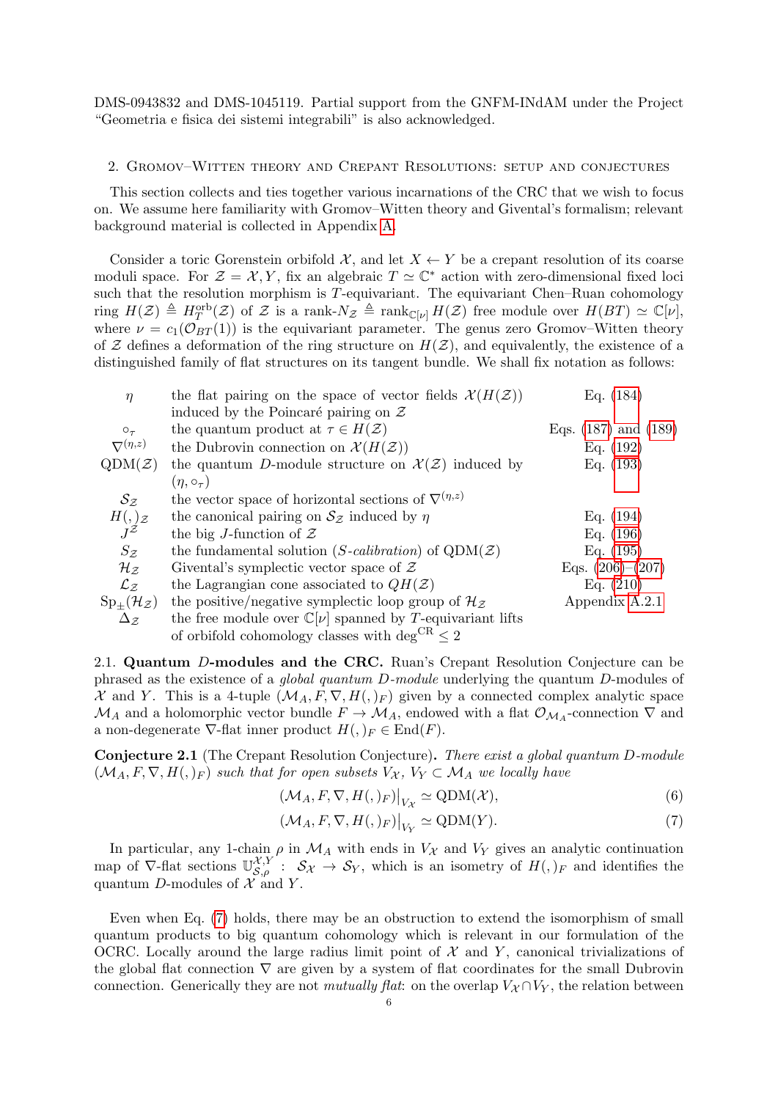DMS-0943832 and DMS-1045119. Partial support from the GNFM-INdAM under the Project "Geometria e fisica dei sistemi integrabili" is also acknowledged.

#### <span id="page-5-0"></span>2. Gromov–Witten theory and Crepant Resolutions: setup and conjectures

This section collects and ties together various incarnations of the CRC that we wish to focus on. We assume here familiarity with Gromov–Witten theory and Givental's formalism; relevant background material is collected in Appendix [A.](#page-34-0)

Consider a toric Gorenstein orbifold  $\mathcal{X}$ , and let  $X \leftarrow Y$  be a crepant resolution of its coarse moduli space. For  $\mathcal{Z} = \mathcal{X}, Y$ , fix an algebraic  $T \simeq \mathbb{C}^*$  action with zero-dimensional fixed loci such that the resolution morphism is  $T$ -equivariant. The equivariant Chen–Ruan cohomology ring  $H(\mathcal{Z}) \triangleq H_T^{\text{orb}}(\mathcal{Z})$  of  $\mathcal Z$  is a rank- $N_{\mathcal{Z}} \triangleq \text{rank}_{\mathbb{C}[\nu]} H(\mathcal{Z})$  free module over  $H(BT) \simeq \mathbb{C}[\nu],$ where  $\nu = c_1(\mathcal{O}_{BT}(1))$  is the equivariant parameter. The genus zero Gromov–Witten theory of Z defines a deformation of the ring structure on  $H(\mathcal{Z})$ , and equivalently, the existence of a distinguished family of flat structures on its tangent bundle. We shall fix notation as follows:

| $\eta$                                             | the flat pairing on the space of vector fields $\mathcal{X}(H(\mathcal{Z}))$ | Eq. $(184)$              |
|----------------------------------------------------|------------------------------------------------------------------------------|--------------------------|
|                                                    | induced by the Poincaré pairing on $\mathcal Z$                              |                          |
| $O_{\tau}$                                         | the quantum product at $\tau \in H(\mathcal{Z})$                             | Eqs. $(187)$ and $(189)$ |
| $\nabla^{(\eta,z)}$                                | the Dubrovin connection on $\mathcal{X}(H(\mathcal{Z}))$                     | Eq. $(192)$              |
| $QDM(\mathcal{Z})$                                 | the quantum D-module structure on $\mathcal{X}(\mathcal{Z})$ induced by      | Eq. $(193)$              |
|                                                    | $(\eta, \circ_{\tau})$                                                       |                          |
| $S_{\mathcal{Z}}$                                  | the vector space of horizontal sections of $\nabla^{(\eta,z)}$               |                          |
|                                                    | the canonical pairing on $S_z$ induced by $\eta$                             | Eq. $(194)$              |
| $H(,\mathcal{z})$<br>$J^{\mathcal{Z}}$             | the big J-function of $\mathcal Z$                                           | Eq. $(196)$              |
| $S_{\mathcal{Z}}$                                  | the fundamental solution (S-calibration) of $QDM(\mathcal{Z})$               | Eq. $(195)$              |
| $\mathcal{H}_{\mathcal{Z}}$                        | Givental's symplectic vector space of $\mathcal Z$                           | Eqs. $(206)–(207)$       |
| $\mathcal{L}_Z$                                    | the Lagrangian cone associated to $QH(\mathcal{Z})$                          | Eq. $(210)$              |
| $\operatorname{Sp}_{\pm}(\mathcal{H}_\mathcal{Z})$ | the positive/negative symplectic loop group of $\mathcal{H}_{\mathcal{Z}}$   | Appendix A.2.1           |
| $\Delta_{\mathcal{Z}}$                             | the free module over $\mathbb{C}[\nu]$ spanned by T-equivariant lifts        |                          |
|                                                    | of orbifold cohomology classes with deg <sup>CR</sup> $\leq 2$               |                          |
|                                                    |                                                                              |                          |

<span id="page-5-1"></span>2.1. Quantum D-modules and the CRC. Ruan's Crepant Resolution Conjecture can be phrased as the existence of a global quantum D-module underlying the quantum D-modules of X and Y. This is a 4-tuple  $(\mathcal{M}_A, F, \nabla, H(),_F)$  given by a connected complex analytic space  $\mathcal{M}_A$  and a holomorphic vector bundle  $F \to \mathcal{M}_A$ , endowed with a flat  $\mathcal{O}_{\mathcal{M}_A}$ -connection  $\nabla$  and a non-degenerate  $\nabla$ -flat inner product  $H(,)_F \in \text{End}(F)$ .

Conjecture 2.1 (The Crepant Resolution Conjecture). There exist a global quantum D-module  $(M_A, F, \nabla, H(),)_F$  such that for open subsets  $V_{\mathcal{X}}, V_Y \subset \mathcal{M}_A$  we locally have

$$
(\mathcal{M}_A, F, \nabla, H(0, F)|_{V_{\mathcal{X}}} \simeq \text{QDM}(\mathcal{X}),
$$
\n(6)

<span id="page-5-2"></span>
$$
(\mathcal{M}_A, F, \nabla, H(0, F)|_{V_Y} \simeq \text{QDM}(Y). \tag{7}
$$

In particular, any 1-chain  $\rho$  in  $\mathcal{M}_A$  with ends in  $V_\mathcal{X}$  and  $V_Y$  gives an analytic continuation map of  $\nabla$ -flat sections  $\mathbb{U}_{\mathcal{S},\rho}^{\mathcal{X},Y}$ :  $\mathcal{S}_{\mathcal{X}} \to \mathcal{S}_Y$ , which is an isometry of  $H(.)_F$  and identifies the quantum D-modules of  $\mathcal X$  and Y.

Even when Eq. [\(7\)](#page-5-2) holds, there may be an obstruction to extend the isomorphism of small quantum products to big quantum cohomology which is relevant in our formulation of the OCRC. Locally around the large radius limit point of  $\mathcal X$  and  $Y$ , canonical trivializations of the global flat connection  $\nabla$  are given by a system of flat coordinates for the small Dubrovin connection. Generically they are not mutually flat: on the overlap  $V_{\mathcal{X}} \cap V_{Y}$ , the relation between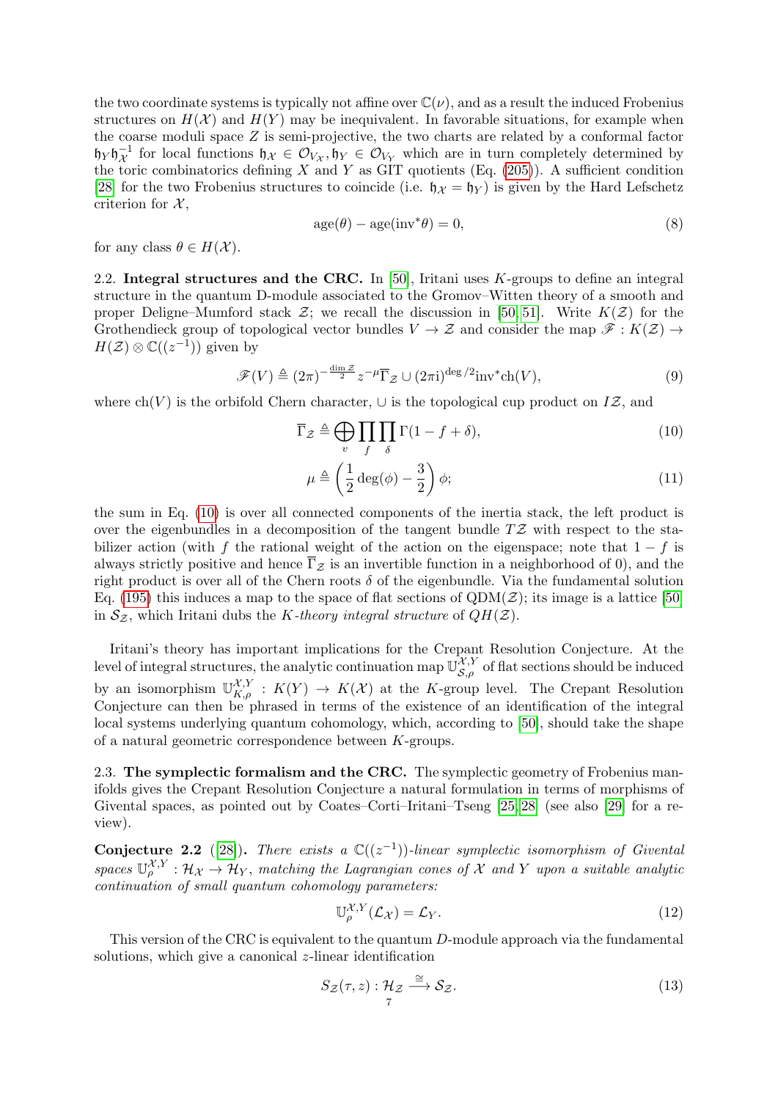the two coordinate systems is typically not affine over  $\mathbb{C}(\nu)$ , and as a result the induced Frobenius structures on  $H(\mathcal{X})$  and  $H(Y)$  may be inequivalent. In favorable situations, for example when the coarse moduli space  $Z$  is semi-projective, the two charts are related by a conformal factor  $\mathfrak{h}_Y \mathfrak{h}_X^{-1}$  for local functions  $\mathfrak{h}_X \in \mathcal{O}_{V_X}$ ,  $\mathfrak{h}_Y \in \mathcal{O}_{V_Y}$  which are in turn completely determined by the toric combinatorics defining X and Y as GIT quotients (Eq.  $(205)$ ). A sufficient condition [\[28\]](#page-45-5) for the two Frobenius structures to coincide (i.e.  $\mathfrak{h}_{\mathcal{X}} = \mathfrak{h}_{Y}$ ) is given by the Hard Lefschetz criterion for  $\mathcal{X},$ 

$$
age(\theta) - age(inv^*\theta) = 0,
$$
\n(8)

for any class  $\theta \in H(\mathcal{X})$ .

<span id="page-6-0"></span>2.2. Integral structures and the CRC. In  $[50]$ , Iritani uses K-groups to define an integral structure in the quantum D-module associated to the Gromov–Witten theory of a smooth and proper Deligne–Mumford stack  $\mathcal{Z}$ ; we recall the discussion in [\[50,](#page-46-10) [51\]](#page-46-13). Write  $K(\mathcal{Z})$  for the Grothendieck group of topological vector bundles  $V \to \mathcal{Z}$  and consider the map  $\mathcal{F}: K(\mathcal{Z}) \to$  $H(\mathcal{Z})\otimes \mathbb{C}((z^{-1}))$  given by

$$
\mathcal{F}(V) \triangleq (2\pi)^{-\frac{\dim \mathcal{Z}}{2}} z^{-\mu} \overline{\Gamma}_{\mathcal{Z}} \cup (2\pi i)^{\deg/2} \text{inv}^* \text{ch}(V),\tag{9}
$$

where  $ch(V)$  is the orbifold Chern character,  $\cup$  is the topological cup product on IZ, and

$$
\overline{\Gamma}_{\mathcal{Z}} \triangleq \bigoplus_{v} \prod_{f} \prod_{\delta} \Gamma(1 - f + \delta),\tag{10}
$$

<span id="page-6-2"></span>
$$
\mu \triangleq \left(\frac{1}{2}\deg(\phi) - \frac{3}{2}\right)\phi;
$$
\n(11)

the sum in Eq. [\(10\)](#page-6-2) is over all connected components of the inertia stack, the left product is over the eigenbundles in a decomposition of the tangent bundle  $T\mathcal{Z}$  with respect to the stabilizer action (with f the rational weight of the action on the eigenspace; note that  $1-f$  is always strictly positive and hence  $\overline{\Gamma}_{\mathcal{Z}}$  is an invertible function in a neighborhood of 0), and the right product is over all of the Chern roots  $\delta$  of the eigenbundle. Via the fundamental solution Eq. [\(195\)](#page-36-2) this induces a map to the space of flat sections of  $QDM(\mathcal{Z})$ ; its image is a lattice [\[50\]](#page-46-10) in  $S_z$ , which Iritani dubs the K-theory integral structure of  $QH(\mathcal{Z})$ .

Iritani's theory has important implications for the Crepant Resolution Conjecture. At the level of integral structures, the analytic continuation map  $\mathbb{U}_{S,\rho}^{\mathcal{X},Y}$  of flat sections should be induced by an isomorphism  $\mathbb{U}_{K,\rho}^{\mathcal{X},Y} : K(Y) \to K(\mathcal{X})$  at the K-group level. The Crepant Resolution Conjecture can then be phrased in terms of the existence of an identification of the integral local systems underlying quantum cohomology, which, according to [\[50\]](#page-46-10), should take the shape of a natural geometric correspondence between K-groups.

<span id="page-6-1"></span>2.3. The symplectic formalism and the CRC. The symplectic geometry of Frobenius manifolds gives the Crepant Resolution Conjecture a natural formulation in terms of morphisms of Givental spaces, as pointed out by Coates–Corti–Iritani–Tseng [\[25,](#page-45-8) [28\]](#page-45-5) (see also [\[29\]](#page-45-6) for a review).

<span id="page-6-3"></span>Conjecture 2.2 ([\[28\]](#page-45-5)). There exists a  $\mathbb{C}((z^{-1}))$ -linear symplectic isomorphism of Givental spaces  $\mathbb{U}_{\rho}^{\mathcal{X},Y} : \mathcal{H}_{\mathcal{X}} \to \mathcal{H}_{Y}$ , matching the Lagrangian cones of X and Y upon a suitable analytic continuation of small quantum cohomology parameters:

<span id="page-6-4"></span>
$$
\mathbb{U}_{\rho}^{\mathcal{X},Y}(\mathcal{L}_{\mathcal{X}}) = \mathcal{L}_{Y}.
$$
\n(12)

This version of the CRC is equivalent to the quantum D-module approach via the fundamental solutions, which give a canonical *z*-linear identification

$$
S_{\mathcal{Z}}(\tau,z): \mathcal{H}_{\mathcal{Z}} \xrightarrow{\cong} \mathcal{S}_{\mathcal{Z}}.
$$
\n
$$
(13)
$$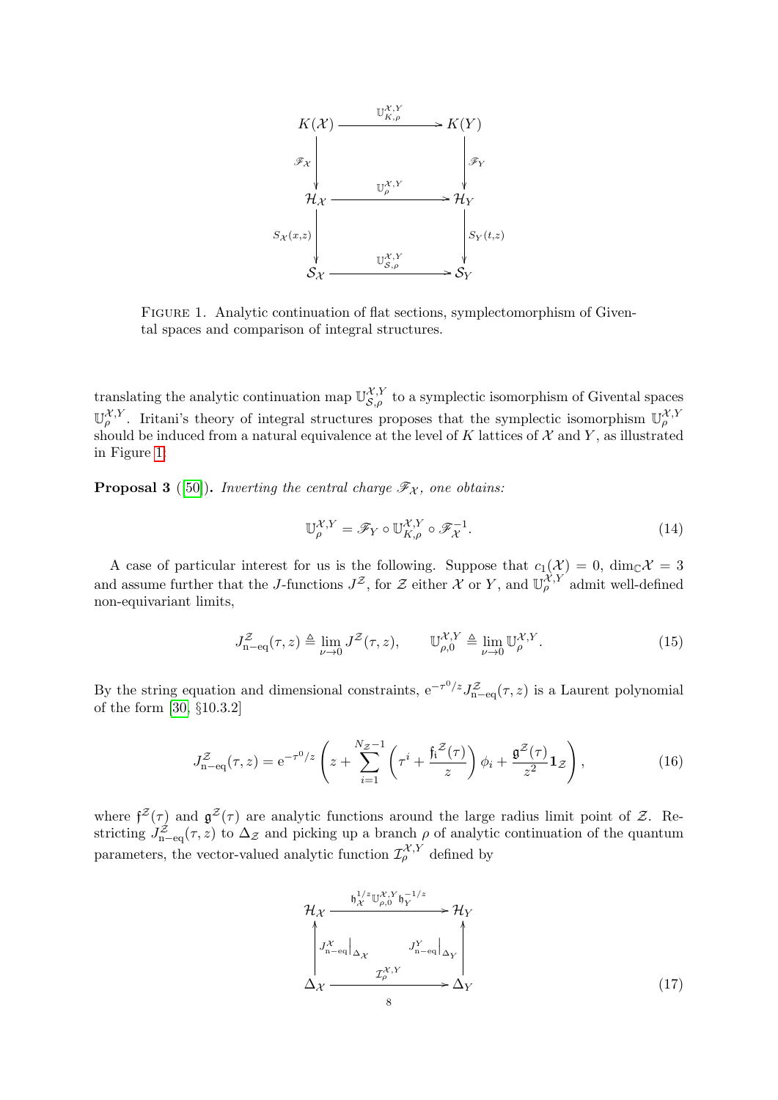<span id="page-7-1"></span>

Figure 1. Analytic continuation of flat sections, symplectomorphism of Givental spaces and comparison of integral structures.

translating the analytic continuation map  $\mathbb{U}_{\mathcal{S},\rho}^{\mathcal{X},Y}$  to a symplectic isomorphism of Givental spaces  $\mathbb{U}_{\rho}^{\mathcal{X},Y}$ . Iritani's theory of integral structures proposes that the symplectic isomorphism  $\mathbb{U}_{\rho}^{\mathcal{X},Y}$ should be induced from a natural equivalence at the level of K lattices of  $\mathcal X$  and Y, as illustrated in Figure [1:](#page-7-1)

<span id="page-7-0"></span>**Proposal 3** ([\[50\]](#page-46-10)). Inverting the central charge  $\mathscr{F}_{\mathcal{X}}$ , one obtains:

$$
\mathbb{U}_{\rho}^{\mathcal{X},Y} = \mathscr{F}_Y \circ \mathbb{U}_{K,\rho}^{\mathcal{X},Y} \circ \mathscr{F}_{\mathcal{X}}^{-1}.
$$
\n(14)

A case of particular interest for us is the following. Suppose that  $c_1(\mathcal{X}) = 0$ ,  $\dim_{\mathbb{C}} \mathcal{X} = 3$ and assume further that the J-functions  $J^{\mathcal{Z}}$ , for  $\mathcal{Z}$  either  $\mathcal{X}$  or Y, and  $\mathbb{U}_{\rho}^{\mathcal{X},Y}$  admit well-defined non-equivariant limits,

$$
J_{\mathbf{n}-\mathbf{eq}}^{\mathcal{Z}}(\tau,z) \triangleq \lim_{\nu \to 0} J^{\mathcal{Z}}(\tau,z), \qquad \mathbb{U}_{\rho,0}^{\mathcal{X},Y} \triangleq \lim_{\nu \to 0} \mathbb{U}_{\rho}^{\mathcal{X},Y}.
$$
 (15)

By the string equation and dimensional constraints,  $e^{-\tau^0/z} J_{n-eq}^z(\tau, z)$  is a Laurent polynomial of the form [\[30,](#page-45-15) §10.3.2]

$$
J_{\mathbf{n}-\mathbf{eq}}^{\mathcal{Z}}(\tau,z) = \mathbf{e}^{-\tau^0/z} \left( z + \sum_{i=1}^{N_{\mathcal{Z}}-1} \left( \tau^i + \frac{\mathfrak{f}_i^{\mathcal{Z}}(\tau)}{z} \right) \phi_i + \frac{\mathfrak{g}^{\mathcal{Z}}(\tau)}{z^2} \mathbf{1}_{\mathcal{Z}} \right),\tag{16}
$$

where  $f^{Z}(\tau)$  and  $g^{Z}(\tau)$  are analytic functions around the large radius limit point of Z. Restricting  $J_{\text{n-eq}}^{\mathcal{Z}}(\tau,z)$  to  $\Delta_{\mathcal{Z}}$  and picking up a branch  $\rho$  of analytic continuation of the quantum parameters, the vector-valued analytic function  $\mathcal{I}^{\mathcal{X},Y}_{\rho}$  defined by

<span id="page-7-2"></span>
$$
\mathcal{H}_{\mathcal{X}} \xrightarrow{\mathfrak{h}_{\mathcal{X}}^{1/z} \mathbb{U}_{\rho,0}^{\mathcal{X},Y} \mathfrak{h}_{Y}^{-1/z}} \rightarrow \mathcal{H}_{Y}
$$
\n
$$
\downarrow J_{\mathbf{n}-\mathbf{eq}}^{\mathcal{X}} \downarrow \downarrow J_{\mathbf{n}-\mathbf{eq}}^{\mathcal{X}} \downarrow \downarrow \downarrow
$$
\n
$$
\Delta_{\mathcal{X}} \xrightarrow{\mathcal{I}_{\rho}^{\mathcal{X},Y}} \Delta_{Y}
$$
\n
$$
\Delta_{\mathcal{X}} \xrightarrow{\mathcal{I}_{\rho}^{\mathcal{X},Y}} \Delta_{Y}
$$
\n
$$
(17)
$$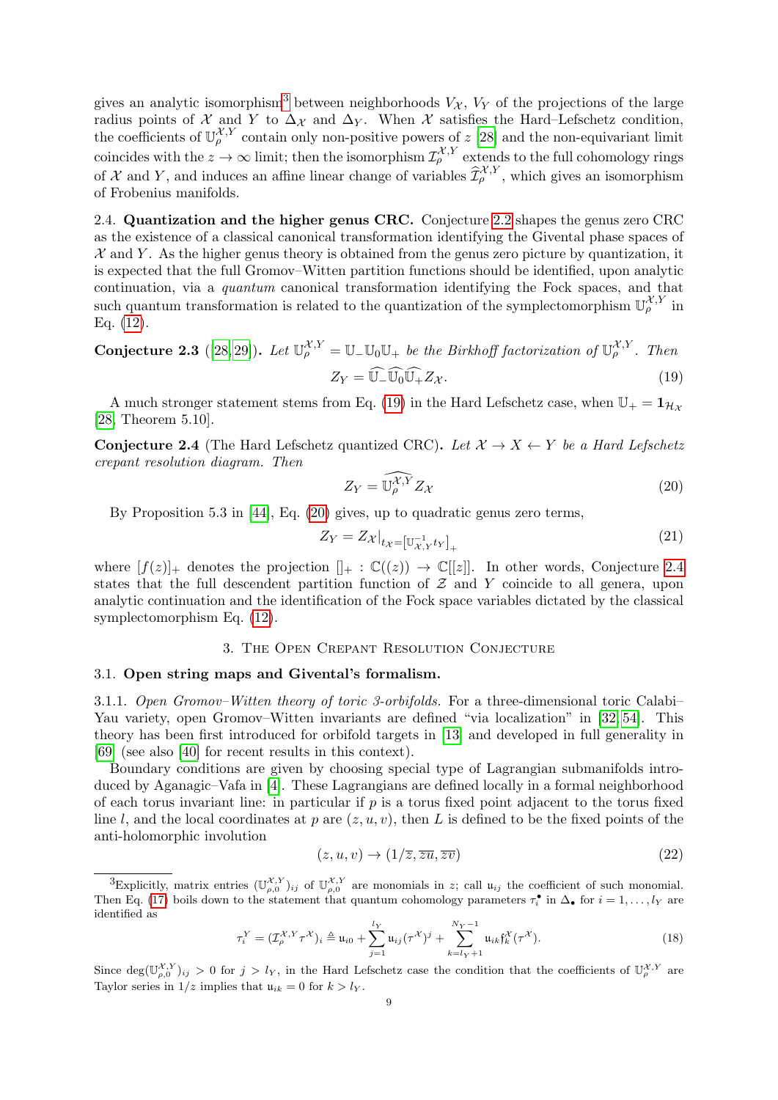gives an analytic isomorphism<sup>[3](#page-8-5)</sup> between neighborhoods  $V_{\mathcal{X}}$ ,  $V_{\mathcal{Y}}$  of the projections of the large radius points of X and Y to  $\Delta_{\chi}$  and  $\Delta_{Y}$ . When X satisfies the Hard–Lefschetz condition, the coefficients of  $\mathbb{U}_{\rho}^{\mathcal{X},Y}$  contain only non-positive powers of z [\[28\]](#page-45-5) and the non-equivariant limit coincides with the  $z \to \infty$  limit; then the isomorphism  $\mathcal{I}^{\mathcal{X},Y}_{\rho}$  extends to the full cohomology rings of X and Y, and induces an affine linear change of variables  $\widehat{\mathcal{I}}_{\rho}^{\mathcal{X},Y}$ , which gives an isomorphism of Frobenius manifolds.

<span id="page-8-0"></span>2.4. Quantization and the higher genus CRC. Conjecture [2.2](#page-6-3) shapes the genus zero CRC as the existence of a classical canonical transformation identifying the Givental phase spaces of  $X$  and Y. As the higher genus theory is obtained from the genus zero picture by quantization, it is expected that the full Gromov–Witten partition functions should be identified, upon analytic continuation, via a quantum canonical transformation identifying the Fock spaces, and that such quantum transformation is related to the quantization of the symplectomorphism  $\mathbb{U}_{\rho}^{\mathcal{X},Y}$  in Eq. [\(12\)](#page-6-4).

**Conjecture 2.3** ([\[28,](#page-45-5) [29\]](#page-45-6)). Let  $\mathbb{U}_{\rho}^{\mathcal{X},Y} = \mathbb{U}_{-\mathbb{U}_0} \mathbb{U}_{+}$  be the Birkhoff factorization of  $\mathbb{U}_{\rho}^{\mathcal{X},Y}$ . Then

<span id="page-8-6"></span>
$$
Z_Y = \widehat{\mathbb{U}_{-}} \widehat{\mathbb{U}_{0}} \widehat{\mathbb{U}_{+}} Z_{\mathcal{X}}.
$$
\n(19)

A much stronger statement stems from Eq. [\(19\)](#page-8-6) in the Hard Lefschetz case, when  $\mathbb{U}_+ = \mathbb{1}_{\mathcal{H}_X}$ [\[28,](#page-45-5) Theorem 5.10].

<span id="page-8-4"></span>**Conjecture 2.4** (The Hard Lefschetz quantized CRC). Let  $\mathcal{X} \to X \leftarrow Y$  be a Hard Lefschetz crepant resolution diagram. Then

<span id="page-8-7"></span>
$$
Z_Y = \widehat{\mathbb{U}_\rho^{\mathcal{X}, Y}} Z_{\mathcal{X}} \tag{20}
$$

By Proposition 5.3 in [\[44\]](#page-45-16), Eq. [\(20\)](#page-8-7) gives, up to quadratic genus zero terms,

<span id="page-8-9"></span>
$$
Z_Y = Z_{\mathcal{X}}|_{t_{\mathcal{X}} = \left[\mathbb{U}_{\mathcal{X},Y}^{-1} t_Y\right]_+}
$$
\n<sup>(21)</sup>

where  $[f(z)]_+$  denotes the projection  $[]_+ : \mathbb{C}((z)) \to \mathbb{C}[[z]]$ . In other words, Conjecture [2.4](#page-8-4) states that the full descendent partition function of  $Z$  and  $Y$  coincide to all genera, upon analytic continuation and the identification of the Fock space variables dictated by the classical symplectomorphism Eq. [\(12\)](#page-6-4).

## 3. The Open Crepant Resolution Conjecture

### <span id="page-8-2"></span><span id="page-8-1"></span>3.1. Open string maps and Givental's formalism.

<span id="page-8-3"></span>3.1.1. Open Gromov–Witten theory of toric 3-orbifolds. For a three-dimensional toric Calabi– Yau variety, open Gromov–Witten invariants are defined "via localization" in [\[32,](#page-45-2) [54\]](#page-46-2). This theory has been first introduced for orbifold targets in [\[13\]](#page-44-1) and developed in full generality in [\[69\]](#page-46-3) (see also [\[40\]](#page-45-3) for recent results in this context).

Boundary conditions are given by choosing special type of Lagrangian submanifolds introduced by Aganagic–Vafa in [\[4\]](#page-44-3). These Lagrangians are defined locally in a formal neighborhood of each torus invariant line: in particular if  $p$  is a torus fixed point adjacent to the torus fixed line l, and the local coordinates at p are  $(z, u, v)$ , then L is defined to be the fixed points of the anti-holomorphic involution

$$
(z, u, v) \to (1/\overline{z}, \overline{z}\overline{u}, \overline{z}\overline{v})
$$
\n<sup>(22)</sup>

<span id="page-8-8"></span>
$$
\tau_i^Y = (\mathcal{I}_{\rho}^{\mathcal{X},Y} \tau^{\mathcal{X}})_i \triangleq \mathfrak{u}_{i0} + \sum_{j=1}^{l_Y} \mathfrak{u}_{ij}(\tau^{\mathcal{X}})^j + \sum_{k=l_Y+1}^{N_Y-1} \mathfrak{u}_{ik} \mathfrak{f}_k^{\mathcal{X}}(\tau^{\mathcal{X}}).
$$
(18)

Since  $\deg(\mathbb{U}_{\rho,0}^{\mathcal{X},Y})_{ij} > 0$  for  $j > l_Y$ , in the Hard Lefschetz case the condition that the coefficients of  $\mathbb{U}_{\rho}^{\mathcal{X},Y}$  are Taylor series in  $1/z$  implies that  $u_{ik} = 0$  for  $k > l<sub>Y</sub>$ .

<span id="page-8-5"></span><sup>&</sup>lt;sup>3</sup>Explicitly, matrix entries  $(\mathbb{U}_{\rho,0}^{\mathcal{X},Y})_{ij}$  of  $\mathbb{U}_{\rho,0}^{\mathcal{X},Y}$  are monomials in z; call  $\mathfrak{u}_{ij}$  the coefficient of such monomial. Then Eq. [\(17\)](#page-7-2) boils down to the statement that quantum cohomology parameters  $\tau_i^{\bullet}$  in  $\Delta_{\bullet}$  for  $i = 1, ..., l_Y$  are identified as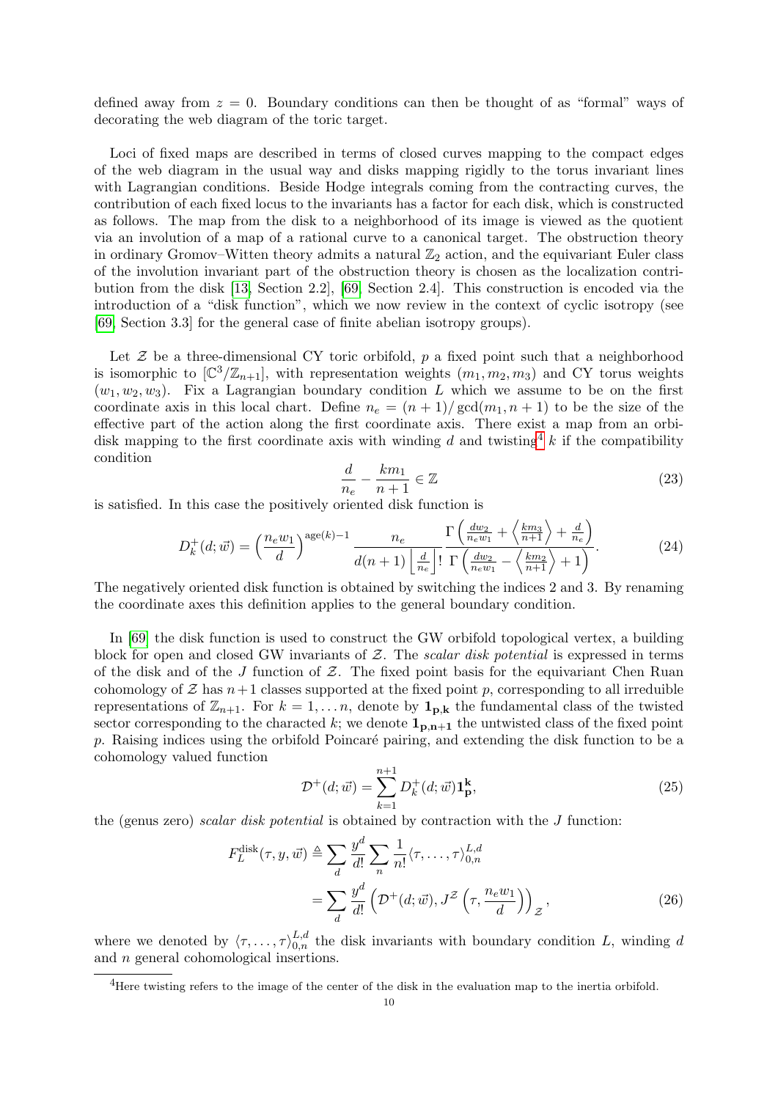defined away from  $z = 0$ . Boundary conditions can then be thought of as "formal" ways of decorating the web diagram of the toric target.

Loci of fixed maps are described in terms of closed curves mapping to the compact edges of the web diagram in the usual way and disks mapping rigidly to the torus invariant lines with Lagrangian conditions. Beside Hodge integrals coming from the contracting curves, the contribution of each fixed locus to the invariants has a factor for each disk, which is constructed as follows. The map from the disk to a neighborhood of its image is viewed as the quotient via an involution of a map of a rational curve to a canonical target. The obstruction theory in ordinary Gromov–Witten theory admits a natural  $\mathbb{Z}_2$  action, and the equivariant Euler class of the involution invariant part of the obstruction theory is chosen as the localization contribution from the disk [\[13,](#page-44-1) Section 2.2], [\[69,](#page-46-3) Section 2.4]. This construction is encoded via the introduction of a "disk function", which we now review in the context of cyclic isotropy (see [\[69,](#page-46-3) Section 3.3] for the general case of finite abelian isotropy groups).

Let  $\mathcal Z$  be a three-dimensional CY toric orbifold, p a fixed point such that a neighborhood is isomorphic to  $[\mathbb{C}^3/\mathbb{Z}_{n+1}]$ , with representation weights  $(m_1, m_2, m_3)$  and CY torus weights  $(w_1, w_2, w_3)$ . Fix a Lagrangian boundary condition L which we assume to be on the first coordinate axis in this local chart. Define  $n_e = (n+1)/\gcd(m_1, n+1)$  to be the size of the effective part of the action along the first coordinate axis. There exist a map from an orbidisk mapping to the first coordinate axis with winding d and twisting  $k$  if the compatibility condition

<span id="page-9-1"></span>
$$
\frac{d}{n_e} - \frac{km_1}{n+1} \in \mathbb{Z} \tag{23}
$$

is satisfied. In this case the positively oriented disk function is

$$
D_k^+(d; \vec{w}) = \left(\frac{n_e w_1}{d}\right)^{\text{age}(k)-1} \frac{n_e}{d(n+1) \left\lfloor \frac{d}{n_e} \right\rfloor!} \frac{\Gamma\left(\frac{dw_2}{n_e w_1} + \left\langle \frac{km_3}{n+1} \right\rangle + \frac{d}{n_e}\right)}{\Gamma\left(\frac{dw_2}{n_e w_1} - \left\langle \frac{km_2}{n+1} \right\rangle + 1\right)}.
$$
(24)

The negatively oriented disk function is obtained by switching the indices 2 and 3. By renaming the coordinate axes this definition applies to the general boundary condition.

In [\[69\]](#page-46-3) the disk function is used to construct the GW orbifold topological vertex, a building block for open and closed GW invariants of  $\mathcal Z$ . The scalar disk potential is expressed in terms of the disk and of the J function of  $Z$ . The fixed point basis for the equivariant Chen Ruan cohomology of  $\mathcal Z$  has  $n+1$  classes supported at the fixed point p, corresponding to all irreduible representations of  $\mathbb{Z}_{n+1}$ . For  $k = 1, ..., n$ , denote by  $\mathbf{1}_{p,k}$  the fundamental class of the twisted sector corresponding to the characted k; we denote  $\mathbf{1}_{p,n+1}$  the untwisted class of the fixed point  $p.$  Raising indices using the orbifold Poincaré pairing, and extending the disk function to be a cohomology valued function

$$
\mathcal{D}^+(d; \vec{w}) = \sum_{k=1}^{n+1} D_k^+(d; \vec{w}) \mathbf{1}_{\mathbf{p}}^{\mathbf{k}},\tag{25}
$$

the (genus zero) scalar disk potential is obtained by contraction with the  $J$  function:

$$
F_L^{\text{disk}}(\tau, y, \vec{w}) \triangleq \sum_d \frac{y^d}{d!} \sum_n \frac{1}{n!} \langle \tau, \dots, \tau \rangle_{0,n}^{L,d}
$$

$$
= \sum_d \frac{y^d}{d!} \left( \mathcal{D}^+(d; \vec{w}), J^Z\left(\tau, \frac{n_e w_1}{d}\right) \right)_{\mathcal{Z}}, \tag{26}
$$

where we denoted by  $\langle \tau, \ldots, \tau \rangle_{0,n}^{L,d}$  the disk invariants with boundary condition L, winding d and n general cohomological insertions.

<span id="page-9-0"></span><sup>&</sup>lt;sup>4</sup>Here twisting refers to the image of the center of the disk in the evaluation map to the inertia orbifold.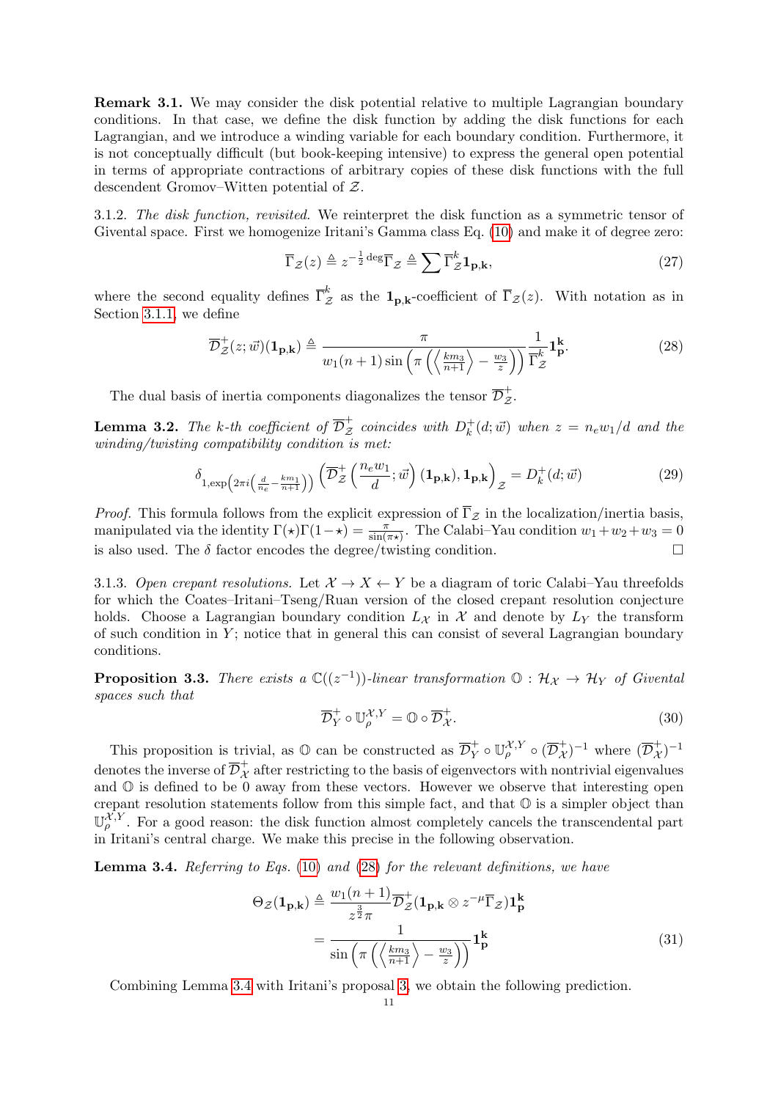Remark 3.1. We may consider the disk potential relative to multiple Lagrangian boundary conditions. In that case, we define the disk function by adding the disk functions for each Lagrangian, and we introduce a winding variable for each boundary condition. Furthermore, it is not conceptually difficult (but book-keeping intensive) to express the general open potential in terms of appropriate contractions of arbitrary copies of these disk functions with the full descendent Gromov–Witten potential of Z.

3.1.2. The disk function, revisited. We reinterpret the disk function as a symmetric tensor of Givental space. First we homogenize Iritani's Gamma class Eq. [\(10\)](#page-6-2) and make it of degree zero:

$$
\overline{\Gamma}_{\mathcal{Z}}(z) \triangleq z^{-\frac{1}{2}\deg} \overline{\Gamma}_{\mathcal{Z}} \triangleq \sum \overline{\Gamma}_{\mathcal{Z}}^{k} \mathbf{1}_{\mathbf{p},\mathbf{k}},\tag{27}
$$

where the second equality defines  $\overline{\Gamma}^k_{\mathcal{Z}}$  as the  $\mathbf{1}_{p,k}$ -coefficient of  $\overline{\Gamma}_{\mathcal{Z}}(z)$ . With notation as in Section [3.1.1,](#page-8-3) we define

<span id="page-10-1"></span>
$$
\overline{\mathcal{D}}_{\mathcal{Z}}^{+}(z;\vec{w})(\mathbf{1}_{\mathbf{p},\mathbf{k}}) \triangleq \frac{\pi}{w_1(n+1)\sin\left(\pi\left(\left\langle\frac{km_3}{n+1}\right\rangle - \frac{w_3}{z}\right)\right)}\frac{1}{\Gamma_{\mathcal{Z}}^k}\mathbf{1}_{\mathbf{p}}^{\mathbf{k}}.\tag{28}
$$

The dual basis of inertia components diagonalizes the tensor  $\overline{\mathcal{D}}_{\mathcal{Z}}^{+}$ .

**Lemma 3.2.** The k-th coefficient of  $\overline{\mathcal{D}}_{\mathcal{Z}}^+$  coincides with  $D_k^+$  $k_k^+(d; \vec{w})$  when  $z = n_e w_1/d$  and the winding/twisting compatibility condition is met:

$$
\delta_{1,\exp\left(2\pi i\left(\frac{d}{n_e} - \frac{km_1}{n+1}\right)\right)}\left(\overline{\mathcal{D}}^+_{\mathcal{Z}}\left(\frac{n_e w_1}{d};\vec{w}\right)(\mathbf{1}_{\mathbf{p},\mathbf{k}}), \mathbf{1}_{\mathbf{p},\mathbf{k}}\right)_{\mathcal{Z}} = D_k^+(d;\vec{w})\tag{29}
$$

*Proof.* This formula follows from the explicit expression of  $\overline{\Gamma}_{\mathcal{Z}}$  in the localization/inertia basis, manipulated via the identity  $\Gamma(\star)\Gamma(1-\star) = \frac{\pi}{\sin(\pi\star)}$ . The Calabi–Yau condition  $w_1+w_2+w_3=0$ is also used. The  $\delta$  factor encodes the degree/twisting condition.

3.1.3. Open crepant resolutions. Let  $\mathcal{X} \to X \leftarrow Y$  be a diagram of toric Calabi–Yau threefolds for which the Coates–Iritani–Tseng/Ruan version of the closed crepant resolution conjecture holds. Choose a Lagrangian boundary condition  $L_X$  in X and denote by  $L_Y$  the transform of such condition in  $Y$ ; notice that in general this can consist of several Lagrangian boundary conditions.

<span id="page-10-4"></span>**Proposition 3.3.** There exists a  $\mathbb{C}((z^{-1}))$ -linear transformation  $\mathbb{O}: \mathcal{H}_{\mathcal{X}} \to \mathcal{H}_{Y}$  of Givental spaces such that

<span id="page-10-3"></span>
$$
\overline{\mathcal{D}}_Y^+ \circ \mathbb{U}_{\rho}^{\mathcal{X},Y} = \mathbb{O} \circ \overline{\mathcal{D}}_{\mathcal{X}}^+.
$$
\n(30)

This proposition is trivial, as  $\mathbb{O}$  can be constructed as  $\overline{\mathcal{D}}_Y^+ \circ \mathbb{U}_{\rho}^{\mathcal{X},Y} \circ (\overline{\mathcal{D}}_{\mathcal{X}}^+)^{-1}$  where  $(\overline{\mathcal{D}}_{\mathcal{X}}^+)^{-1}$ denotes the inverse of  $\overline{\mathcal{D}}_{\mathcal{X}}^{+}$  after restricting to the basis of eigenvectors with nontrivial eigenvalues and  $\mathbb{O}$  is defined to be 0 away from these vectors. However we observe that interesting open crepant resolution statements follow from this simple fact, and that O is a simpler object than  $\mathbb{U}_{\rho}^{\chi,Y}$ . For a good reason: the disk function almost completely cancels the transcendental part in Iritani's central charge. We make this precise in the following observation.

<span id="page-10-2"></span>**Lemma 3.4.** Referring to Eqs.  $(10)$  and  $(28)$  for the relevant definitions, we have

$$
\Theta_{\mathcal{Z}}(\mathbf{1}_{\mathbf{p},\mathbf{k}}) \triangleq \frac{w_1(n+1)}{z^{\frac{3}{2}}\pi} \overline{\mathcal{D}}_{\mathcal{Z}}^+(\mathbf{1}_{\mathbf{p},\mathbf{k}} \otimes z^{-\mu} \overline{\Gamma}_{\mathcal{Z}}) \mathbf{1}_{\mathbf{p}}^{\mathbf{k}}
$$

$$
= \frac{1}{\sin\left(\pi \left(\left\langle \frac{k m_3}{n+1} \right\rangle - \frac{w_3}{z}\right)\right)} \mathbf{1}_{\mathbf{p}}^{\mathbf{k}}
$$
(31)

<span id="page-10-0"></span>Combining Lemma [3.4](#page-10-2) with Iritani's proposal [3,](#page-7-0) we obtain the following prediction.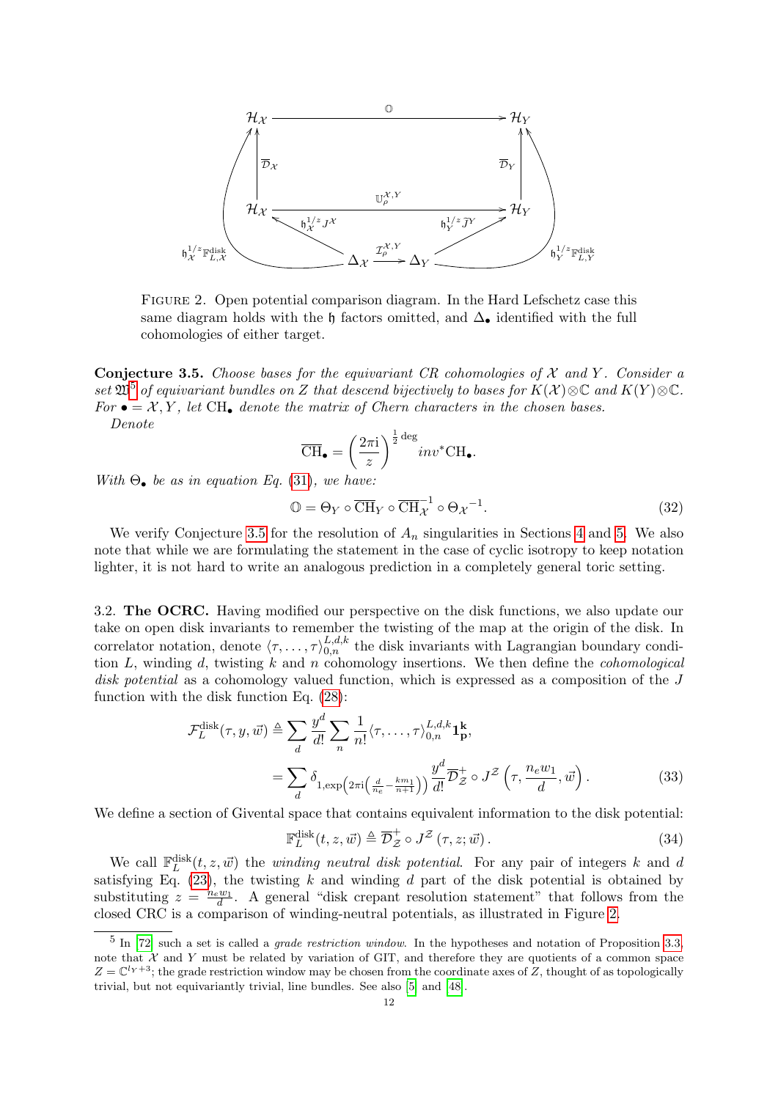<span id="page-11-3"></span>

Figure 2. Open potential comparison diagram. In the Hard Lefschetz case this same diagram holds with the h factors omitted, and  $\Delta_{\bullet}$  identified with the full cohomologies of either target.

**Conjecture 3.5.** Choose bases for the equivariant CR cohomologies of  $X$  and  $Y$ . Consider a set  $\mathfrak{W}^5$  $\mathfrak{W}^5$  of equivariant bundles on Z that descend bijectively to bases for  $K(\mathcal{X})\otimes\mathbb{C}$  and  $K(Y)\otimes\mathbb{C}$ . For  $\bullet = \mathcal{X}, Y$ , let CH, denote the matrix of Chern characters in the chosen bases. Denote

$$
\overline{\text{CH}}_{\bullet} = \left(\frac{2\pi i}{z}\right)^{\frac{1}{2}\deg} inv^* \text{CH}_{\bullet}.
$$

With  $\Theta_{\bullet}$  be as in equation Eq. [\(31\)](#page-10-3), we have:

$$
\mathbb{O} = \Theta_Y \circ \overline{\text{CH}}_Y \circ \overline{\text{CH}}_{\mathcal{X}}^{-1} \circ \Theta_{\mathcal{X}}^{-1}.
$$
\n(32)

We verify Conjecture [3.5](#page-10-0) for the resolution of  $A_n$  singularities in Sections [4](#page-13-0) and [5.](#page-16-1) We also note that while we are formulating the statement in the case of cyclic isotropy to keep notation lighter, it is not hard to write an analogous prediction in a completely general toric setting.

<span id="page-11-0"></span>3.2. The OCRC. Having modified our perspective on the disk functions, we also update our take on open disk invariants to remember the twisting of the map at the origin of the disk. In correlator notation, denote  $\langle \tau, \ldots, \tau \rangle_{0,n}^{L,d,k}$  the disk invariants with Lagrangian boundary condition  $L$ , winding  $d$ , twisting  $k$  and  $n$  cohomology insertions. We then define the *cohomological* disk potential as a cohomology valued function, which is expressed as a composition of the J function with the disk function Eq. [\(28\)](#page-10-1):

$$
\mathcal{F}_L^{\text{disk}}(\tau, y, \vec{w}) \triangleq \sum_{d} \frac{y^d}{d!} \sum_{n} \frac{1}{n!} \langle \tau, \dots, \tau \rangle_{0,n}^{L,d,k} \mathbf{1}_{\mathbf{p}}^{\mathbf{k}},
$$

$$
= \sum_{d} \delta_{1, \exp\left(2\pi i \left(\frac{d}{n_e} - \frac{k m_1}{n+1}\right)\right)} \frac{y^d}{d!} \overline{\mathcal{D}}_{\mathcal{Z}}^{\pm} \circ J^{\mathcal{Z}}\left(\tau, \frac{n_e w_1}{d}, \vec{w}\right).
$$
(33)

We define a section of Givental space that contains equivalent information to the disk potential:

<span id="page-11-4"></span>
$$
\mathbb{F}_{L}^{\text{disk}}(t,z,\vec{w}) \triangleq \overline{\mathcal{D}}_{\mathcal{Z}}^{+} \circ J^{\mathcal{Z}}\left(\tau,z;\vec{w}\right). \tag{34}
$$

We call  $\mathbb{F}_L^{\text{disk}}(t, z, \vec{w})$  the *winding neutral disk potential*. For any pair of integers k and d satisfying Eq.  $(23)$ , the twisting k and winding d part of the disk potential is obtained by substituting  $z = \frac{n_e w_1}{d}$ . A general "disk crepant resolution statement" that follows from the closed CRC is a comparison of winding-neutral potentials, as illustrated in Figure [2.](#page-11-3)

<span id="page-11-2"></span><span id="page-11-1"></span> $5$  In [\[72\]](#page-46-14) such a set is called a *grade restriction window*. In the hypotheses and notation of Proposition [3.3,](#page-10-4) note that  $X$  and Y must be related by variation of GIT, and therefore they are quotients of a common space  $Z = \mathbb{C}^{l_Y+3}$ ; the grade restriction window may be chosen from the coordinate axes of Z, thought of as topologically trivial, but not equivariantly trivial, line bundles. See also [\[5\]](#page-44-12) and [\[48\]](#page-45-17).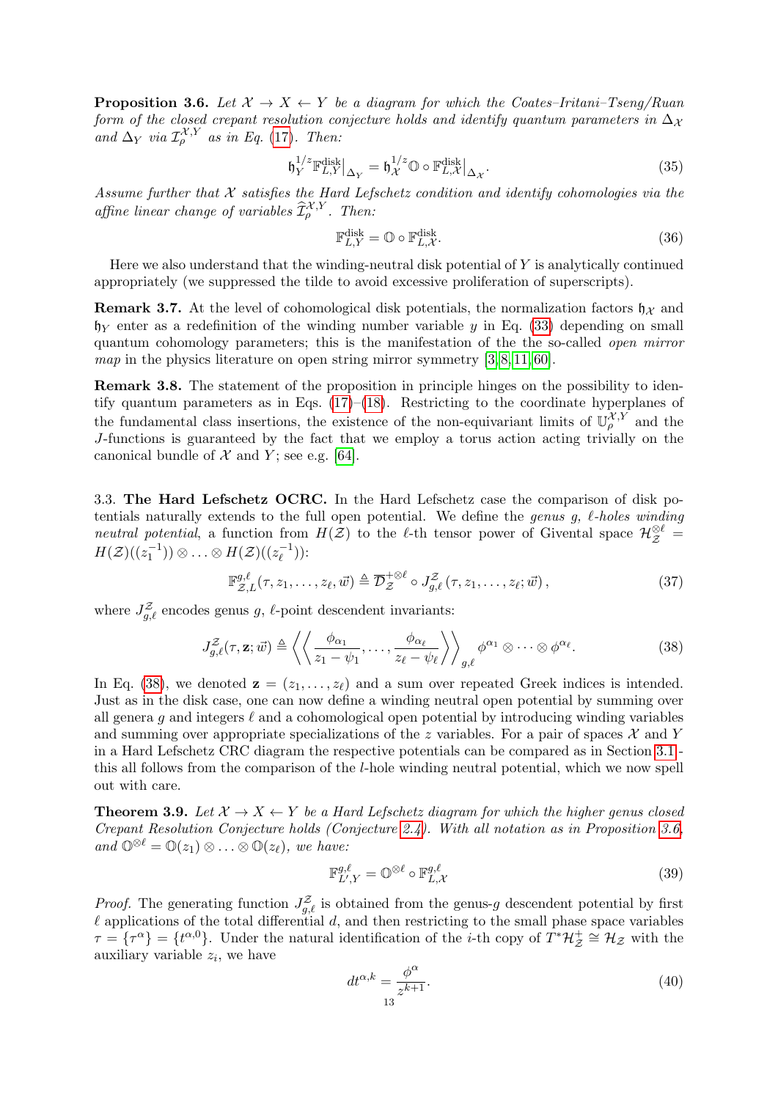**Proposition 3.6.** Let  $X \rightarrow X \leftarrow Y$  be a diagram for which the Coates–Iritani–Tseng/Ruan form of the closed crepant resolution conjecture holds and identify quantum parameters in  $\Delta_{\mathcal{X}}$ and  $\Delta_Y$  via  $\mathcal{I}^{\mathcal{X},Y}_{\rho}$  as in Eq. [\(17\)](#page-7-2). Then:

$$
\mathfrak{h}_Y^{1/z} \mathbb{F}_{L,Y}^{\text{disk}}|_{\Delta_Y} = \mathfrak{h}_\mathcal{X}^{1/z} \mathbb{O} \circ \mathbb{F}_{L,\mathcal{X}}^{\text{disk}}|_{\Delta_\mathcal{X}}.
$$
\n(35)

Assume further that  $\mathcal X$  satisfies the Hard Lefschetz condition and identify cohomologies via the affine linear change of variables  $\widehat{\mathcal{I}}_{\rho}^{\mathcal{X},Y}$ . Then:

$$
\mathbb{F}_{L,Y}^{\text{disk}} = \mathbb{O} \circ \mathbb{F}_{L,\mathcal{X}}^{\text{disk}}.\tag{36}
$$

Here we also understand that the winding-neutral disk potential of  $Y$  is analytically continued appropriately (we suppressed the tilde to avoid excessive proliferation of superscripts).

**Remark 3.7.** At the level of cohomological disk potentials, the normalization factors  $\mathfrak{h}_{\mathcal{X}}$  and  $h<sub>Y</sub>$  enter as a redefinition of the winding number variable y in Eq. [\(33\)](#page-11-4) depending on small quantum cohomology parameters; this is the manifestation of the the so-called open mirror map in the physics literature on open string mirror symmetry  $[3, 8, 11, 60]$  $[3, 8, 11, 60]$  $[3, 8, 11, 60]$  $[3, 8, 11, 60]$ .

Remark 3.8. The statement of the proposition in principle hinges on the possibility to identify quantum parameters as in Eqs.  $(17)$ – $(18)$ . Restricting to the coordinate hyperplanes of the fundamental class insertions, the existence of the non-equivariant limits of  $\mathbb{U}_{\rho}^{\mathcal{X},Y}$  and the J-functions is guaranteed by the fact that we employ a torus action acting trivially on the canonical bundle of  $\mathcal X$  and  $Y$ ; see e.g. [\[64\]](#page-46-8).

<span id="page-12-0"></span>3.3. The Hard Lefschetz OCRC. In the Hard Lefschetz case the comparison of disk potentials naturally extends to the full open potential. We define the genus g,  $\ell$ -holes winding neutral potential, a function from  $H(\mathcal{Z})$  to the  $\ell$ -th tensor power of Givental space  $\mathcal{H}_{\mathcal{Z}}^{\otimes \ell}$  $H(\mathcal{Z})((z_1^{-1}))\otimes\ldots\otimes H(\mathcal{Z})((z_\ell^{-1}))$  $\binom{-1}{\ell}$ ):

$$
\mathbb{F}_{\mathcal{Z},L}^{g,\ell}(\tau,z_1,\ldots,z_\ell,\vec{w}) \triangleq \overline{\mathcal{D}}_{\mathcal{Z}}^{+\otimes \ell} \circ J_{g,\ell}^{\mathcal{Z}}(\tau,z_1,\ldots,z_\ell;\vec{w}),\tag{37}
$$

where  $J_{g,\ell}^{\mathcal{Z}}$  encodes genus g,  $\ell$ -point descendent invariants:

<span id="page-12-1"></span>
$$
J_{g,\ell}^{\mathcal{Z}}(\tau,\mathbf{z};\vec{w}) \triangleq \left\langle \left\langle \frac{\phi_{\alpha_1}}{z_1 - \psi_1}, \ldots, \frac{\phi_{\alpha_\ell}}{z_\ell - \psi_\ell} \right\rangle \right\rangle_{g,\ell} \phi^{\alpha_1} \otimes \cdots \otimes \phi^{\alpha_\ell}.
$$
 (38)

In Eq. [\(38\)](#page-12-1), we denoted  $\mathbf{z} = (z_1, \ldots, z_\ell)$  and a sum over repeated Greek indices is intended. Just as in the disk case, one can now define a winding neutral open potential by summing over all genera q and integers  $\ell$  and a cohomological open potential by introducing winding variables and summing over appropriate specializations of the z variables. For a pair of spaces  $\mathcal X$  and Y in a Hard Lefschetz CRC diagram the respective potentials can be compared as in Section [3.1](#page-8-2) this all follows from the comparison of the l-hole winding neutral potential, which we now spell out with care.

<span id="page-12-3"></span>**Theorem 3.9.** Let  $X \to X \leftarrow Y$  be a Hard Lefschetz diagram for which the higher genus closed Crepant Resolution Conjecture holds (Conjecture [2.4\)](#page-8-4). With all notation as in Proposition [3.6,](#page-11-1) and  $\mathbb{O}^{\otimes \ell} = \mathbb{O}(z_1) \otimes \ldots \otimes \mathbb{O}(z_\ell)$ , we have:

$$
\mathbb{F}_{L',Y}^{g,\ell} = \mathbb{O}^{\otimes \ell} \circ \mathbb{F}_{L,\mathcal{X}}^{g,\ell} \tag{39}
$$

*Proof.* The generating function  $J_{g,\ell}^{\mathcal{Z}}$  is obtained from the genus-g descendent potential by first  $\ell$  applications of the total differential d, and then restricting to the small phase space variables  $\tau = {\tau^{\alpha}} = {t^{\alpha,0}}$ . Under the natural identification of the *i*-th copy of  $T^*\mathcal{H}^+_{\mathcal{Z}} \cong \mathcal{H}_{\mathcal{Z}}$  with the auxiliary variable  $z_i$ , we have

<span id="page-12-2"></span>
$$
dt^{\alpha,k} = \frac{\phi^{\alpha}}{z^{k+1}}.
$$
\n(40)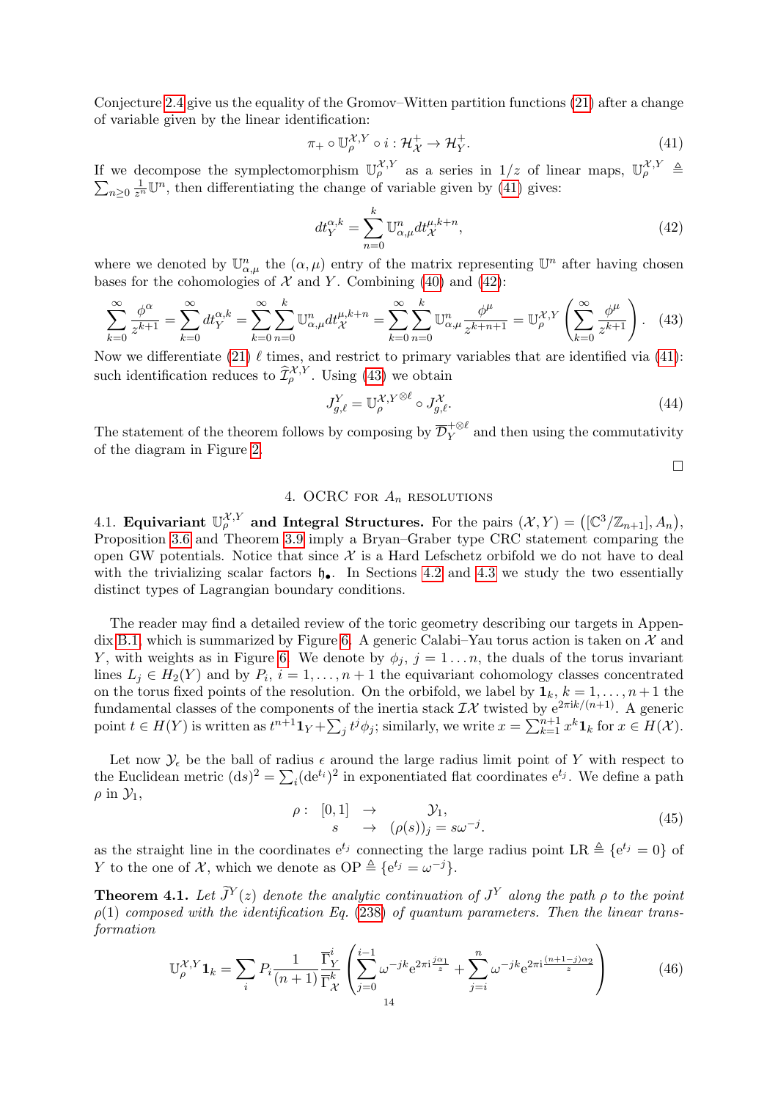Conjecture [2.4](#page-8-4) give us the equality of the Gromov–Witten partition functions [\(21\)](#page-8-9) after a change of variable given by the linear identification:

<span id="page-13-3"></span>
$$
\pi_+ \circ \mathbb{U}_\rho^{\mathcal{X}, Y} \circ i : \mathcal{H}_\mathcal{X}^+ \to \mathcal{H}_Y^+.
$$
\n
$$
\tag{41}
$$

If we decompose the symplectomorphism  $\mathbb{U}_{\rho}^{\mathcal{X},Y}$  as a series in  $1/z$  of linear maps,  $\mathbb{U}_{\rho}^{\mathcal{X},Y} \triangleq$  $\sum_{n\geq 0} \frac{1}{z^n} \mathbb{U}^n$ , then differentiating the change of variable given by [\(41\)](#page-13-3) gives:

<span id="page-13-4"></span>
$$
dt_Y^{\alpha,k} = \sum_{n=0}^k \mathbb{U}_{\alpha,\mu}^n dt_X^{\mu,k+n},\tag{42}
$$

where we denoted by  $\mathbb{U}_{\alpha,\mu}^n$  the  $(\alpha,\mu)$  entry of the matrix representing  $\mathbb{U}^n$  after having chosen bases for the cohomologies of  $\mathcal X$  and Y. Combining [\(40\)](#page-12-2) and [\(42\)](#page-13-4):

$$
\sum_{k=0}^{\infty} \frac{\phi^{\alpha}}{z^{k+1}} = \sum_{k=0}^{\infty} dt_Y^{\alpha,k} = \sum_{k=0}^{\infty} \sum_{n=0}^k \mathbb{U}_{\alpha,\mu}^n dt_X^{\mu,k+n} = \sum_{k=0}^{\infty} \sum_{n=0}^k \mathbb{U}_{\alpha,\mu}^n \frac{\phi^{\mu}}{z^{k+n+1}} = \mathbb{U}_{\rho}^{\chi,Y} \left( \sum_{k=0}^{\infty} \frac{\phi^{\mu}}{z^{k+1}} \right). \tag{43}
$$

Now we differentiate [\(21\)](#page-8-9)  $\ell$  times, and restrict to primary variables that are identified via [\(41\)](#page-13-3): such identification reduces to  $\widehat{\mathcal{I}}^{\mathcal{X}, Y}_{\rho}$ . Using [\(43\)](#page-13-5) we obtain

$$
J_{g,\ell}^Y = \mathbb{U}_{\rho}^{\mathcal{X},Y\otimes\ell} \circ J_{g,\ell}^{\mathcal{X}}.
$$
\n(44)

The statement of the theorem follows by composing by  $\overline{\mathcal{D}}_Y^{+\otimes \ell}$  and then using the commutativity of the diagram in Figure [2.](#page-11-3)

<span id="page-13-5"></span> $\Box$ 

# 4. OCRC FOR  $A_n$  resolutions

<span id="page-13-1"></span><span id="page-13-0"></span>4.1. Equivariant  $\mathbb{U}_{\rho}^{\mathcal{X},Y}$  and Integral Structures. For the pairs  $(\mathcal{X}, Y) = ([\mathbb{C}^3/\mathbb{Z}_{n+1}], A_n)$ , Proposition [3.6](#page-11-1) and Theorem [3.9](#page-12-3) imply a Bryan–Graber type CRC statement comparing the open GW potentials. Notice that since  $\mathcal X$  is a Hard Lefschetz orbifold we do not have to deal with the trivializing scalar factors  $\mathfrak{h}_{\bullet}$ . In Sections [4.2](#page-15-0) and [4.3](#page-16-0) we study the two essentially distinct types of Lagrangian boundary conditions.

The reader may find a detailed review of the toric geometry describing our targets in Appen-dix [B.1,](#page-39-1) which is summarized by Figure [6.](#page-40-0) A generic Calabi–Yau torus action is taken on  $\mathcal{X}$  and Y, with weights as in Figure [6.](#page-40-0) We denote by  $\phi_i$ ,  $j = 1 \dots n$ , the duals of the torus invariant lines  $L_j \in H_2(Y)$  and by  $P_i$ ,  $i = 1, ..., n + 1$  the equivariant cohomology classes concentrated on the torus fixed points of the resolution. On the orbifold, we label by  $\mathbf{1}_k$ ,  $k = 1, \ldots, n+1$  the fundamental classes of the components of the inertia stack  $\mathcal{I}\mathcal{X}$  twisted by  $e^{2\pi i k/(n+1)}$ . A generic point  $t \in H(Y)$  is written as  $t^{n+1} \mathbf{1}_Y + \sum_j t^j \phi_j$ ; similarly, we write  $x = \sum_{k=1}^{n+1} x^k \mathbf{1}_k$  for  $x \in H(\mathcal{X})$ .

Let now  $\mathcal{Y}_{\epsilon}$  be the ball of radius  $\epsilon$  around the large radius limit point of Y with respect to the Euclidean metric  $(ds)^2 = \sum_i (de^{t_i})^2$  in exponentiated flat coordinates  $e^{t_j}$ . We define a path  $\rho$  in  $\mathcal{Y}_1$ ,

<span id="page-13-6"></span>
$$
\rho: [0,1] \rightarrow \mathcal{Y}_1,s \rightarrow (\rho(s))_j = s\omega^{-j}.
$$
\n(45)

as the straight line in the coordinates  $e^{t_j}$  connecting the large radius point LR  $\triangleq \{e^{t_j} = 0\}$  of Y to the one of X, which we denote as  $\text{OP} \triangleq \{e^{t_j} = \omega^{-j}\}.$ 

<span id="page-13-2"></span>**Theorem 4.1.** Let  $\widetilde{J}^Y(z)$  denote the analytic continuation of  $J^Y$  along the path  $\rho$  to the point  $\rho(1)$  composed with the identification Eq. [\(238\)](#page-42-2) of quantum parameters. Then the linear transformation

<span id="page-13-7"></span>
$$
\mathbb{U}_{\rho}^{\mathcal{X},Y}\mathbf{1}_{k} = \sum_{i} P_{i}\frac{1}{(n+1)}\frac{\overline{\Gamma}_{Y}^{i}}{\overline{\Gamma}_{\mathcal{X}}^{k}}\left(\sum_{j=0}^{i-1} \omega^{-jk} e^{2\pi i \frac{j\alpha_{1}}{z}} + \sum_{j=i}^{n} \omega^{-jk} e^{2\pi i \frac{(n+1-j)\alpha_{2}}{z}}\right)
$$
(46)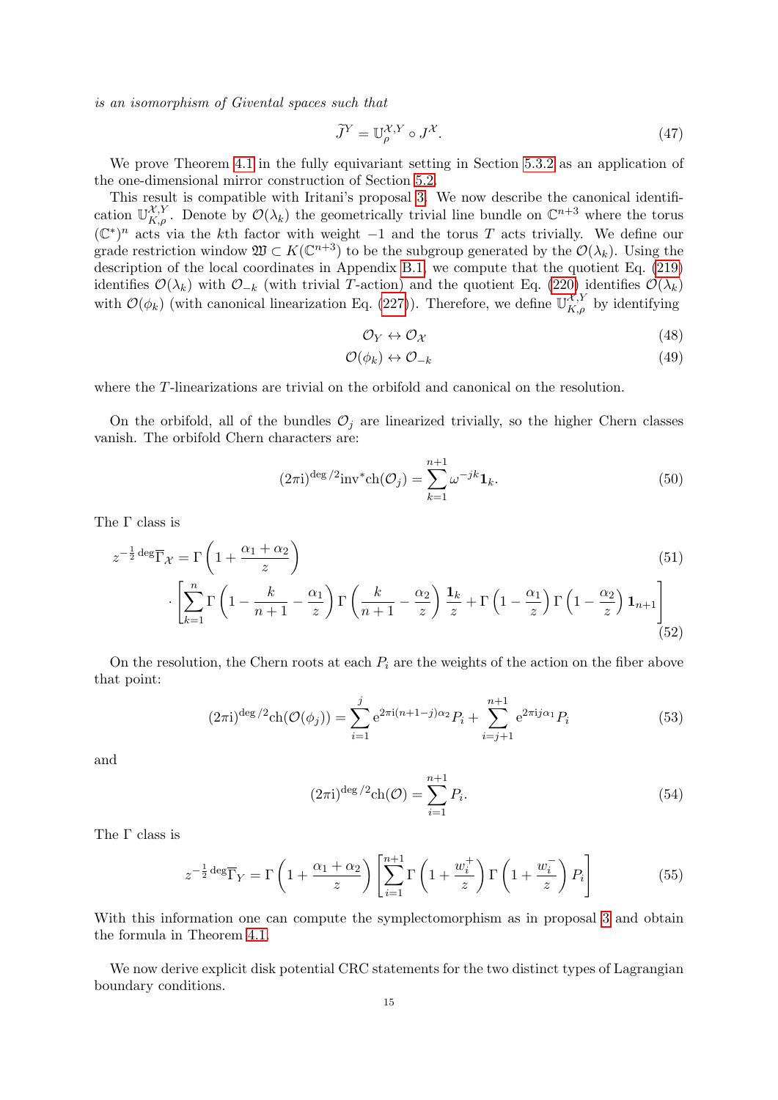is an isomorphism of Givental spaces such that

$$
\tilde{J}^Y = \mathbb{U}_\rho^{\mathcal{X}, Y} \circ J^{\mathcal{X}}.\tag{47}
$$

We prove Theorem [4.1](#page-13-2) in the fully equivariant setting in Section [5.3.2](#page-23-0) as an application of the one-dimensional mirror construction of Section [5.2.](#page-19-0)

This result is compatible with Iritani's proposal [3.](#page-7-0) We now describe the canonical identification  $\mathbb{U}_{K,\rho}^{\mathcal{X},Y}$ . Denote by  $\mathcal{O}(\lambda_k)$  the geometrically trivial line bundle on  $\mathbb{C}^{n+3}$  where the torus  $(\mathbb{C}^*)^n$  acts via the kth factor with weight -1 and the torus T acts trivially. We define our grade restriction window  $\mathfrak{W} \subset K(\mathbb{C}^{n+3})$  to be the subgroup generated by the  $\mathcal{O}(\lambda_k)$ . Using the description of the local coordinates in Appendix [B.1,](#page-39-1) we compute that the quotient Eq. [\(219\)](#page-39-2) identifies  $\mathcal{O}(\lambda_k)$  with  $\mathcal{O}_{-k}$  (with trivial T-action) and the quotient Eq. [\(220\)](#page-39-3) identifies  $\mathcal{O}(\lambda_k)$ with  $\mathcal{O}(\phi_k)$  (with canonical linearization Eq. [\(227\)](#page-41-1)). Therefore, we define  $\mathbb{U}_{K,\rho}^{\mathcal{X},Y}$  by identifying

$$
\mathcal{O}_Y \leftrightarrow \mathcal{O}_\mathcal{X} \tag{48}
$$

$$
\mathcal{O}(\phi_k) \leftrightarrow \mathcal{O}_{-k} \tag{49}
$$

where the T-linearizations are trivial on the orbifold and canonical on the resolution.

On the orbifold, all of the bundles  $\mathcal{O}_j$  are linearized trivially, so the higher Chern classes vanish. The orbifold Chern characters are:

$$
(2\pi i)^{\deg/2} \text{inv}^* \text{ch}(\mathcal{O}_j) = \sum_{k=1}^{n+1} \omega^{-jk} \mathbf{1}_k.
$$
 (50)

The Γ class is

$$
z^{-\frac{1}{2}\deg}\overline{\Gamma}_{\mathcal{X}} = \Gamma\left(1 + \frac{\alpha_1 + \alpha_2}{z}\right)
$$
\n
$$
\cdot \left[\sum_{k=1}^n \Gamma\left(1 - \frac{k}{n+1} - \frac{\alpha_1}{z}\right) \Gamma\left(\frac{k}{n+1} - \frac{\alpha_2}{z}\right) \frac{\mathbf{1}_k}{z} + \Gamma\left(1 - \frac{\alpha_1}{z}\right) \Gamma\left(1 - \frac{\alpha_2}{z}\right) \mathbf{1}_{n+1}\right]
$$
\n(52)

On the resolution, the Chern roots at each  $P_i$  are the weights of the action on the fiber above that point:

$$
(2\pi i)^{\deg/2} \text{ch}(\mathcal{O}(\phi_j)) = \sum_{i=1}^j e^{2\pi i (n+1-j)\alpha_2} P_i + \sum_{i=j+1}^{n+1} e^{2\pi i j \alpha_1} P_i \tag{53}
$$

and

$$
(2\pi i)^{\deg/2} \text{ch}(\mathcal{O}) = \sum_{i=1}^{n+1} P_i.
$$
 (54)

The  $\Gamma$  class is

$$
z^{-\frac{1}{2}\deg}\overline{\Gamma}_Y = \Gamma\left(1 + \frac{\alpha_1 + \alpha_2}{z}\right) \left[\sum_{i=1}^{n+1} \Gamma\left(1 + \frac{w_i^+}{z}\right) \Gamma\left(1 + \frac{w_i^-}{z}\right) P_i\right]
$$
(55)

With this information one can compute the symplectomorphism as in proposal [3](#page-7-0) and obtain the formula in Theorem [4.1.](#page-13-2)

We now derive explicit disk potential CRC statements for the two distinct types of Lagrangian boundary conditions.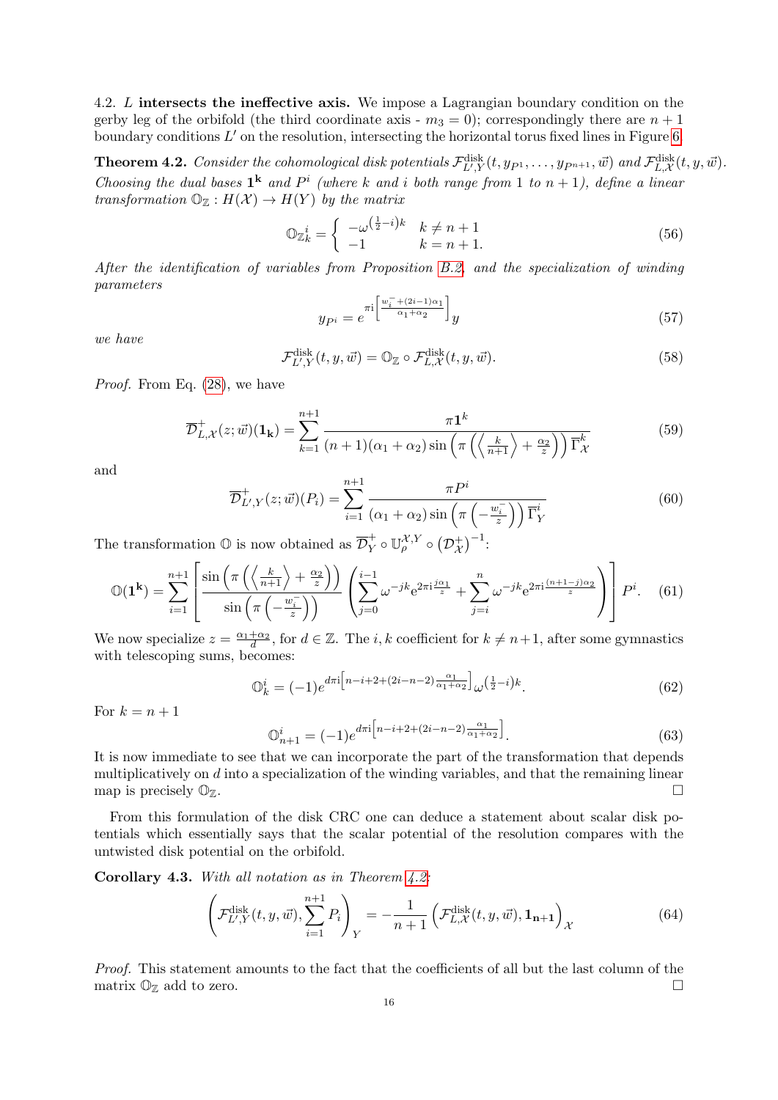<span id="page-15-0"></span>4.2. L intersects the ineffective axis. We impose a Lagrangian boundary condition on the gerby leg of the orbifold (the third coordinate axis -  $m_3 = 0$ ); correspondingly there are  $n + 1$ boundary conditions  $L'$  on the resolution, intersecting the horizontal torus fixed lines in Figure [6.](#page-40-0)

<span id="page-15-1"></span>**Theorem 4.2.** Consider the cohomological disk potentials  $\mathcal{F}_{L',Y}^{\text{disk}}(t, y_{P^1}, \ldots, y_{P^{n+1}}, \vec{w})$  and  $\mathcal{F}_{L,X}^{\text{disk}}(t, y, \vec{w})$ . Choosing the dual bases  $1^k$  and  $P^i$  (where k and i both range from 1 to  $n + 1$ ), define a linear transformation  $\mathbb{O}_{\mathbb{Z}} : H(\mathcal{X}) \to H(Y)$  by the matrix

$$
\mathbb{O}_{\mathbb{Z}_k}^i = \begin{cases}\n-\omega^{\left(\frac{1}{2} - i\right)k} & k \neq n+1 \\
-1 & k = n+1.\n\end{cases}\n\tag{56}
$$

After the identification of variables from Proposition [B.2,](#page-42-3) and the specialization of winding parameters

$$
y_{P^i} = e^{\pi i \left[ \frac{w_i^- + (2i - 1)\alpha_1}{\alpha_1 + \alpha_2} \right]} y \tag{57}
$$

we have

$$
\mathcal{F}_{L',Y}^{\text{disk}}(t,y,\vec{w}) = \mathbb{O}_{\mathbb{Z}} \circ \mathcal{F}_{L,\mathcal{X}}^{\text{disk}}(t,y,\vec{w}).
$$
\n(58)

Proof. From Eq. [\(28\)](#page-10-1), we have

$$
\overline{\mathcal{D}}_{L,\mathcal{X}}^+(z;\vec{w})({\bf 1_k}) = \sum_{k=1}^{n+1} \frac{\pi {\bf 1}^k}{(n+1)(\alpha_1 + \alpha_2) \sin\left(\pi \left(\left\langle \frac{k}{n+1} \right\rangle + \frac{\alpha_2}{z}\right)\right) \overline{\Gamma}_{\mathcal{X}}^k}
$$
(59)

and

$$
\overline{\mathcal{D}}_{L',Y}^+(z;\vec{w})(P_i) = \sum_{i=1}^{n+1} \frac{\pi P^i}{(\alpha_1 + \alpha_2) \sin\left(\pi \left(-\frac{w_i^-}{z}\right)\right) \overline{\Gamma}_Y^i}
$$
(60)

The transformation  $\mathbb{O}$  is now obtained as  $\overline{\mathcal{D}}_Y^+ \circ \mathbb{U}_{\rho}^{\mathcal{X},Y} \circ (\mathcal{D}_{\mathcal{X}}^+)^{-1}$ :

$$
\mathbb{O}(\mathbf{1}^{\mathbf{k}}) = \sum_{i=1}^{n+1} \left[ \frac{\sin \left( \pi \left( \left\langle \frac{k}{n+1} \right\rangle + \frac{\alpha_2}{z} \right) \right)}{\sin \left( \pi \left( -\frac{w_i^-}{z} \right) \right)} \left( \sum_{j=0}^{i-1} \omega^{-jk} e^{2\pi i \frac{j\alpha_1}{z}} + \sum_{j=i}^n \omega^{-jk} e^{2\pi i \frac{(n+1-j)\alpha_2}{z}} \right) \right] P^i. \quad (61)
$$

We now specialize  $z = \frac{\alpha_1 + \alpha_2}{d}$ , for  $d \in \mathbb{Z}$ . The *i*, *k* coefficient for  $k \neq n+1$ , after some gymnastics with telescoping sums, becomes:

$$
\mathbb{O}_k^i = (-1)e^{d\pi i \left[n-i+2+(2i-n-2)\frac{\alpha_1}{\alpha_1+\alpha_2}\right]} \omega^{\left(\frac{1}{2}-i\right)k}.
$$
\n(62)

For  $k = n + 1$ 

$$
\mathbb{O}_{n+1}^{i} = (-1)e^{d\pi i \left[n-i+2+(2i-n-2)\frac{\alpha_1}{\alpha_1+\alpha_2}\right]}.
$$
\n(63)

It is now immediate to see that we can incorporate the part of the transformation that depends multiplicatively on d into a specialization of the winding variables, and that the remaining linear map is precisely  $\mathbb{O}_\mathbb{Z}$ .

From this formulation of the disk CRC one can deduce a statement about scalar disk potentials which essentially says that the scalar potential of the resolution compares with the untwisted disk potential on the orbifold.

Corollary 4.3. With all notation as in Theorem  $4.2$ :

<span id="page-15-2"></span>
$$
\left(\mathcal{F}_{L',Y}^{\text{disk}}(t,y,\vec{w}),\sum_{i=1}^{n+1}P_i\right)_Y = -\frac{1}{n+1}\left(\mathcal{F}_{L,\mathcal{X}}^{\text{disk}}(t,y,\vec{w}),\mathbf{1}_{n+1}\right)_X\tag{64}
$$

Proof. This statement amounts to the fact that the coefficients of all but the last column of the matrix  $\mathbb{O}_{\mathbb{Z}}$  add to zero.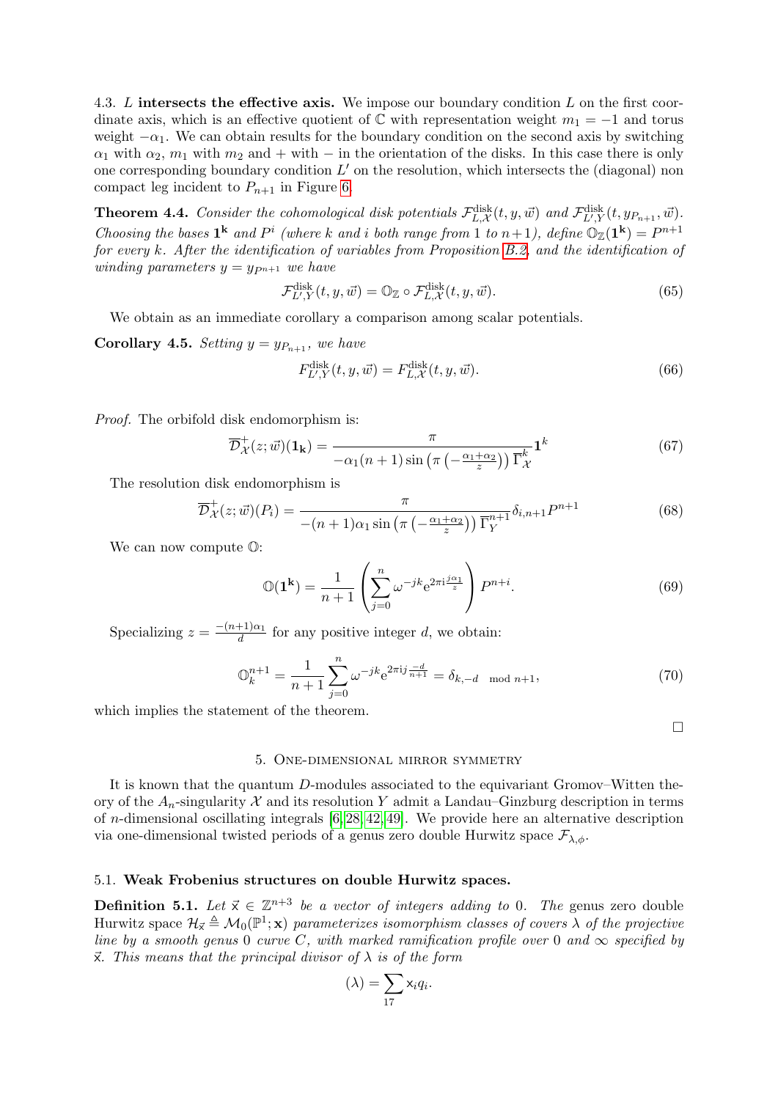<span id="page-16-0"></span>4.3. L intersects the effective axis. We impose our boundary condition L on the first coordinate axis, which is an effective quotient of  $\mathbb C$  with representation weight  $m_1 = -1$  and torus weight  $-\alpha_1$ . We can obtain results for the boundary condition on the second axis by switching  $\alpha_1$  with  $\alpha_2$ ,  $m_1$  with  $m_2$  and + with – in the orientation of the disks. In this case there is only one corresponding boundary condition  $L'$  on the resolution, which intersects the (diagonal) non compact leg incident to  $P_{n+1}$  in Figure [6.](#page-40-0)

<span id="page-16-3"></span>**Theorem 4.4.** Consider the cohomological disk potentials  $\mathcal{F}_{L,\mathcal{X}}^{\text{disk}}(t, y, \vec{w})$  and  $\mathcal{F}_{L',Y}^{\text{disk}}(t, y_{P_{n+1}}, \vec{w})$ . Choosing the bases  $\mathbf{1}^{\mathbf{k}}$  and  $P^i$  (where k and i both range from 1 to  $n+1$ ), define  $\mathbb{O}_{\mathbb{Z}}(\mathbf{1}^{\mathbf{k}}) = P^{n+1}$ for every k. After the identification of variables from Proposition [B.2,](#page-42-3) and the identification of winding parameters  $y = y_{P^{n+1}}$  we have

$$
\mathcal{F}_{L',Y}^{\text{disk}}(t,y,\vec{w}) = \mathbb{O}_{\mathbb{Z}} \circ \mathcal{F}_{L,\mathcal{X}}^{\text{disk}}(t,y,\vec{w}).\tag{65}
$$

We obtain as an immediate corollary a comparison among scalar potentials.

**Corollary 4.5.** Setting  $y = y_{P_{n+1}}$ , we have

<span id="page-16-4"></span>
$$
F_{L',Y}^{\text{disk}}(t,y,\vec{w}) = F_{L,\mathcal{X}}^{\text{disk}}(t,y,\vec{w}).
$$
\n(66)

Proof. The orbifold disk endomorphism is:

$$
\overline{\mathcal{D}}_{\mathcal{X}}^+(z;\vec{w})(\mathbf{1_k}) = \frac{\pi}{-\alpha_1(n+1)\sin\left(\pi\left(-\frac{\alpha_1+\alpha_2}{z}\right)\right)\overline{\Gamma}_{\mathcal{X}}^k} \mathbf{1}^k
$$
(67)

The resolution disk endomorphism is

$$
\overline{\mathcal{D}}_{\mathcal{X}}^{+}(z;\vec{w})(P_i) = \frac{\pi}{-(n+1)\alpha_1 \sin\left(\pi\left(-\frac{\alpha_1+\alpha_2}{z}\right)\right) \overline{\Gamma}_{Y}^{n+1}} \delta_{i,n+1} P^{n+1}
$$
(68)

We can now compute O:

$$
\mathbb{O}(\mathbf{1}^{\mathbf{k}}) = \frac{1}{n+1} \left( \sum_{j=0}^{n} \omega^{-jk} e^{2\pi i \frac{j\alpha_1}{z}} \right) P^{n+i}.
$$
 (69)

Specializing  $z = \frac{-(n+1)\alpha_1}{d}$  $\frac{d+1}{d}$  for any positive integer d, we obtain:

$$
\mathbb{O}_k^{n+1} = \frac{1}{n+1} \sum_{j=0}^n \omega^{-jk} e^{2\pi i j \frac{-d}{n+1}} = \delta_{k,-d \mod n+1},\tag{70}
$$

which implies the statement of the theorem.

 $\Box$ 

#### 5. One-dimensional mirror symmetry

<span id="page-16-1"></span>It is known that the quantum D-modules associated to the equivariant Gromov–Witten theory of the  $A_n$ -singularity X and its resolution Y admit a Landau–Ginzburg description in terms of *n*-dimensional oscillating integrals  $[6, 28, 42, 49]$  $[6, 28, 42, 49]$  $[6, 28, 42, 49]$  $[6, 28, 42, 49]$ . We provide here an alternative description via one-dimensional twisted periods of a genus zero double Hurwitz space  $\mathcal{F}_{\lambda,\phi}$ .

## <span id="page-16-2"></span>5.1. Weak Frobenius structures on double Hurwitz spaces.

**Definition 5.1.** Let  $\vec{x} \in \mathbb{Z}^{n+3}$  be a vector of integers adding to 0. The genus zero double Hurwitz space  $\mathcal{H}_{\vec{\chi}} \triangleq \mathcal{M}_0(\mathbb{P}^1; \mathbf{x})$  parameterizes isomorphism classes of covers  $\lambda$  of the projective line by a smooth genus 0 curve C, with marked ramification profile over 0 and  $\infty$  specified by  $\vec{x}$ . This means that the principal divisor of  $\lambda$  is of the form

$$
(\lambda) = \sum_{17} x_i q_i.
$$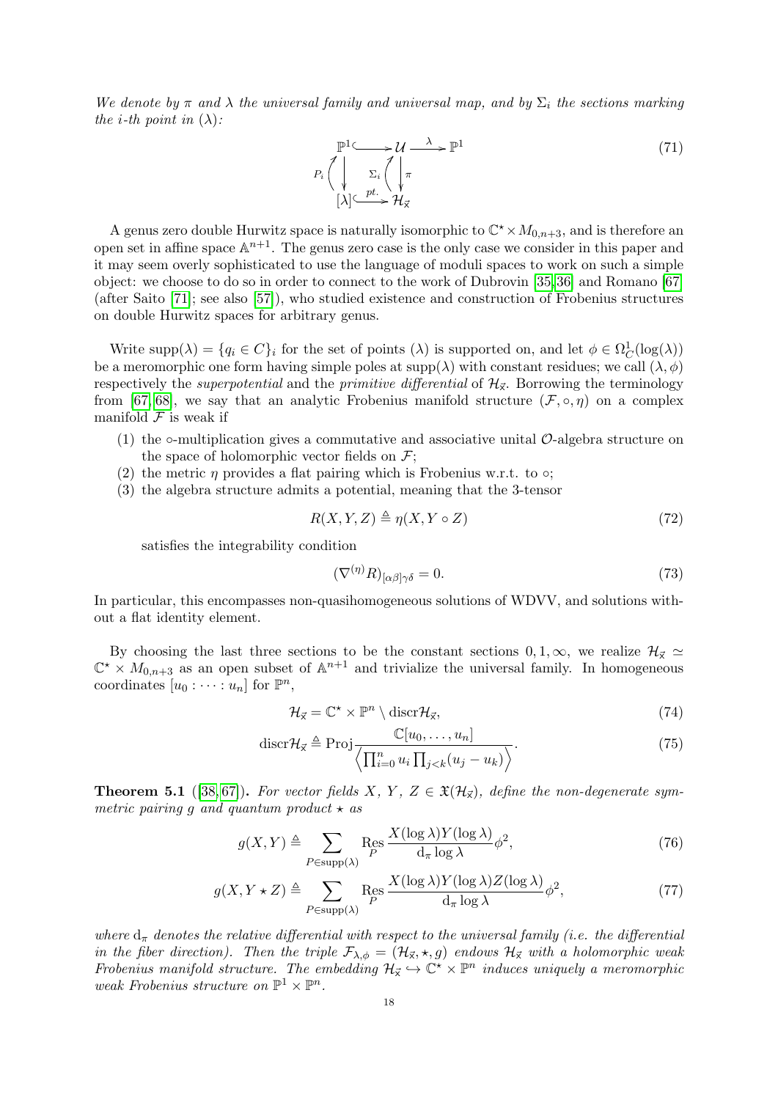We denote by  $\pi$  and  $\lambda$  the universal family and universal map, and by  $\Sigma_i$  the sections marking the *i*-th point in  $(\lambda)$ :

$$
\mathbb{P}^{1} \longrightarrow \mathcal{U} \longrightarrow \mathbb{P}^{1}
$$
\n
$$
P_{i} \left( \bigvee_{\substack{\Sigma_{i} \\ [\lambda] \subseteq \mathcal{V}^{t}} \mathcal{H}_{\chi}} \Sigma_{i} \left( \bigvee_{\substack{\pi \\ \forall \mu \in \mathcal{H}_{\chi}}} \pi \right) \right) \tag{71}
$$

A genus zero double Hurwitz space is naturally isomorphic to  $\mathbb{C}^* \times M_{0,n+3}$ , and is therefore an open set in affine space  $\mathbb{A}^{n+1}$ . The genus zero case is the only case we consider in this paper and it may seem overly sophisticated to use the language of moduli spaces to work on such a simple object: we choose to do so in order to connect to the work of Dubrovin [\[35,](#page-45-20) [36\]](#page-45-21) and Romano [\[67\]](#page-46-15) (after Saito [\[71\]](#page-46-16); see also [\[57\]](#page-46-17)), who studied existence and construction of Frobenius structures on double Hurwitz spaces for arbitrary genus.

Write  $\text{supp}(\lambda) = \{q_i \in C\}_i$  for the set of points  $(\lambda)$  is supported on, and let  $\phi \in \Omega^1_C(\log(\lambda))$ be a meromorphic one form having simple poles at  $supp(\lambda)$  with constant residues; we call  $(\lambda, \phi)$ respectively the *superpotential* and the *primitive differential* of  $\mathcal{H}_{\vec{x}}$ . Borrowing the terminology from [\[67,](#page-46-15) [68\]](#page-46-18), we say that an analytic Frobenius manifold structure  $(\mathcal{F}, \circ, \eta)$  on a complex manifold  $\mathcal F$  is weak if

- (1) the ∘-multiplication gives a commutative and associative unital  $\mathcal{O}$ -algebra structure on the space of holomorphic vector fields on  $\mathcal{F}$ ;
- (2) the metric  $\eta$  provides a flat pairing which is Frobenius w.r.t. to  $\circ$ ;
- (3) the algebra structure admits a potential, meaning that the 3-tensor

$$
R(X, Y, Z) \triangleq \eta(X, Y \circ Z) \tag{72}
$$

satisfies the integrability condition

<span id="page-17-2"></span>
$$
(\nabla^{(\eta)} R)_{[\alpha\beta]\gamma\delta} = 0. \tag{73}
$$

In particular, this encompasses non-quasihomogeneous solutions of WDVV, and solutions without a flat identity element.

By choosing the last three sections to be the constant sections  $0, 1, \infty$ , we realize  $\mathcal{H}_{\vec{\mathsf{x}}} \simeq \mathbb{C}^* \times M_{0,n+3}$  as an open subset of  $\mathbb{A}^{n+1}$  and trivialize the universal family. In homogeneous coordinates  $[u_0: \cdots : u_n]$  for  $\mathbb{P}^n$ ,

<span id="page-17-1"></span><span id="page-17-0"></span>
$$
\mathcal{H}_{\vec{x}} = \mathbb{C}^{\star} \times \mathbb{P}^n \setminus \text{discr} \mathcal{H}_{\vec{x}},\tag{74}
$$

$$
\operatorname{discr} \mathcal{H}_{\vec{\mathsf{x}}} \triangleq \operatorname{Proj} \frac{\mathbb{C}[u_0, \dots, u_n]}{\left\langle \prod_{i=0}^n u_i \prod_{j < k} (u_j - u_k) \right\rangle}.
$$
\n(75)

**Theorem 5.1** ([\[38,](#page-45-22)67]). For vector fields X, Y, Z  $\in \mathfrak{X}(\mathcal{H}_{\mathfrak{X}})$ , define the non-degenerate symmetric pairing g and quantum product  $\star$  as

$$
g(X,Y) \triangleq \sum_{P \in \text{supp}(\lambda)} \text{Res}_{P} \frac{X(\log \lambda) Y(\log \lambda)}{\mathrm{d}_{\pi} \log \lambda} \phi^2,\tag{76}
$$

$$
g(X, Y \star Z) \triangleq \sum_{P \in \text{supp}(\lambda)} \text{Res}_{P} \frac{X(\log \lambda) Y(\log \lambda) Z(\log \lambda)}{\mathrm{d}_{\pi} \log \lambda} \phi^2,\tag{77}
$$

where  $d_{\pi}$  denotes the relative differential with respect to the universal family (i.e. the differential in the fiber direction). Then the triple  $\mathcal{F}_{\lambda,\phi} = (\mathcal{H}_{\vec{x}}, \star, g)$  endows  $\mathcal{H}_{\vec{x}}$  with a holomorphic weak Frobenius manifold structure. The embedding  $\mathcal{H}_{\vec{x}} \hookrightarrow \mathbb{C}^{\vec{\star}} \times \mathbb{P}^n$  induces uniquely a meromorphic weak Frobenius structure on  $\mathbb{P}^1 \times \mathbb{P}^n$ .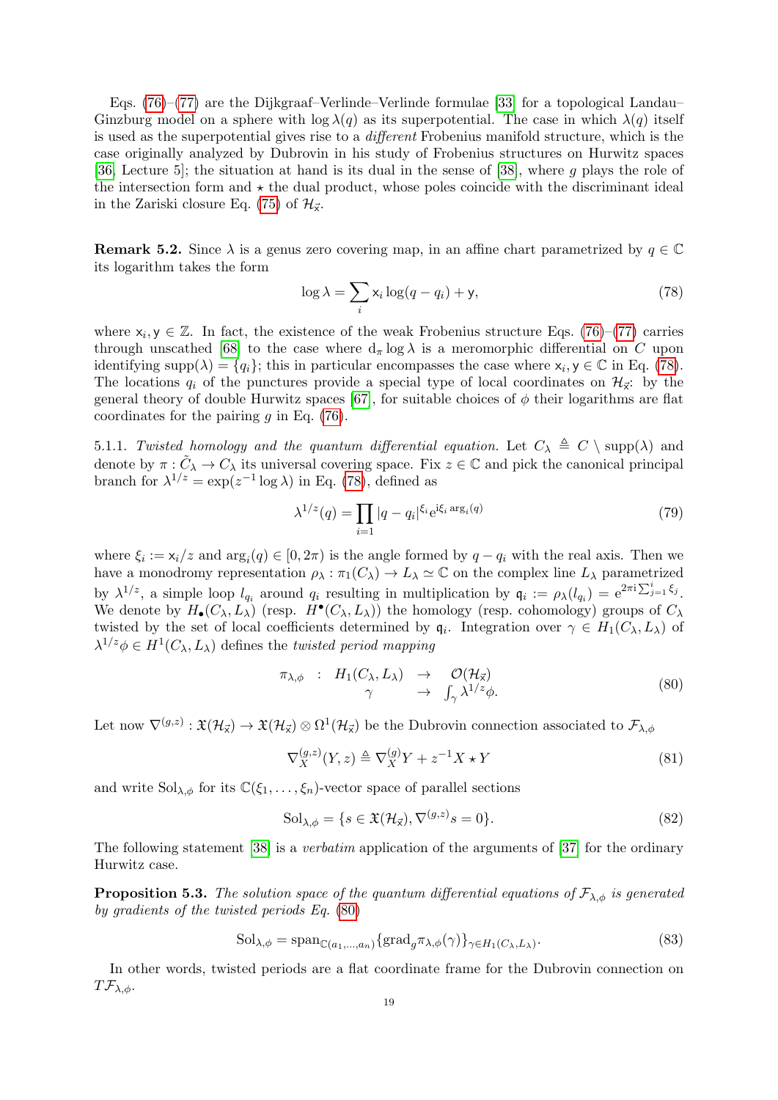Eqs. [\(76\)](#page-17-0)–[\(77\)](#page-17-1) are the Dijkgraaf–Verlinde–Verlinde formulae [\[33\]](#page-45-23) for a topological Landau– Ginzburg model on a sphere with  $\log \lambda(q)$  as its superpotential. The case in which  $\lambda(q)$  itself is used as the superpotential gives rise to a different Frobenius manifold structure, which is the case originally analyzed by Dubrovin in his study of Frobenius structures on Hurwitz spaces [\[36,](#page-45-21) Lecture 5]; the situation at hand is its dual in the sense of [\[38\]](#page-45-22), where g plays the role of the intersection form and  $\star$  the dual product, whose poles coincide with the discriminant ideal in the Zariski closure Eq. [\(75\)](#page-17-2) of  $\mathcal{H}_{\vec{x}}$ .

<span id="page-18-2"></span>**Remark 5.2.** Since  $\lambda$  is a genus zero covering map, in an affine chart parametrized by  $q \in \mathbb{C}$ its logarithm takes the form

<span id="page-18-0"></span>
$$
\log \lambda = \sum_{i} x_i \log(q - q_i) + \mathsf{y},\tag{78}
$$

where  $x_i, y \in \mathbb{Z}$ . In fact, the existence of the weak Frobenius structure Eqs. [\(76\)](#page-17-0)–[\(77\)](#page-17-1) carries through unscathed [\[68\]](#page-46-18) to the case where  $d_{\pi} \log \lambda$  is a meromorphic differential on C upon identifying supp $(\lambda) = \{q_i\}$ ; this in particular encompasses the case where  $x_i, y \in \mathbb{C}$  in Eq. [\(78\)](#page-18-0). The locations  $q_i$  of the punctures provide a special type of local coordinates on  $\mathcal{H}_{\vec{x}}$ : by the general theory of double Hurwitz spaces [\[67\]](#page-46-15), for suitable choices of  $\phi$  their logarithms are flat coordinates for the pairing  $g$  in Eq. [\(76\)](#page-17-0).

5.1.1. Twisted homology and the quantum differential equation. Let  $C_{\lambda} \triangleq C \setminus \text{supp}(\lambda)$  and denote by  $\pi : \tilde{C}_{\lambda} \to C_{\lambda}$  its universal covering space. Fix  $z \in \mathbb{C}$  and pick the canonical principal branch for  $\lambda^{1/z} = \exp(z^{-1} \log \lambda)$  in Eq. [\(78\)](#page-18-0), defined as

$$
\lambda^{1/z}(q) = \prod_{i=1} |q - q_i|^{\xi_i} e^{i\xi_i \arg_i(q)}
$$
\n(79)

where  $\xi_i := x_i/z$  and  $\arg_i(q) \in [0, 2\pi)$  is the angle formed by  $q - q_i$  with the real axis. Then we have a monodromy representation  $\rho_{\lambda} : \pi_1(C_{\lambda}) \to L_{\lambda} \simeq \mathbb{C}$  on the complex line  $L_{\lambda}$  parametrized by  $\lambda^{1/z}$ , a simple loop  $l_{q_i}$  around  $q_i$  resulting in multiplication by  $\mathfrak{q}_i := \rho_\lambda(l_{q_i}) = e^{2\pi i \sum_{j=1}^i \xi_j}$ . We denote by  $H_{\bullet}(C_{\lambda}, L_{\lambda})$  (resp.  $H^{\bullet}(C_{\lambda}, L_{\lambda})$ ) the homology (resp. cohomology) groups of  $C_{\lambda}$ twisted by the set of local coefficients determined by  $\mathfrak{q}_i$ . Integration over  $\gamma \in H_1(C_\lambda, L_\lambda)$  of  $\lambda^{1/z} \phi \in H^1(C_\lambda, L_\lambda)$  defines the *twisted period mapping* 

<span id="page-18-1"></span>
$$
\begin{array}{rcl}\n\pi_{\lambda,\phi} & : & H_1(C_\lambda, L_\lambda) \rightarrow \mathcal{O}(\mathcal{H}_\mathbf{x}) \\
\gamma & \rightarrow \int_\gamma \lambda^{1/z} \phi.\n\end{array} \tag{80}
$$

Let now  $\nabla^{(g,z)} : \mathfrak{X}(\mathcal{H}_{\vec{x}}) \to \mathfrak{X}(\mathcal{H}_{\vec{x}}) \otimes \Omega^1(\mathcal{H}_{\vec{x}})$  be the Dubrovin connection associated to  $\mathcal{F}_{\lambda,\phi}$ 

<span id="page-18-4"></span>
$$
\nabla_X^{(g,z)}(Y,z) \triangleq \nabla_X^{(g)} Y + z^{-1} X \star Y \tag{81}
$$

and write  $Sol_{\lambda,\phi}$  for its  $\mathbb{C}(\xi_1,\ldots,\xi_n)$ -vector space of parallel sections

$$
\mathrm{Sol}_{\lambda,\phi} = \{ s \in \mathfrak{X}(\mathcal{H}_{\vec{\lambda}}), \nabla^{(g,z)} s = 0 \}. \tag{82}
$$

The following statement [\[38\]](#page-45-22) is a verbatim application of the arguments of [\[37\]](#page-45-24) for the ordinary Hurwitz case.

<span id="page-18-3"></span>**Proposition 5.3.** The solution space of the quantum differential equations of  $\mathcal{F}_{\lambda,\phi}$  is generated by gradients of the twisted periods Eq. [\(80\)](#page-18-1)

$$
\text{Sol}_{\lambda,\phi} = \text{span}_{\mathbb{C}(a_1,\dots,a_n)} \{\text{grad}_g \pi_{\lambda,\phi}(\gamma)\}_{\gamma \in H_1(C_\lambda, L_\lambda)}.\tag{83}
$$

In other words, twisted periods are a flat coordinate frame for the Dubrovin connection on  $T\mathcal{F}_{\lambda,\phi}$ .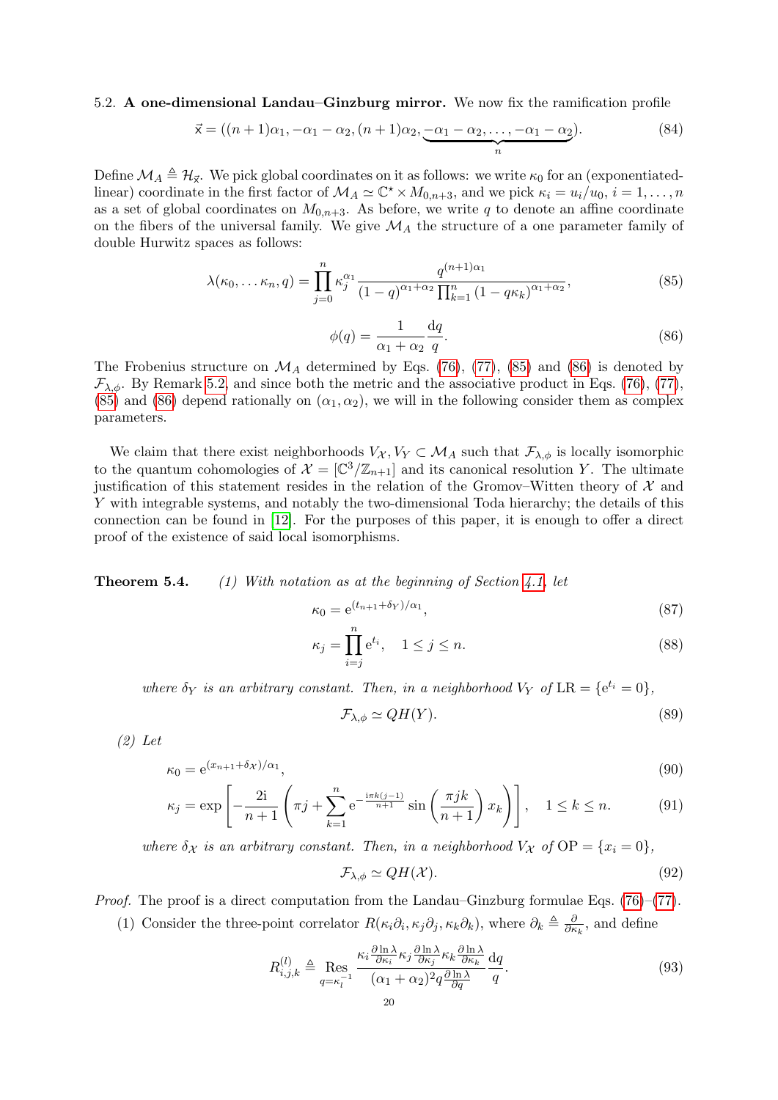<span id="page-19-0"></span>5.2. A one-dimensional Landau–Ginzburg mirror. We now fix the ramification profile

$$
\vec{x} = ((n+1)\alpha_1, -\alpha_1 - \alpha_2, (n+1)\alpha_2, \underbrace{-\alpha_1 - \alpha_2, \dots, -\alpha_1 - \alpha_2}_{n}).
$$
\n(84)

Define  $\mathcal{M}_A \triangleq \mathcal{H}_{\vec{\mathsf{x}}}$ . We pick global coordinates on it as follows: we write  $\kappa_0$  for an (exponentiatedlinear) coordinate in the first factor of  $\mathcal{M}_A \simeq \mathbb{C}^* \times M_{0,n+3}$ , and we pick  $\kappa_i = u_i/u_0$ ,  $i = 1, ..., n$ as a set of global coordinates on  $M_{0,n+3}$ . As before, we write q to denote an affine coordinate on the fibers of the universal family. We give  $\mathcal{M}_A$  the structure of a one parameter family of double Hurwitz spaces as follows:

<span id="page-19-2"></span>
$$
\lambda(\kappa_0, \dots \kappa_n, q) = \prod_{j=0}^n \kappa_j^{\alpha_1} \frac{q^{(n+1)\alpha_1}}{(1-q)^{\alpha_1+\alpha_2} \prod_{k=1}^n (1-q\kappa_k)^{\alpha_1+\alpha_2}},
$$
\n(85)

<span id="page-19-3"></span>
$$
\phi(q) = \frac{1}{\alpha_1 + \alpha_2} \frac{\mathrm{d}q}{q}.\tag{86}
$$

The Frobenius structure on  $\mathcal{M}_A$  determined by Eqs. [\(76\)](#page-17-0), [\(77\)](#page-17-1), [\(85\)](#page-19-2) and [\(86\)](#page-19-3) is denoted by  $\mathcal{F}_{\lambda,\phi}$ . By Remark [5.2,](#page-18-2) and since both the metric and the associative product in Eqs. [\(76\)](#page-17-0), [\(77\)](#page-17-1), [\(85\)](#page-19-2) and [\(86\)](#page-19-3) depend rationally on  $(\alpha_1, \alpha_2)$ , we will in the following consider them as complex parameters.

We claim that there exist neighborhoods  $V_{\mathcal{X}}, V_{\mathcal{Y}} \subset \mathcal{M}_A$  such that  $\mathcal{F}_{\lambda,\phi}$  is locally isomorphic to the quantum cohomologies of  $\mathcal{X} = [\mathbb{C}^3/\mathbb{Z}_{n+1}]$  and its canonical resolution Y. The ultimate justification of this statement resides in the relation of the Gromov–Witten theory of  $\mathcal{X}$  and Y with integrable systems, and notably the two-dimensional Toda hierarchy; the details of this connection can be found in [\[12\]](#page-44-10). For the purposes of this paper, it is enough to offer a direct proof of the existence of said local isomorphisms.

<span id="page-19-1"></span>**Theorem 5.4.** (1) With notation as at the beginning of Section [4.1,](#page-13-1) let

$$
\kappa_0 = e^{(t_{n+1} + \delta_Y)/\alpha_1},\tag{87}
$$

$$
\kappa_j = \prod_{i=j}^n e^{t_i}, \quad 1 \le j \le n. \tag{88}
$$

where  $\delta_Y$  is an arbitrary constant. Then, in a neighborhood  $V_Y$  of  $LR = \{e^{t_i} = 0\},\$ 

<span id="page-19-7"></span><span id="page-19-6"></span><span id="page-19-5"></span><span id="page-19-4"></span>
$$
\mathcal{F}_{\lambda,\phi} \simeq QH(Y). \tag{89}
$$

(2) Let

$$
\kappa_0 = e^{(x_{n+1} + \delta_{\mathcal{X}})/\alpha_1},\tag{90}
$$

$$
\kappa_j = \exp\left[-\frac{2\mathrm{i}}{n+1}\left(\pi j + \sum_{k=1}^n \mathrm{e}^{-\frac{\mathrm{i}\pi k(j-1)}{n+1}}\sin\left(\frac{\pi jk}{n+1}\right)x_k\right)\right], \quad 1 \le k \le n. \tag{91}
$$

where  $\delta_{\mathcal{X}}$  is an arbitrary constant. Then, in a neighborhood  $V_{\mathcal{X}}$  of  $OP = \{x_i = 0\},$ 

$$
\mathcal{F}_{\lambda,\phi} \simeq QH(\mathcal{X}).\tag{92}
$$

Proof. The proof is a direct computation from the Landau–Ginzburg formulae Eqs. [\(76\)](#page-17-0)–[\(77\)](#page-17-1).

(1) Consider the three-point correlator  $R(\kappa_i \partial_i, \kappa_j \partial_j, \kappa_k \partial_k)$ , where  $\partial_k \triangleq \frac{\partial}{\partial \kappa_i}$  $\frac{\partial}{\partial \kappa_k}$ , and define

$$
R_{i,j,k}^{(l)} \triangleq \operatorname{Res}_{q=\kappa_l^{-1}} \frac{\kappa_i \frac{\partial \ln \lambda}{\partial \kappa_i} \kappa_j \frac{\partial \ln \lambda}{\partial \kappa_j} \kappa_k \frac{\partial \ln \lambda}{\partial \kappa_k}}{(\alpha_1 + \alpha_2)^2 q \frac{\partial \ln \lambda}{\partial q}} \frac{\mathrm{d}q}{q}.\tag{93}
$$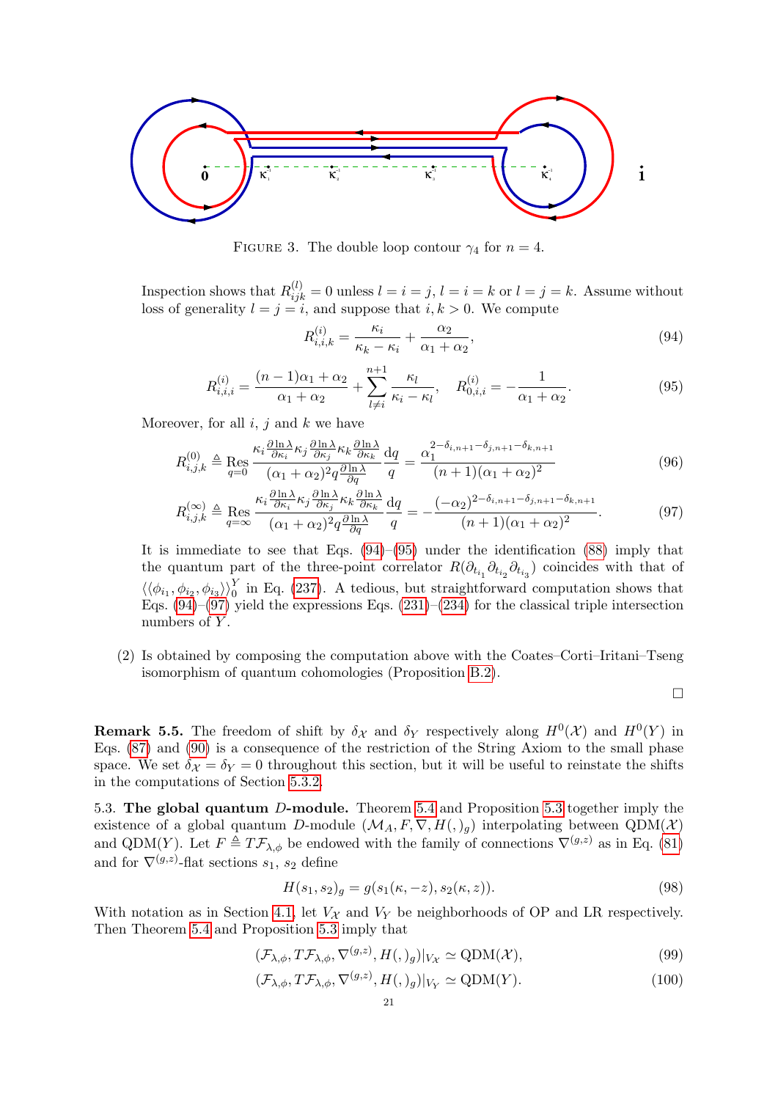<span id="page-20-4"></span>

FIGURE 3. The double loop contour  $\gamma_4$  for  $n = 4$ .

Inspection shows that  $R_{ijk}^{(l)} = 0$  unless  $l = i = j$ ,  $l = i = k$  or  $l = j = k$ . Assume without loss of generality  $l = j = i$ , and suppose that  $i, k > 0$ . We compute

<span id="page-20-1"></span>
$$
R_{i,i,k}^{(i)} = \frac{\kappa_i}{\kappa_k - \kappa_i} + \frac{\alpha_2}{\alpha_1 + \alpha_2},\tag{94}
$$

<span id="page-20-2"></span>
$$
R_{i,i,i}^{(i)} = \frac{(n-1)\alpha_1 + \alpha_2}{\alpha_1 + \alpha_2} + \sum_{l \neq i}^{n+1} \frac{\kappa_l}{\kappa_i - \kappa_l}, \quad R_{0,i,i}^{(i)} = -\frac{1}{\alpha_1 + \alpha_2}.
$$
 (95)

Moreover, for all  $i, j$  and  $k$  we have

$$
R_{i,j,k}^{(0)} \triangleq \operatorname{Res}_{q=0} \frac{\kappa_i \frac{\partial \ln \lambda}{\partial \kappa_i} \kappa_j \frac{\partial \ln \lambda}{\partial \kappa_j} \kappa_k \frac{\partial \ln \lambda}{\partial \kappa_k}}{(\alpha_1 + \alpha_2)^2 q \frac{\partial \ln \lambda}{\partial q}} \frac{\mathrm{d}q}{q} = \frac{\alpha_1^{2-\delta_{i,n+1}-\delta_{j,n+1}-\delta_{k,n+1}}}{(n+1)(\alpha_1 + \alpha_2)^2} \tag{96}
$$

$$
R_{i,j,k}^{(\infty)} \triangleq \operatorname{Res}_{q=\infty} \frac{\kappa_i \frac{\partial \ln \lambda}{\partial \kappa_i} \kappa_j \frac{\partial \ln \lambda}{\partial \kappa_j} \kappa_k \frac{\partial \ln \lambda}{\partial \kappa_k}}{(\alpha_1 + \alpha_2)^2 q \frac{\partial \ln \lambda}{\partial q}} \frac{\mathrm{d}q}{q} = -\frac{(-\alpha_2)^{2-\delta_{i,n+1}-\delta_{j,n+1}-\delta_{k,n+1}}}{(n+1)(\alpha_1 + \alpha_2)^2}.
$$
(97)

It is immediate to see that Eqs.  $(94)$ – $(95)$  under the identification  $(88)$  imply that the quantum part of the three-point correlator  $R(\partial_{t_{i_1}} \partial_{t_{i_2}} \partial_{t_{i_3}})$  coincides with that of  $\langle\langle \phi_{i_1}, \phi_{i_2}, \phi_{i_3} \rangle\rangle_0^Y$  in Eq. [\(237\)](#page-42-4). A tedious, but straightforward computation shows that Eqs.  $(94)$ – $(97)$  yield the expressions Eqs.  $(231)$ – $(234)$  for the classical triple intersection numbers of  $Y$ .

(2) Is obtained by composing the computation above with the Coates–Corti–Iritani–Tseng isomorphism of quantum cohomologies (Proposition [B.2\)](#page-42-3).

<span id="page-20-3"></span> $\Box$ 

<span id="page-20-5"></span>**Remark 5.5.** The freedom of shift by  $\delta_{\mathcal{X}}$  and  $\delta_{Y}$  respectively along  $H^{0}(\mathcal{X})$  and  $H^{0}(Y)$  in Eqs. [\(87\)](#page-19-5) and [\(90\)](#page-19-6) is a consequence of the restriction of the String Axiom to the small phase space. We set  $\delta_{\mathcal{X}} = \delta_{\mathcal{Y}} = 0$  throughout this section, but it will be useful to reinstate the shifts in the computations of Section [5.3.2.](#page-23-0)

<span id="page-20-0"></span>5.3. The global quantum D-module. Theorem [5.4](#page-19-1) and Proposition [5.3](#page-18-3) together imply the existence of a global quantum D-module  $(\mathcal{M}_A, F, \nabla, H(0,))$  interpolating between  $\text{QDM}(\mathcal{X})$ and QDM(Y). Let  $F \triangleq T\mathcal{F}_{\lambda,\phi}$  be endowed with the family of connections  $\nabla^{(g,z)}$  as in Eq. [\(81\)](#page-18-4) and for  $\nabla^{(g,z)}$ -flat sections  $s_1, s_2$  define

$$
H(s_1, s_2)_g = g(s_1(\kappa, -z), s_2(\kappa, z)).
$$
\n(98)

With notation as in Section [4.1,](#page-13-1) let  $V_{\mathcal{X}}$  and  $V_{Y}$  be neighborhoods of OP and LR respectively. Then Theorem [5.4](#page-19-1) and Proposition [5.3](#page-18-3) imply that

$$
(\mathcal{F}_{\lambda,\phi}, T\mathcal{F}_{\lambda,\phi}, \nabla^{(g,z)}, H(0,)_g)|_{V_{\mathcal{X}}} \simeq \text{QDM}(\mathcal{X}),\tag{99}
$$

$$
(\mathcal{F}_{\lambda,\phi}, T\mathcal{F}_{\lambda,\phi}, \nabla^{(g,z)}, H(0,)_g)|_{V_Y} \simeq \text{QDM}(Y). \tag{100}
$$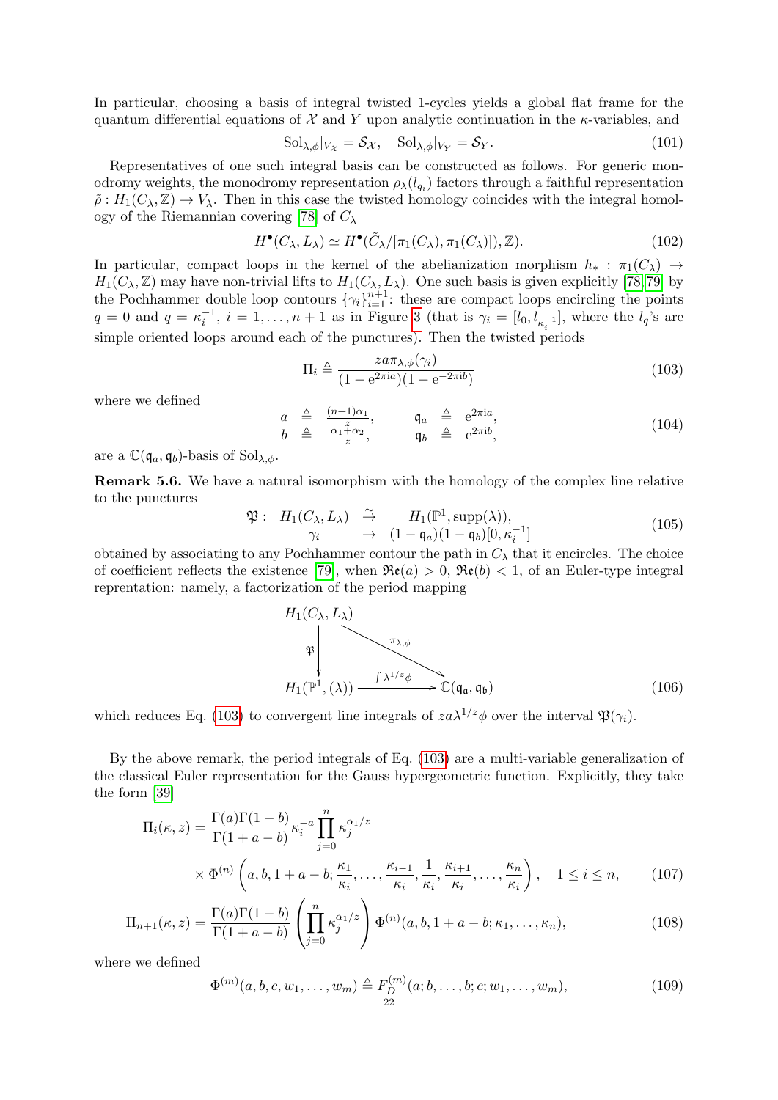In particular, choosing a basis of integral twisted 1-cycles yields a global flat frame for the quantum differential equations of  $\mathcal X$  and Y upon analytic continuation in the  $\kappa$ -variables, and

<span id="page-21-4"></span>
$$
Sol_{\lambda,\phi}|_{V_{\mathcal{X}}} = \mathcal{S}_{\mathcal{X}}, \quad Sol_{\lambda,\phi}|_{V_{Y}} = \mathcal{S}_{Y}.
$$
\n(101)

Representatives of one such integral basis can be constructed as follows. For generic monodromy weights, the monodromy representation  $\rho_{\lambda}(l_{q_i})$  factors through a faithful representation  $\tilde{\rho}: H_1(C_\lambda, \mathbb{Z}) \to V_\lambda$ . Then in this case the twisted homology coincides with the integral homol-ogy of the Riemannian covering [\[78\]](#page-46-19) of  $C_{\lambda}$ 

$$
H^{\bullet}(C_{\lambda}, L_{\lambda}) \simeq H^{\bullet}(\tilde{C}_{\lambda}/[\pi_1(C_{\lambda}), \pi_1(C_{\lambda})]), \mathbb{Z}).
$$
\n(102)

In particular, compact loops in the kernel of the abelianization morphism  $h_* : \pi_1(C_\lambda) \to$  $H_1(C_\lambda, \mathbb{Z})$  may have non-trivial lifts to  $H_1(C_\lambda, L_\lambda)$ . One such basis is given explicitly [\[78,](#page-46-19)79] by the Pochhammer double loop contours  $\{\gamma_i\}_{i=1}^{n+1}$ : these are compact loops encircling the points  $q = 0$  and  $q = \kappa_i^{-1}$ ,  $i = 1, \ldots, n + 1$  as in Figure [3](#page-20-4) (that is  $\gamma_i = [l_0, l_{\kappa_i^{-1}}]$ , where the  $l_q$ 's are simple oriented loops around each of the punctures). Then the twisted periods

<span id="page-21-0"></span>
$$
\Pi_i \triangleq \frac{z a \pi_{\lambda, \phi}(\gamma_i)}{(1 - e^{2\pi i a})(1 - e^{-2\pi i b})}
$$
(103)

where we defined

$$
\begin{array}{rcl}\na & \triangleq & \frac{(n+1)\alpha_1}{z}, & \mathfrak{q}_a & \triangleq & e^{2\pi i a}, \\
b & \triangleq & \frac{\alpha_1 + \alpha_2}{z}, & \mathfrak{q}_b & \triangleq & e^{2\pi i b},\n\end{array} \tag{104}
$$

are a  $\mathbb{C}(\mathfrak{q}_a, \mathfrak{q}_b)$ -basis of  $Sol_{\lambda,\phi}$ .

<span id="page-21-6"></span>Remark 5.6. We have a natural isomorphism with the homology of the complex line relative to the punctures

$$
\mathfrak{P}: H_1(C_{\lambda}, L_{\lambda}) \stackrel{\sim}{\to} H_1(\mathbb{P}^1, \text{supp}(\lambda)),
$$
  
\n
$$
\gamma_i \to (1 - \mathfrak{q}_a)(1 - \mathfrak{q}_b)[0, \kappa_i^{-1}]
$$
\n(105)

obtained by associating to any Pochhammer contour the path in  $C_{\lambda}$  that it encircles. The choice of coefficient reflects the existence [\[79\]](#page-46-20), when  $\Re(\alpha) > 0$ ,  $\Re(\beta) < 1$ , of an Euler-type integral reprentation: namely, a factorization of the period mapping

<span id="page-21-5"></span><span id="page-21-2"></span>
$$
H_1(C_{\lambda}, L_{\lambda})
$$
\n
$$
\downarrow \qquad \qquad \downarrow \qquad \qquad \downarrow
$$
\n
$$
H_1(\mathbb{P}^1, (\lambda)) \xrightarrow{\qquad \qquad f \lambda^{1/z} \phi} \mathbb{C}(\mathfrak{q}_\mathfrak{a}, \mathfrak{q}_\mathfrak{b})
$$
\n
$$
(106)
$$

which reduces Eq. [\(103\)](#page-21-0) to convergent line integrals of  $z a \lambda^{1/z} \phi$  over the interval  $\mathfrak{P}(\gamma_i)$ .

By the above remark, the period integrals of Eq. [\(103\)](#page-21-0) are a multi-variable generalization of the classical Euler representation for the Gauss hypergeometric function. Explicitly, they take the form [\[39\]](#page-45-25)

$$
\Pi_i(\kappa, z) = \frac{\Gamma(a)\Gamma(1-b)}{\Gamma(1+a-b)} \kappa_i^{-a} \prod_{j=0}^n \kappa_j^{\alpha_1/z}
$$
\n
$$
\times \Phi^{(n)}\left(a, b, 1+a-b; \frac{\kappa_1}{\kappa_i}, \dots, \frac{\kappa_{i-1}}{\kappa_i}, \frac{1}{\kappa_i}, \frac{\kappa_{i+1}}{\kappa_i}, \dots, \frac{\kappa_n}{\kappa_i}\right), \quad 1 \le i \le n,
$$
\n(107)

$$
\Pi_{n+1}(\kappa, z) = \frac{\Gamma(a)\Gamma(1-b)}{\Gamma(1+a-b)} \left(\prod_{j=0}^{n} \kappa_j^{\alpha_1/z}\right) \Phi^{(n)}(a, b, 1+a-b; \kappa_1, \dots, \kappa_n),\tag{108}
$$

where we defined

<span id="page-21-3"></span><span id="page-21-1"></span>
$$
\Phi^{(m)}(a, b, c, w_1, \dots, w_m) \triangleq F_D^{(m)}(a; b, \dots, b; c; w_1, \dots, w_m),
$$
\n(109)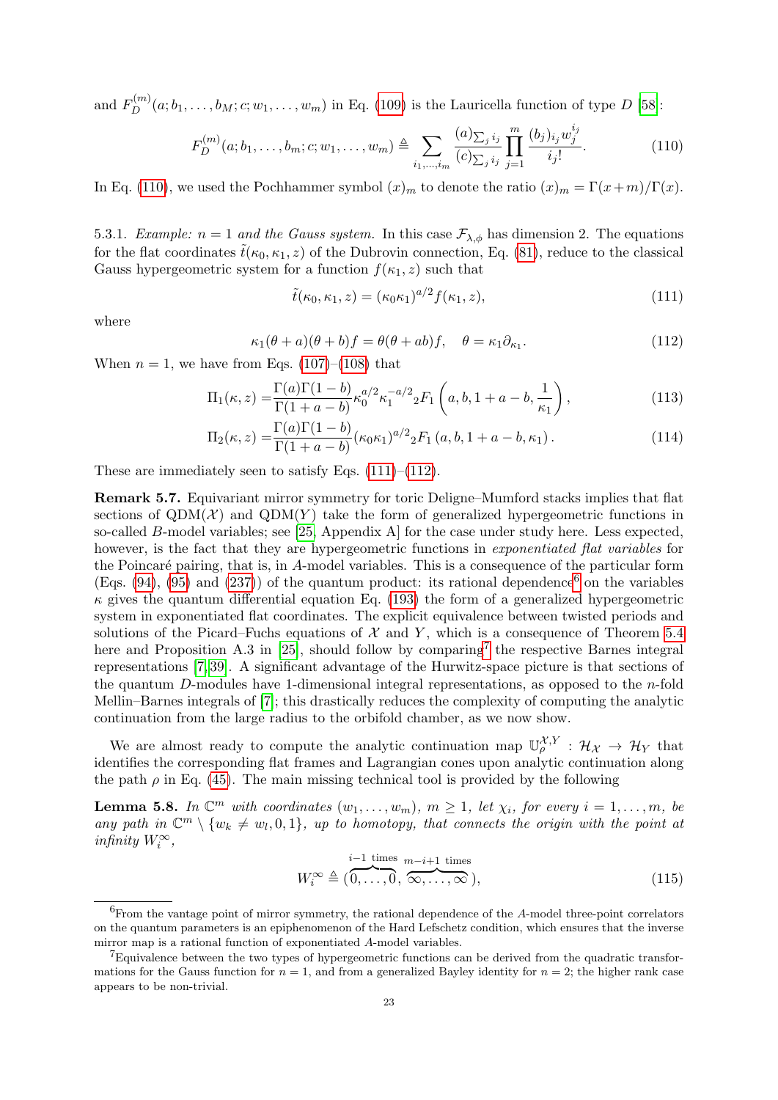and  $F_D^{(m)}(a; b_1, \ldots, b_M; c; w_1, \ldots, w_m)$  in Eq. [\(109\)](#page-21-1) is the Lauricella function of type D [\[58\]](#page-46-21):

<span id="page-22-0"></span>
$$
F_D^{(m)}(a; b_1, \dots, b_m; c; w_1, \dots, w_m) \triangleq \sum_{i_1, \dots, i_m} \frac{(a)_{\sum_j i_j}}{(c)_{\sum_j i_j}} \prod_{j=1}^m \frac{(b_j)_{i_j} w_j^{i_j}}{i_j!}.
$$
 (110)

In Eq. [\(110\)](#page-22-0), we used the Pochhammer symbol  $(x)_m$  to denote the ratio  $(x)_m = \Gamma(x+m)/\Gamma(x)$ .

5.3.1. Example:  $n = 1$  and the Gauss system. In this case  $\mathcal{F}_{\lambda,\phi}$  has dimension 2. The equations for the flat coordinates  $\tilde{t}(\kappa_0, \kappa_1, z)$  of the Dubrovin connection, Eq. [\(81\)](#page-18-4), reduce to the classical Gauss hypergeometric system for a function  $f(\kappa_1, z)$  such that

<span id="page-22-1"></span>
$$
\tilde{t}(\kappa_0, \kappa_1, z) = (\kappa_0 \kappa_1)^{a/2} f(\kappa_1, z),\tag{111}
$$

where

<span id="page-22-2"></span>
$$
\kappa_1(\theta + a)(\theta + b)f = \theta(\theta + ab)f, \quad \theta = \kappa_1 \partial_{\kappa_1}.
$$
\n(112)

When  $n = 1$ , we have from Eqs. [\(107\)](#page-21-2)–[\(108\)](#page-21-3) that

$$
\Pi_1(\kappa, z) = \frac{\Gamma(a)\Gamma(1-b)}{\Gamma(1+a-b)} \kappa_0^{a/2} \kappa_1^{-a/2} {}_2F_1\left(a, b, 1+a-b, \frac{1}{\kappa_1}\right),\tag{113}
$$

$$
\Pi_2(\kappa, z) = \frac{\Gamma(a)\Gamma(1-b)}{\Gamma(1+a-b)} (\kappa_0 \kappa_1)^{a/2} {}_2F_1(a, b, 1+a-b, \kappa_1).
$$
\n(114)

These are immediately seen to satisfy Eqs.  $(111)–(112)$  $(111)–(112)$ .

Remark 5.7. Equivariant mirror symmetry for toric Deligne–Mumford stacks implies that flat sections of  $QDM(X)$  and  $QDM(Y)$  take the form of generalized hypergeometric functions in so-called B-model variables; see [\[25,](#page-45-8) Appendix A] for the case under study here. Less expected, however, is the fact that they are hypergeometric functions in *exponentiated flat variables* for the Poincaré pairing, that is, in A-model variables. This is a consequence of the particular form (Eqs.  $(94)$ ,  $(95)$  and  $(237)$ ) of the quantum product: its rational dependence<sup>[6](#page-22-3)</sup> on the variables  $\kappa$  gives the quantum differential equation Eq. [\(193\)](#page-35-3) the form of a generalized hypergeometric system in exponentiated flat coordinates. The explicit equivalence between twisted periods and solutions of the Picard–Fuchs equations of  $\mathcal X$  and Y, which is a consequence of Theorem [5.4](#page-19-1) here and Proposition A.3 in [\[25\]](#page-45-8), should follow by comparing<sup>[7](#page-22-4)</sup> the respective Barnes integral representations [\[7,](#page-44-14) [39\]](#page-45-25). A significant advantage of the Hurwitz-space picture is that sections of the quantum D-modules have 1-dimensional integral representations, as opposed to the  $n$ -fold Mellin–Barnes integrals of [\[7\]](#page-44-14); this drastically reduces the complexity of computing the analytic continuation from the large radius to the orbifold chamber, as we now show.

We are almost ready to compute the analytic continuation map  $\mathbb{U}_{\rho}^{\mathcal{X},Y} : \mathcal{H}_{\mathcal{X}} \to \mathcal{H}_{Y}$  that identifies the corresponding flat frames and Lagrangian cones upon analytic continuation along the path  $\rho$  in Eq. [\(45\)](#page-13-6). The main missing technical tool is provided by the following

**Lemma 5.8.** In  $\mathbb{C}^m$  with coordinates  $(w_1, \ldots, w_m)$ ,  $m \geq 1$ , let  $\chi_i$ , for every  $i = 1, \ldots, m$ , be any path in  $\mathbb{C}^m \setminus \{w_k \neq w_l, 0, 1\}$ , up to homotopy, that connects the origin with the point at infinity  $W_i^\infty,$ 

$$
W_i^{\infty} \triangleq \overbrace{(0, \ldots, 0}^{i-1 \text{ times}}, \overbrace{\infty, \ldots, \infty}^{m-i+1 \text{ times}}), \tag{115}
$$

<span id="page-22-3"></span> $6$ From the vantage point of mirror symmetry, the rational dependence of the A-model three-point correlators on the quantum parameters is an epiphenomenon of the Hard Lefschetz condition, which ensures that the inverse mirror map is a rational function of exponentiated A-model variables.

<span id="page-22-4"></span> ${}^{7}$ Equivalence between the two types of hypergeometric functions can be derived from the quadratic transformations for the Gauss function for  $n = 1$ , and from a generalized Bayley identity for  $n = 2$ ; the higher rank case appears to be non-trivial.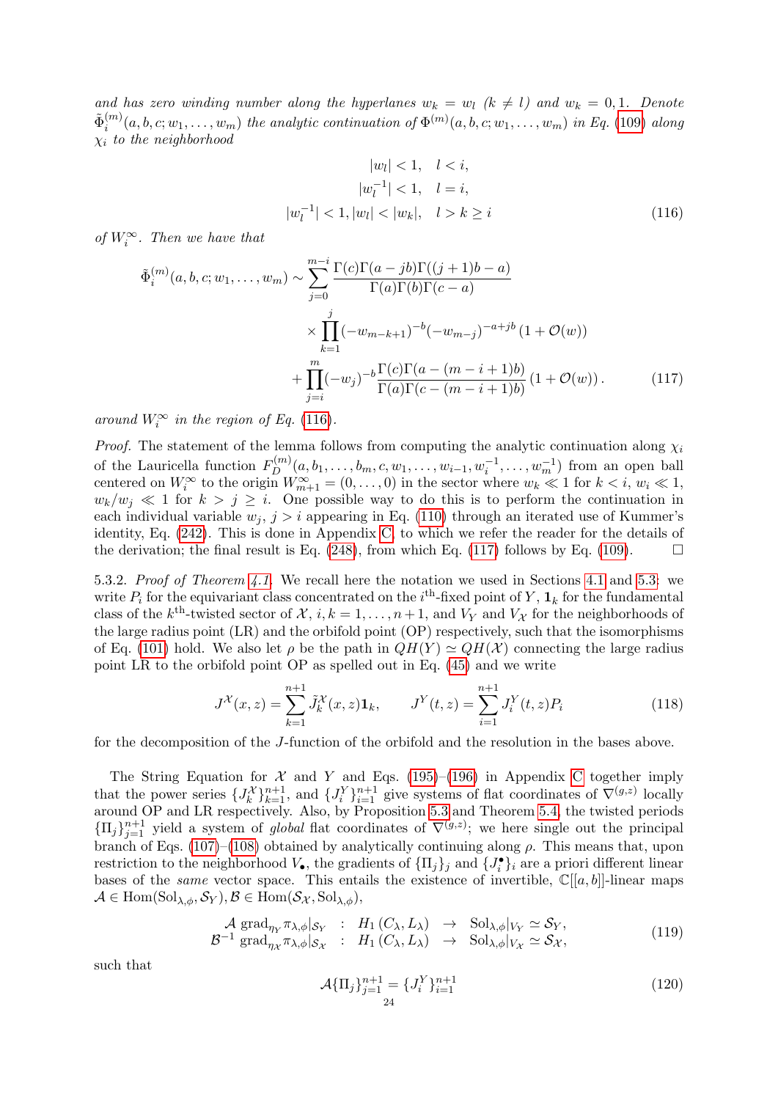and has zero winding number along the hyperlanes  $w_k = w_l$  ( $k \neq l$ ) and  $w_k = 0, 1$ . Denote  $\tilde{\Phi}_i^{(m)}$  $\mathcal{L}_i^{(m)}(a,b,c;w_1,\ldots,w_m)$  the analytic continuation of  $\Phi^{(m)}(a,b,c;w_1,\ldots,w_m)$  in Eq. [\(109\)](#page-21-1) along  $\chi_i$  to the neighborhood

<span id="page-23-2"></span><span id="page-23-1"></span>
$$
|w_l| < 1, \quad l < i,
$$
\n
$$
|w_l^{-1}| < 1, \quad l = i,
$$
\n
$$
|w_l^{-1}| < 1, |w_l| < |w_k|, \quad l > k \ge i
$$
\n(116)

of  $W_i^{\infty}$ . Then we have that

$$
\tilde{\Phi}_{i}^{(m)}(a, b, c; w_1, \dots, w_m) \sim \sum_{j=0}^{m-i} \frac{\Gamma(c)\Gamma(a-jb)\Gamma((j+1)b-a)}{\Gamma(a)\Gamma(b)\Gamma(c-a)} \times \prod_{k=1}^{j} (-w_{m-k+1})^{-b} (-w_{m-j})^{-a+jb} (1 + \mathcal{O}(w)) \n+ \prod_{j=i}^{m} (-w_j)^{-b} \frac{\Gamma(c)\Gamma(a-(m-i+1)b)}{\Gamma(a)\Gamma(c-(m-i+1)b)} (1 + \mathcal{O}(w)).
$$
\n(117)

around  $W_i^{\infty}$  in the region of Eq. [\(116\)](#page-23-1).

*Proof.* The statement of the lemma follows from computing the analytic continuation along  $\chi_i$ of the Lauricella function  $F_D^{(m)}(a, b_1, \ldots, b_m, c, w_1, \ldots, w_{i-1}, w_i^{-1}, \ldots, w_m^{-1})$  from an open ball centered on  $W_i^{\infty}$  to the origin  $W_{m+1}^{\infty} = (0, \ldots, 0)$  in the sector where  $w_k \ll 1$  for  $k < i$ ,  $w_i \ll 1$ ,  $w_k/w_j \ll 1$  for  $k > j \geq i$ . One possible way to do this is to perform the continuation in each individual variable  $w_i$ ,  $j > i$  appearing in Eq. [\(110\)](#page-22-0) through an iterated use of Kummer's identity, Eq. [\(242\)](#page-43-0). This is done in Appendix [C,](#page-42-1) to which we refer the reader for the details of the derivation; the final result is Eq. [\(248\)](#page-44-15), from which Eq. [\(117\)](#page-23-2) follows by Eq. [\(109\)](#page-21-1).

<span id="page-23-0"></span>5.3.2. Proof of Theorem [4.1.](#page-13-2) We recall here the notation we used in Sections [4.1](#page-13-1) and [5.3:](#page-20-0) we write  $P_i$  for the equivariant class concentrated on the i<sup>th</sup>-fixed point of Y,  $\mathbf{1}_k$  for the fundamental class of the k<sup>th</sup>-twisted sector of  $\mathcal{X}, i, k = 1, \ldots, n+1$ , and  $V_Y$  and  $V_X$  for the neighborhoods of the large radius point (LR) and the orbifold point (OP) respectively, such that the isomorphisms of Eq. [\(101\)](#page-21-4) hold. We also let  $\rho$  be the path in  $QH(Y) \simeq QH(\mathcal{X})$  connecting the large radius point LR to the orbifold point OP as spelled out in Eq. [\(45\)](#page-13-6) and we write

$$
J^{\mathcal{X}}(x,z) = \sum_{k=1}^{n+1} \tilde{J}_k^{\mathcal{X}}(x,z) \mathbf{1}_k, \qquad J^{\mathcal{Y}}(t,z) = \sum_{i=1}^{n+1} J_i^{\mathcal{Y}}(t,z) P_i
$$
(118)

for the decomposition of the J-function of the orbifold and the resolution in the bases above.

The String Equation for  $\mathcal{X}$  and Y and Eqs. [\(195\)](#page-36-2)–[\(196\)](#page-36-1) in Appendix [C](#page-42-1) together imply that the power series  $\{J_k^{\chi}\}_{k=1}^{n+1}$ , and  $\{J_i^{\chi}\}_{i=1}^{n+1}$  give systems of flat coordinates of  $\nabla^{(g,z)}$  locally around OP and LR respectively. Also, by Proposition [5.3](#page-18-3) and Theorem [5.4,](#page-19-1) the twisted periods  ${\{\Pi_j\}}_{j=1}^{n+1}$  yield a system of *global* flat coordinates of  $\nabla^{(g,z)}$ ; we here single out the principal branch of Eqs. [\(107\)](#page-21-2)–[\(108\)](#page-21-3) obtained by analytically continuing along  $\rho$ . This means that, upon restriction to the neighborhood  $V_{\bullet}$ , the gradients of  $\{\Pi_j\}_j$  and  $\{J_i^{\bullet}\}_i$  are a priori different linear bases of the *same* vector space. This entails the existence of invertible,  $\mathbb{C}[[a,b]]$ -linear maps  $\mathcal{A} \in \text{Hom}(\text{Sol}_{\lambda,\phi}, \mathcal{S}_Y), \mathcal{B} \in \text{Hom}(\mathcal{S}_{\mathcal{X}}, \text{Sol}_{\lambda,\phi}),$ 

<span id="page-23-3"></span>
$$
\mathcal{A} \operatorname{grad}_{\eta_Y} \pi_{\lambda, \phi} |_{\mathcal{S}_Y} : H_1(C_{\lambda}, L_{\lambda}) \to \operatorname{Sol}_{\lambda, \phi} |_{V_Y} \simeq \mathcal{S}_Y, \n\mathcal{B}^{-1} \operatorname{grad}_{\eta_X} \pi_{\lambda, \phi} |_{\mathcal{S}_X} : H_1(C_{\lambda}, L_{\lambda}) \to \operatorname{Sol}_{\lambda, \phi} |_{V_X} \simeq \mathcal{S}_X,
$$
\n(119)

such that

$$
\mathcal{A}\{\Pi_j\}_{j=1}^{n+1} = \{J_i^Y\}_{i=1}^{n+1}
$$
\n(120)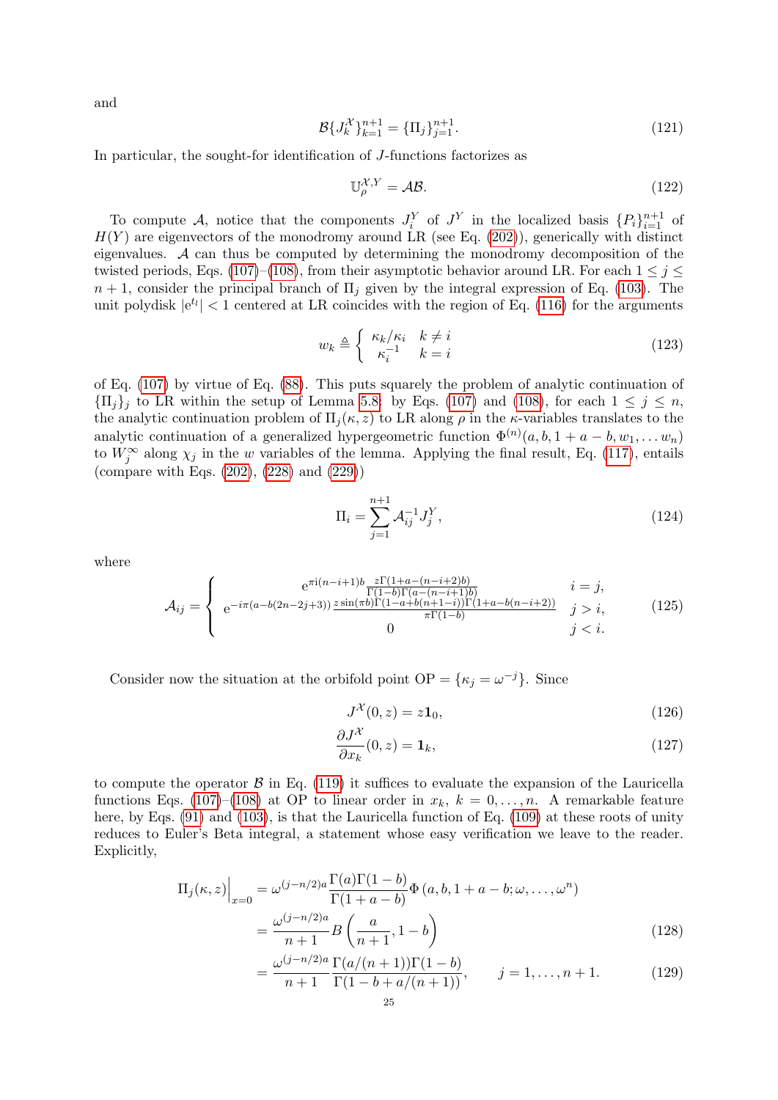and

$$
\mathcal{B}\{J_k^{\mathcal{X}}\}_{k=1}^{n+1} = \{\Pi_j\}_{j=1}^{n+1}.\tag{121}
$$

In particular, the sought-for identification of J-functions factorizes as

$$
\mathbb{U}_{\rho}^{\mathcal{X},Y} = \mathcal{AB}.\tag{122}
$$

To compute A, notice that the components  $J_i^Y$  of  $J^Y$  in the localized basis  $\{P_i\}_{i=1}^{n+1}$  of  $H(Y)$  are eigenvectors of the monodromy around LR (see Eq. [\(202\)](#page-37-4)), generically with distinct eigenvalues. A can thus be computed by determining the monodromy decomposition of the twisted periods, Eqs. [\(107\)](#page-21-2)–[\(108\)](#page-21-3), from their asymptotic behavior around LR. For each  $1 \leq j \leq$  $n+1$ , consider the principal branch of  $\Pi_i$  given by the integral expression of Eq. [\(103\)](#page-21-0). The unit polydisk  $|e^{t_l}| < 1$  centered at LR coincides with the region of Eq. [\(116\)](#page-23-1) for the arguments

$$
w_k \triangleq \begin{cases} \kappa_k / \kappa_i & k \neq i \\ \kappa_i^{-1} & k = i \end{cases}
$$
 (123)

of Eq. [\(107\)](#page-21-2) by virtue of Eq. [\(88\)](#page-19-4). This puts squarely the problem of analytic continuation of  ${\Pi_i}_i$  to LR within the setup of Lemma [5.8:](#page-23-2) by Eqs. [\(107\)](#page-21-2) and [\(108\)](#page-21-3), for each  $1 \leq j \leq n$ , the analytic continuation problem of  $\Pi_j(\kappa, z)$  to LR along  $\rho$  in the  $\kappa$ -variables translates to the analytic continuation of a generalized hypergeometric function  $\Phi^{(n)}(a, b, 1 + a - b, w_1, \dots, w_n)$ to  $W_j^{\infty}$  along  $\chi_j$  in the w variables of the lemma. Applying the final result, Eq. [\(117\)](#page-23-2), entails (compare with Eqs. [\(202\)](#page-37-4), [\(228\)](#page-41-2) and [\(229\)](#page-41-3))

$$
\Pi_i = \sum_{j=1}^{n+1} \mathcal{A}_{ij}^{-1} J_j^Y,
$$
\n(124)

where

<span id="page-24-0"></span>
$$
\mathcal{A}_{ij} = \begin{cases}\n e^{-i\pi(a-b(2n-2j+3))} \frac{z\Gamma(1+a-(n-i+2)b)}{\Gamma(1-b)\Gamma(a-(n-i+1)b)} & i = j, \\
 e^{-i\pi(a-b(2n-2j+3))} \frac{z\sin(\pi b)\Gamma(1-a+b(n+1-i))\Gamma(1+a-b(n-i+2))}{\pi\Gamma(1-b)} & j > i, \\
 0 & j < i.\n\end{cases} \tag{125}
$$

Consider now the situation at the orbifold point  $\text{OP} = {\kappa_j = \omega^{-j}}$ . Since

$$
J^{\mathcal{X}}(0,z) = z\mathbf{1}_0,\tag{126}
$$

<span id="page-24-2"></span><span id="page-24-1"></span>
$$
\frac{\partial J^{\mathcal{X}}}{\partial x_k}(0, z) = \mathbf{1}_k,\tag{127}
$$

to compute the operator  $\beta$  in Eq. [\(119\)](#page-23-3) it suffices to evaluate the expansion of the Lauricella functions Eqs. [\(107\)](#page-21-2)–[\(108\)](#page-21-3) at OP to linear order in  $x_k$ ,  $k = 0, \ldots, n$ . A remarkable feature here, by Eqs. [\(91\)](#page-19-7) and [\(103\)](#page-21-0), is that the Lauricella function of Eq. [\(109\)](#page-21-1) at these roots of unity reduces to Euler's Beta integral, a statement whose easy verification we leave to the reader. Explicitly,

$$
\Pi_j(\kappa, z)\Big|_{x=0} = \omega^{(j-n/2)a} \frac{\Gamma(a)\Gamma(1-b)}{\Gamma(1+a-b)} \Phi(a, b, 1+a-b; \omega, \dots, \omega^n)
$$

$$
= \frac{\omega^{(j-n/2)a}}{n+1} B\left(\frac{a}{n+1}, 1-b\right)
$$
(128)

$$
= \frac{\omega^{(j-n/2)a} \Gamma(a/(n+1))\Gamma(1-b)}{n+1 \Gamma(1-b+a/(n+1))}, \qquad j=1,\ldots,n+1.
$$
 (129)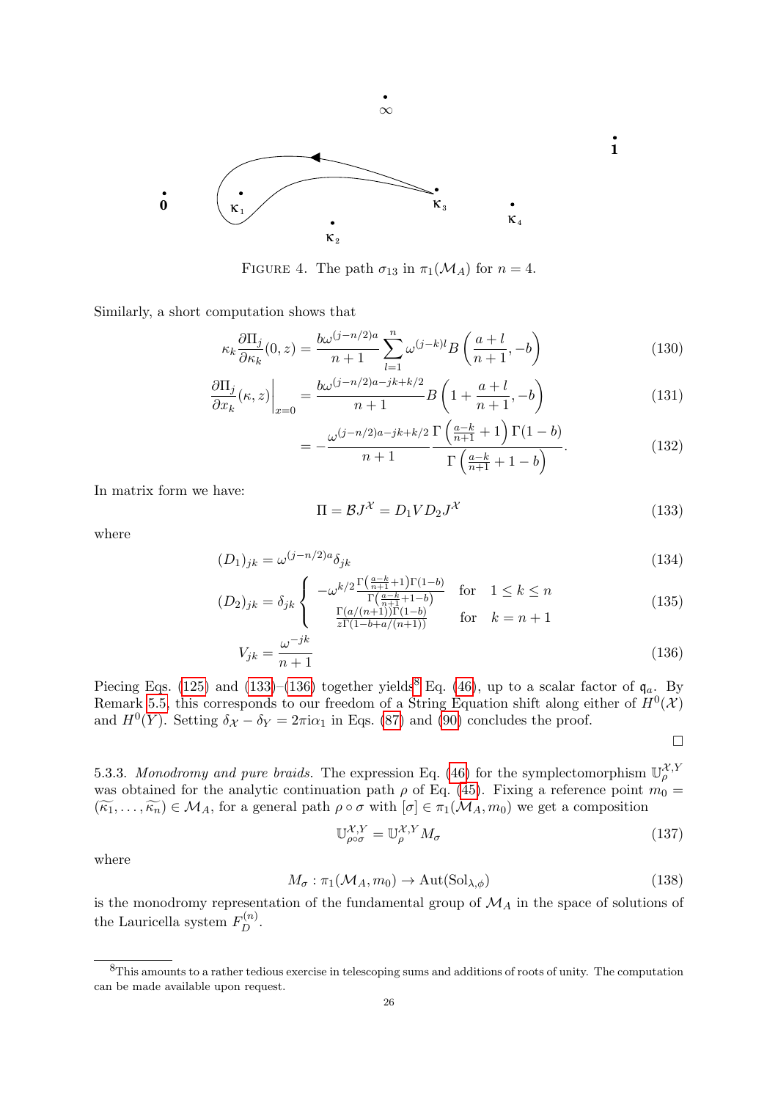<span id="page-25-4"></span>

FIGURE 4. The path  $\sigma_{13}$  in  $\pi_1(\mathcal{M}_A)$  for  $n=4$ .

 $\infty$ 

Similarly, a short computation shows that

$$
\kappa_k \frac{\partial \Pi_j}{\partial \kappa_k}(0, z) = \frac{b\omega^{(j-n/2)a}}{n+1} \sum_{l=1}^n \omega^{(j-k)l} B\left(\frac{a+l}{n+1}, -b\right)
$$
(130)

$$
\left. \frac{\partial \Pi_j}{\partial x_k}(\kappa, z) \right|_{x=0} = \frac{b\omega^{(j-n/2)a - jk + k/2}}{n+1} B\left(1 + \frac{a+l}{n+1}, -b\right) \tag{131}
$$

$$
=-\frac{\omega^{(j-n/2)a-jk+k/2}}{n+1}\frac{\Gamma\left(\frac{a-k}{n+1}+1\right)\Gamma(1-b)}{\Gamma\left(\frac{a-k}{n+1}+1-b\right)}.\tag{132}
$$

In matrix form we have:

<span id="page-25-0"></span>
$$
\Pi = \mathcal{B}J^{\mathcal{X}} = D_1 V D_2 J^{\mathcal{X}} \tag{133}
$$

where

$$
(D_1)_{jk} = \omega^{(j-n/2)a} \delta_{jk} \tag{134}
$$

$$
(D_2)_{jk} = \delta_{jk} \begin{cases} -\omega^{k/2} \frac{\Gamma(\frac{a-k}{n+1} + 1)\Gamma(1-b)}{\Gamma(\frac{a-k}{n+1} + 1-b)} & \text{for} \quad 1 \le k \le n\\ \frac{\Gamma(a/(n+1))\Gamma(1-b)}{\Gamma(1-b+a/(n+1))} & \text{for} \quad k = n+1 \end{cases}
$$
(135)

$$
V_{jk} = \frac{\omega^{-jk}}{n+1} \tag{136}
$$

Piecing Eqs. [\(125\)](#page-24-0) and [\(133\)](#page-25-0)–[\(136\)](#page-25-1) together yields<sup>[8](#page-25-2)</sup> Eq. [\(46\)](#page-13-7), up to a scalar factor of  $\mathfrak{q}_a$ . By Remark [5.5,](#page-20-5) this corresponds to our freedom of a String Equation shift along either of  $H^0(\mathcal{X})$ and  $H^0(Y)$ . Setting  $\delta_X - \delta_Y = 2\pi i \alpha_1$  in Eqs. [\(87\)](#page-19-5) and [\(90\)](#page-19-6) concludes the proof.

<span id="page-25-7"></span><span id="page-25-1"></span>
$$
\Box
$$

5.3.3. Monodromy and pure braids. The expression Eq. [\(46\)](#page-13-7) for the symplectomorphism  $\mathbb{U}_{\rho}^{\mathcal{X},Y}$ was obtained for the analytic continuation path  $\rho$  of Eq. [\(45\)](#page-13-6). Fixing a reference point  $m_0 =$  $(\widetilde{\kappa_1}, \ldots, \widetilde{\kappa_n}) \in \mathcal{M}_A$ , for a general path  $\rho \circ \sigma$  with  $[\sigma] \in \pi_1(\mathcal{M}_A, m_0)$  we get a composition

$$
\mathbb{U}_{\rho\circ\sigma}^{\mathcal{X},Y} = \mathbb{U}_{\rho}^{\mathcal{X},Y} M_{\sigma}
$$
\n(137)

where

<span id="page-25-3"></span>
$$
M_{\sigma} : \pi_1(\mathcal{M}_A, m_0) \to \text{Aut(Sol}_{\lambda, \phi})
$$
\n(138)

is the monodromy representation of the fundamental group of  $\mathcal{M}_A$  in the space of solutions of the Lauricella system  $F_D^{(n)}$ .

<span id="page-25-6"></span><span id="page-25-5"></span>**1**

<span id="page-25-2"></span><sup>8</sup>This amounts to a rather tedious exercise in telescoping sums and additions of roots of unity. The computation can be made available upon request.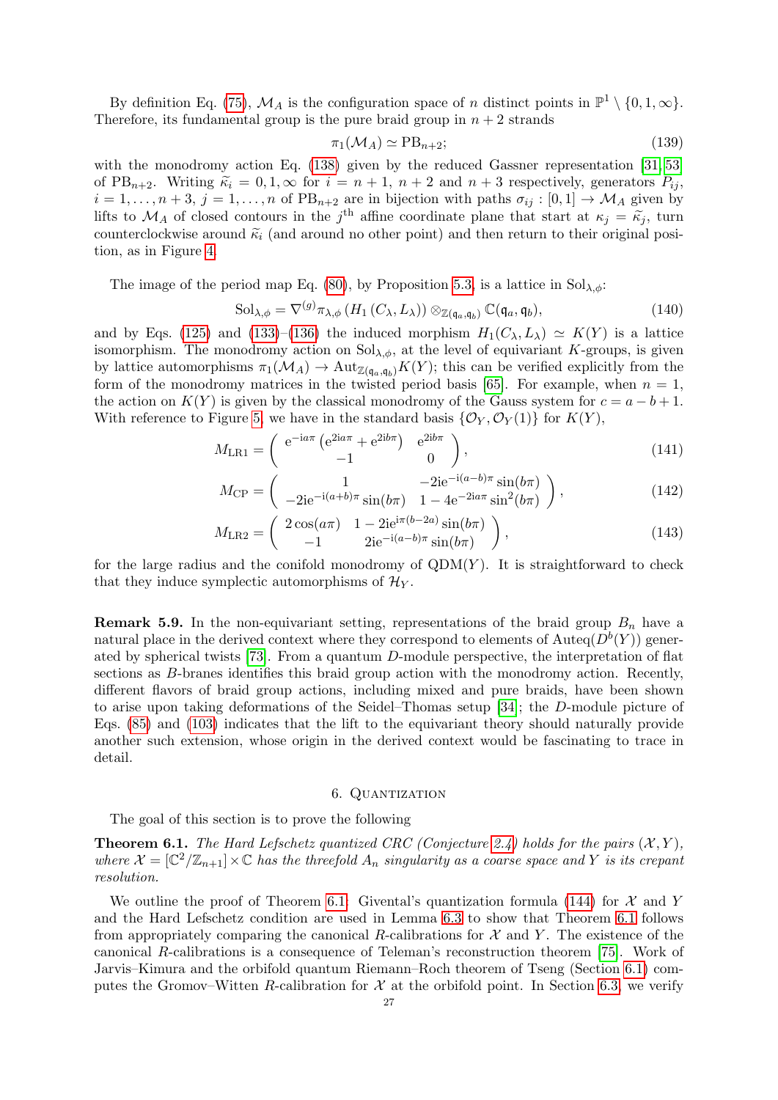By definition Eq. [\(75\)](#page-17-2),  $\mathcal{M}_A$  is the configuration space of n distinct points in  $\mathbb{P}^1 \setminus \{0, 1, \infty\}$ . Therefore, its fundamental group is the pure braid group in  $n + 2$  strands

$$
\pi_1(\mathcal{M}_A) \simeq \text{PB}_{n+2};\tag{139}
$$

with the monodromy action Eq. [\(138\)](#page-25-3) given by the reduced Gassner representation [\[31,](#page-45-26) [53\]](#page-46-22) of PB<sub>n+2</sub>. Writing  $\tilde{\kappa}_i = 0, 1, \infty$  for  $i = n + 1, n + 2$  and  $n + 3$  respectively, generators  $P_{ij}$ ,  $i = 1, \ldots, n+3, j = 1, \ldots, n$  of  $PB_{n+2}$  are in bijection with paths  $\sigma_{ij} : [0,1] \to \mathcal{M}_A$  given by lifts to  $\mathcal{M}_A$  of closed contours in the j<sup>th</sup> affine coordinate plane that start at  $\kappa_j = \tilde{\kappa}_j$ , turn<br>counterclockwise around  $\tilde{\kappa}_j$  (and around no other point) and then return to their criginal posicounterclockwise around  $\tilde{\kappa}_i$  (and around no other point) and then return to their original position, as in Figure [4.](#page-25-4)

The image of the period map Eq. [\(80\)](#page-18-1), by Proposition [5.3,](#page-18-3) is a lattice in  $Sol_{\lambda,\phi}$ :

$$
\mathrm{Sol}_{\lambda,\phi} = \nabla^{(g)} \pi_{\lambda,\phi} \left( H_1 \left( C_\lambda, L_\lambda \right) \right) \otimes_{\mathbb{Z}(\mathfrak{q}_a, \mathfrak{q}_b)} \mathbb{C}(\mathfrak{q}_a, \mathfrak{q}_b),\tag{140}
$$

and by Eqs. [\(125\)](#page-24-0) and [\(133\)](#page-25-0)–[\(136\)](#page-25-1) the induced morphism  $H_1(C_\lambda, L_\lambda) \simeq K(Y)$  is a lattice isomorphism. The monodromy action on  $Sol_{\lambda,\phi}$ , at the level of equivariant K-groups, is given by lattice automorphisms  $\pi_1(\mathcal{M}_A) \to \text{Aut}_{\mathbb{Z}(q_a,q_b)} K(Y)$ ; this can be verified explicitly from the form of the monodromy matrices in the twisted period basis [\[65\]](#page-46-23). For example, when  $n = 1$ , the action on  $K(Y)$  is given by the classical monodromy of the Gauss system for  $c = a - b + 1$ . With reference to Figure [5,](#page-27-1) we have in the standard basis  $\{\mathcal{O}_Y, \mathcal{O}_Y(1)\}\$ for  $K(Y)$ ,

$$
M_{\rm LR1} = \begin{pmatrix} e^{-i a \pi} \left( e^{2i a \pi} + e^{2i b \pi} \right) & e^{2i b \pi} \\ -1 & 0 \end{pmatrix}, \tag{141}
$$

$$
M_{\rm CP} = \begin{pmatrix} 1 & -2ie^{-i(a-b)\pi} \sin(b\pi) \\ -2ie^{-i(a+b)\pi} \sin(b\pi) & 1 - 4e^{-2ia\pi} \sin^2(b\pi) \end{pmatrix},
$$
(142)

$$
M_{\text{LR2}} = \begin{pmatrix} 2\cos(a\pi) & 1 - 2\mathrm{ie}^{i\pi(b-2a)}\sin(b\pi) \\ -1 & 2\mathrm{ie}^{-i(a-b)\pi}\sin(b\pi) \end{pmatrix},\tag{143}
$$

for the large radius and the conifold monodromy of  $QDM(Y)$ . It is straightforward to check that they induce symplectic automorphisms of  $\mathcal{H}_Y$ .

**Remark 5.9.** In the non-equivariant setting, representations of the braid group  $B_n$  have a natural place in the derived context where they correspond to elements of  $\text{Auteq}(D^b(Y))$  generated by spherical twists  $[73]$ . From a quantum D-module perspective, the interpretation of flat sections as B-branes identifies this braid group action with the monodromy action. Recently, different flavors of braid group actions, including mixed and pure braids, have been shown to arise upon taking deformations of the Seidel–Thomas setup [\[34\]](#page-45-27); the D-module picture of Eqs. [\(85\)](#page-19-2) and [\(103\)](#page-21-0) indicates that the lift to the equivariant theory should naturally provide another such extension, whose origin in the derived context would be fascinating to trace in detail.

### 6. Quantization

<span id="page-26-0"></span>The goal of this section is to prove the following

<span id="page-26-1"></span>**Theorem 6.1.** The Hard Lefschetz quantized CRC (Conjecture [2.4\)](#page-8-4) holds for the pairs  $(X, Y)$ , where  $\mathcal{X} = [\mathbb{C}^2/\mathbb{Z}_{n+1}] \times \mathbb{C}$  has the threefold  $A_n$  singularity as a coarse space and Y is its crepant resolution.

We outline the proof of Theorem [6.1:](#page-26-1) Givental's quantization formula [\(144\)](#page-27-2) for  $\mathcal X$  and Y and the Hard Lefschetz condition are used in Lemma [6.3](#page-28-1) to show that Theorem [6.1](#page-26-1) follows from appropriately comparing the canonical R-calibrations for  $\mathcal X$  and Y. The existence of the canonical R-calibrations is a consequence of Teleman's reconstruction theorem [\[75\]](#page-46-25). Work of Jarvis–Kimura and the orbifold quantum Riemann–Roch theorem of Tseng (Section [6.1\)](#page-28-0) computes the Gromov–Witten R-calibration for  $\mathcal X$  at the orbifold point. In Section [6.3,](#page-31-0) we verify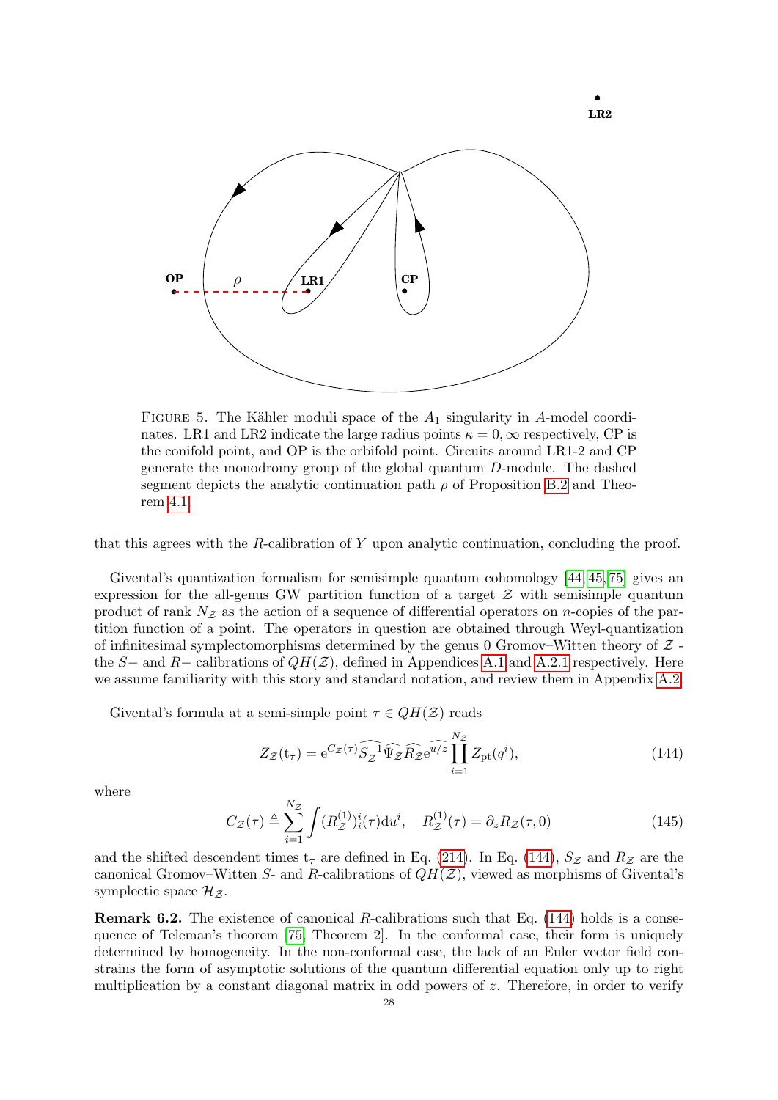<span id="page-27-1"></span>

FIGURE 5. The Kähler moduli space of the  $A_1$  singularity in A-model coordinates. LR1 and LR2 indicate the large radius points  $\kappa = 0$ ,  $\infty$  respectively, CP is the conifold point, and OP is the orbifold point. Circuits around LR1-2 and CP generate the monodromy group of the global quantum D-module. The dashed segment depicts the analytic continuation path  $\rho$  of Proposition [B.2](#page-42-3) and Theorem [4.1.](#page-13-2)

that this agrees with the R-calibration of Y upon analytic continuation, concluding the proof.

Givental's quantization formalism for semisimple quantum cohomology [\[44,](#page-45-16) [45,](#page-45-28) [75\]](#page-46-25) gives an expression for the all-genus GW partition function of a target  $\mathcal Z$  with semisimple quantum product of rank  $N_z$  as the action of a sequence of differential operators on *n*-copies of the partition function of a point. The operators in question are obtained through Weyl-quantization of infinitesimal symplectomorphisms determined by the genus 0 Gromov–Witten theory of  $Z$  the S– and R– calibrations of  $QH(\mathcal{Z})$ , defined in Appendices [A.1](#page-34-1) and [A.2.1](#page-38-1) respectively. Here we assume familiarity with this story and standard notation, and review them in Appendix [A.2.](#page-37-0)

Givental's formula at a semi-simple point  $\tau \in QH(\mathcal{Z})$  reads

<span id="page-27-2"></span>
$$
Z_{\mathcal{Z}}(\mathbf{t}_{\tau}) = e^{C_{\mathcal{Z}}(\tau)} \widehat{S_{\mathcal{Z}}^{-1} \Psi_{\mathcal{Z}} R_{\mathcal{Z}} e^{u/z}} \prod_{i=1}^{N_{\mathcal{Z}}} Z_{\mathrm{pt}}(q^{i}), \qquad (144)
$$

where

<span id="page-27-3"></span>
$$
C_{\mathcal{Z}}(\tau) \triangleq \sum_{i=1}^{N_{\mathcal{Z}}} \int (R_{\mathcal{Z}}^{(1)})^i_i(\tau) \mathrm{d}u^i, \quad R_{\mathcal{Z}}^{(1)}(\tau) = \partial_z R_{\mathcal{Z}}(\tau, 0) \tag{145}
$$

and the shifted descendent times  $t_{\tau}$  are defined in Eq. [\(214\)](#page-39-4). In Eq. [\(144\)](#page-27-2),  $S_{\mathcal{Z}}$  and  $R_{\mathcal{Z}}$  are the canonical Gromov–Witten S- and R-calibrations of  $QH(\mathcal{Z})$ , viewed as morphisms of Givental's symplectic space  $\mathcal{H}_{\mathcal{Z}}$ .

<span id="page-27-0"></span>**Remark 6.2.** The existence of canonical R-calibrations such that Eq.  $(144)$  holds is a consequence of Teleman's theorem [\[75,](#page-46-25) Theorem 2]. In the conformal case, their form is uniquely determined by homogeneity. In the non-conformal case, the lack of an Euler vector field constrains the form of asymptotic solutions of the quantum differential equation only up to right multiplication by a constant diagonal matrix in odd powers of z. Therefore, in order to verify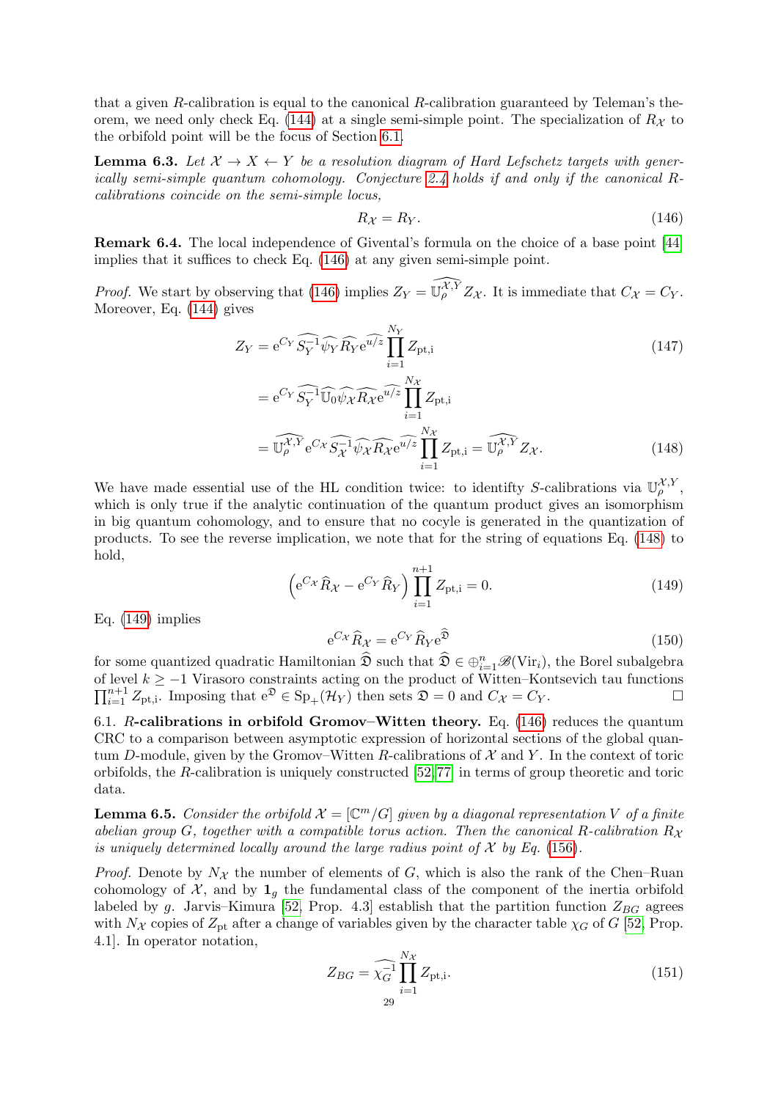that a given R-calibration is equal to the canonical R-calibration guaranteed by Teleman's the-orem, we need only check Eq. [\(144\)](#page-27-2) at a single semi-simple point. The specialization of  $R_{\mathcal{X}}$  to the orbifold point will be the focus of Section [6.1.](#page-28-0)

<span id="page-28-1"></span>**Lemma 6.3.** Let  $X \to X \leftarrow Y$  be a resolution diagram of Hard Lefschetz targets with generically semi-simple quantum cohomology. Conjecture [2.4](#page-8-4) holds if and only if the canonical Rcalibrations coincide on the semi-simple locus,

<span id="page-28-3"></span><span id="page-28-2"></span>
$$
R_{\mathcal{X}} = R_{Y}.\tag{146}
$$

Remark 6.4. The local independence of Givental's formula on the choice of a base point [\[44\]](#page-45-16) implies that it suffices to check Eq. [\(146\)](#page-28-2) at any given semi-simple point.

*Proof.* We start by observing that [\(146\)](#page-28-2) implies  $Z_Y = \widehat{\mathbb{U}_\rho^{XY}} Z_{\mathcal{X}}$ . It is immediate that  $C_{\mathcal{X}} = C_Y$ . Moreover, Eq. [\(144\)](#page-27-2) gives

$$
Z_Y = e^{C_Y} \widehat{S_Y^{-1} \psi_Y} \widehat{R}_Y e^{\widehat{u/z}} \prod_{i=1}^{N_Y} Z_{\text{pt},i}
$$
  
= 
$$
e^{C_Y} \widehat{S_Y^{-1} \psi_\theta} \widehat{\psi_\theta} \widehat{R}_X e^{\widehat{u/z}} \prod_{i=1}^{N_X} Z_{\text{pt},i}
$$
 (147)

$$
= \widehat{\mathbb{U}_{\rho}^{\mathcal{X},Y}} e^{C_{\mathcal{X}}} \widehat{S_{\mathcal{X}}^{-1}} \widehat{\psi_{\mathcal{X}}} \widehat{R_{\mathcal{X}}} e^{\widehat{u/z}} \prod_{i=1}^{N_{\mathcal{X}}} Z_{\text{pt},i} = \widehat{\mathbb{U}_{\rho}^{\mathcal{X},Y}} Z_{\mathcal{X}}.
$$
 (148)

We have made essential use of the HL condition twice: to identify S-calibrations via  $\mathbb{U}_{\rho}^{\mathcal{X},Y}$ , which is only true if the analytic continuation of the quantum product gives an isomorphism in big quantum cohomology, and to ensure that no cocyle is generated in the quantization of products. To see the reverse implication, we note that for the string of equations Eq. [\(148\)](#page-28-3) to hold,

<span id="page-28-4"></span>
$$
\left(e^{C_{\mathcal{X}}}\hat{R}_{\mathcal{X}} - e^{C_{Y}}\hat{R}_{Y}\right)\prod_{i=1}^{n+1} Z_{\text{pt},i} = 0.
$$
 (149)

Eq.  $(149)$  implies

$$
e^{C_{\mathcal{X}}}\widehat{R}_{\mathcal{X}} = e^{C_{Y}}\widehat{R}_{Y}e^{\widehat{\mathfrak{D}}}
$$
\n(150)

for some quantized quadratic Hamiltonian  $\widehat{\mathfrak{D}}$  such that  $\widehat{\mathfrak{D}} \in \bigoplus_{i=1}^n \mathscr{B}(\mathrm{Vir}_i)$ , the Borel subalgebra of level  $k \geq -1$  Virasoro constraints acting on the product of Witten–Kontsevich tau functions  $\prod_{i=1}^{n+1} Z_{\text{pt},i}$ . Imposing that  $e^{\mathfrak{D}} \in \text{Sp}_{+}(\mathcal{H}_Y)$  then sets  $\mathfrak{D} = 0$  and  $C_{\mathcal{X}} = C_Y$ .

<span id="page-28-0"></span>6.1. R-calibrations in orbifold Gromov–Witten theory. Eq. [\(146\)](#page-28-2) reduces the quantum CRC to a comparison between asymptotic expression of horizontal sections of the global quantum D-module, given by the Gromov–Witten R-calibrations of  $\mathcal X$  and Y. In the context of toric orbifolds, the R-calibration is uniquely constructed [\[52,](#page-46-26) [77\]](#page-46-27) in terms of group theoretic and toric data.

<span id="page-28-5"></span>**Lemma 6.5.** Consider the orbifold  $\mathcal{X} = [\mathbb{C}^m/G]$  given by a diagonal representation V of a finite abelian group G, together with a compatible torus action. Then the canonical R-calibration  $R_{\chi}$ is uniquely determined locally around the large radius point of  $\mathcal X$  by Eq. [\(156\)](#page-29-0).

*Proof.* Denote by  $N_{\mathcal{X}}$  the number of elements of G, which is also the rank of the Chen–Ruan cohomology of  $\mathcal{X}$ , and by  $\mathbf{1}_q$  the fundamental class of the component of the inertia orbifold labeled by g. Jarvis–Kimura [\[52,](#page-46-26) Prop. 4.3] establish that the partition function  $Z_{BG}$  agrees with  $N_{\mathcal{X}}$  copies of  $Z_{\text{pt}}$  after a change of variables given by the character table  $\chi_G$  of G [\[52,](#page-46-26) Prop. 4.1]. In operator notation,

$$
Z_{BG} = \widehat{\chi_G^{-1}} \prod_{i=1}^{N_{\mathcal{X}}} Z_{\text{pt,i}}.
$$
\n(151)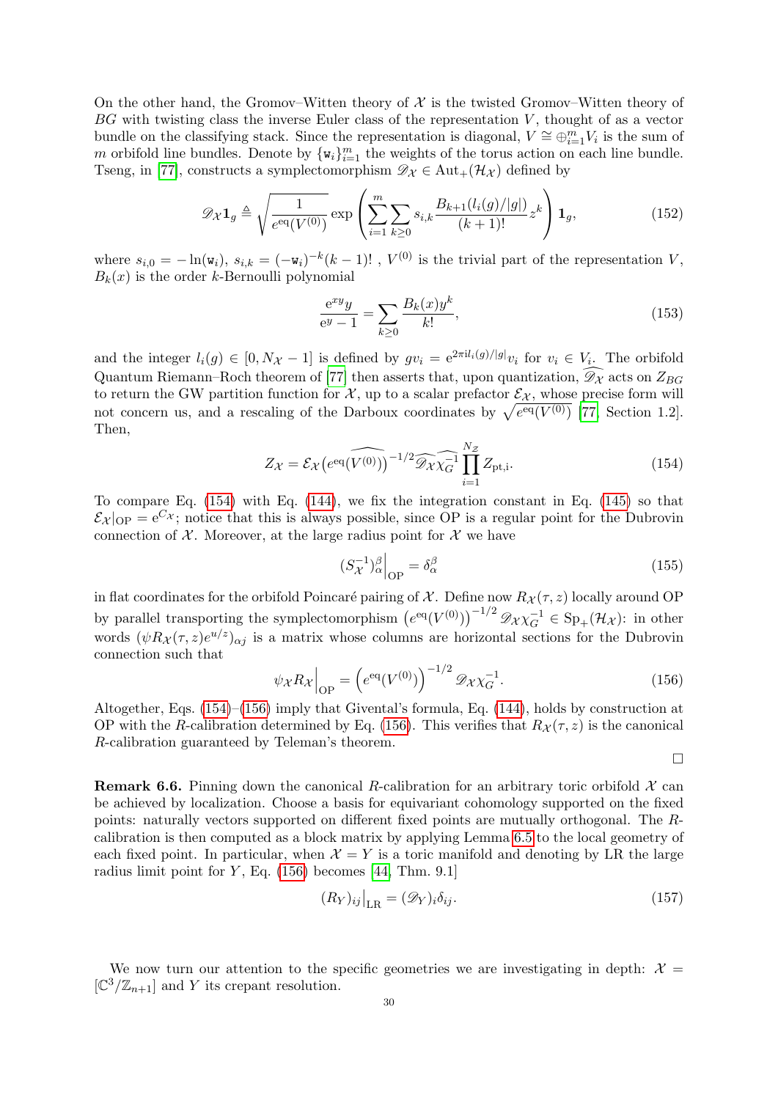On the other hand, the Gromov–Witten theory of  $\mathcal X$  is the twisted Gromov–Witten theory of  $BG$  with twisting class the inverse Euler class of the representation  $V$ , thought of as a vector bundle on the classifying stack. Since the representation is diagonal,  $V \cong \bigoplus_{i=1}^{m} V_i$  is the sum of m orbifold line bundles. Denote by  $\{w_i\}_{i=1}^m$  the weights of the torus action on each line bundle. Tseng, in [\[77\]](#page-46-27), constructs a symplectomorphism  $\mathscr{D}_{\mathcal{X}} \in \text{Aut}_{+}(\mathcal{H}_{\mathcal{X}})$  defined by

<span id="page-29-2"></span>
$$
\mathscr{D}_{\mathcal{X}} \mathbf{1}_{g} \triangleq \sqrt{\frac{1}{e^{\text{eq}}(V^{(0)})}} \exp \left( \sum_{i=1}^{m} \sum_{k \geq 0} s_{i,k} \frac{B_{k+1}(l_{i}(g)/|g|)}{(k+1)!} z^{k} \right) \mathbf{1}_{g},
$$
\n(152)

where  $s_{i,0} = -\ln(\mathbf{w}_i)$ ,  $s_{i,k} = (-\mathbf{w}_i)^{-k} (k-1)!$ ,  $V^{(0)}$  is the trivial part of the representation V,  $B_k(x)$  is the order k-Bernoulli polynomial

$$
\frac{e^{xy}y}{e^y - 1} = \sum_{k \ge 0} \frac{B_k(x)y^k}{k!},
$$
\n(153)

and the integer  $l_i(g) \in [0, N_{\mathcal{X}}-1]$  is defined by  $gv_i = e^{2\pi i l_i(g)/|g|}v_i$  for  $v_i \in V_i$ . The orbifold Quantum Riemann–Roch theorem of [\[77\]](#page-46-27) then asserts that, upon quantization,  $\mathscr{D}_{\mathcal{X}}$  acts on  $Z_{BG}$ to return the GW partition function for  $\mathcal{X}$ , up to a scalar prefactor  $\mathcal{E}_{\mathcal{X}}$ , whose precise form will not concern us, and a rescaling of the Darboux coordinates by  $\sqrt{e^{eq}(V^{(0)})}$  [\[77,](#page-46-27) Section 1.2]. Then,

<span id="page-29-1"></span>
$$
Z_{\mathcal{X}} = \mathcal{E}_{\mathcal{X}} \left( e^{\text{eq}}(\widehat{V^{(0)}}) \right)^{-1/2} \widehat{\mathcal{D}_{\mathcal{X}} \chi_G^{-1}} \prod_{i=1}^{N_{\mathcal{Z}}} Z_{\text{pt},i}.
$$
 (154)

To compare Eq. [\(154\)](#page-29-1) with Eq. [\(144\)](#page-27-2), we fix the integration constant in Eq. [\(145\)](#page-27-3) so that  $\mathcal{E}_{\mathcal{X}}|_{\text{OP}} = e^{C_{\mathcal{X}}}$ ; notice that this is always possible, since OP is a regular point for the Dubrovin connection of  $\mathcal{X}$ . Moreover, at the large radius point for  $\mathcal{X}$  we have

$$
(S_{\mathcal{X}}^{-1})_{\alpha}^{\beta}\Big|_{\text{OP}} = \delta_{\alpha}^{\beta} \tag{155}
$$

in flat coordinates for the orbifold Poincaré pairing of X. Define now  $R_{\chi}(\tau, z)$  locally around OP by parallel transporting the symplectomorphism  $(e^{eq}(V^{(0)}))^{-1/2} \mathcal{D}_{\mathcal{X}} \chi_G^{-1} \in \mathrm{Sp}_+(\mathcal{H}_{\mathcal{X}})$ : in other words  $(\psi R_{\mathcal{X}}(\tau,z)e^{u/z})_{\alpha j}$  is a matrix whose columns are horizontal sections for the Dubrovin connection such that

<span id="page-29-0"></span>
$$
\psi_{\mathcal{X}} R_{\mathcal{X}}\Big|_{\text{OP}} = \left(e^{\text{eq}}(V^{(0)})\right)^{-1/2} \mathcal{D}_{\mathcal{X}} \chi_{G}^{-1}.\tag{156}
$$

Altogether, Eqs. [\(154\)](#page-29-1)–[\(156\)](#page-29-0) imply that Givental's formula, Eq. [\(144\)](#page-27-2), holds by construction at OP with the R-calibration determined by Eq. [\(156\)](#page-29-0). This verifies that  $R_{\mathcal{X}}(\tau, z)$  is the canonical R-calibration guaranteed by Teleman's theorem.

$$
\Box
$$

<span id="page-29-3"></span>**Remark 6.6.** Pinning down the canonical R-calibration for an arbitrary toric orbifold  $\mathcal{X}$  can be achieved by localization. Choose a basis for equivariant cohomology supported on the fixed points: naturally vectors supported on different fixed points are mutually orthogonal. The Rcalibration is then computed as a block matrix by applying Lemma [6.5](#page-28-5) to the local geometry of each fixed point. In particular, when  $\mathcal{X} = Y$  is a toric manifold and denoting by LR the large radius limit point for  $Y$ , Eq. [\(156\)](#page-29-0) becomes [\[44,](#page-45-16) Thm. 9.1]

<span id="page-29-4"></span>
$$
(R_Y)_{ij}\big|_{\text{LR}} = (\mathscr{D}_Y)_i \delta_{ij}.
$$
\n(157)

We now turn our attention to the specific geometries we are investigating in depth:  $\mathcal{X} =$  $[\mathbb{C}^3/\mathbb{Z}_{n+1}]$  and Y its crepant resolution.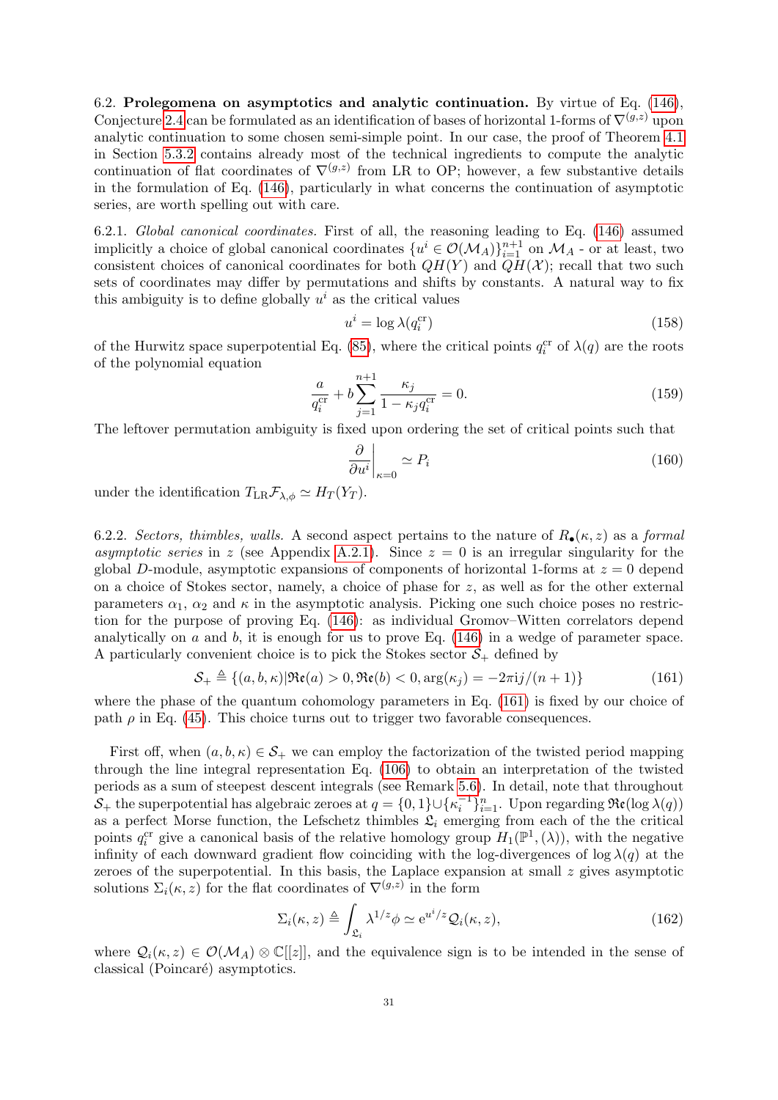<span id="page-30-0"></span>6.2. Prolegomena on asymptotics and analytic continuation. By virtue of Eq. [\(146\)](#page-28-2), Conjecture [2.4](#page-8-4) can be formulated as an identification of bases of horizontal 1-forms of  $\nabla^{(g,z)}$  upon analytic continuation to some chosen semi-simple point. In our case, the proof of Theorem [4.1](#page-13-2) in Section [5.3.2](#page-23-0) contains already most of the technical ingredients to compute the analytic continuation of flat coordinates of  $\nabla^{(g,z)}$  from LR to OP; however, a few substantive details in the formulation of Eq. [\(146\)](#page-28-2), particularly in what concerns the continuation of asymptotic series, are worth spelling out with care.

<span id="page-30-6"></span>6.2.1. Global canonical coordinates. First of all, the reasoning leading to Eq. [\(146\)](#page-28-2) assumed implicitly a choice of global canonical coordinates  $\{u^i \in \mathcal{O}(\mathcal{M}_A)\}_{i=1}^{n+1}$  on  $\mathcal{M}_A$  - or at least, two consistent choices of canonical coordinates for both  $QH(Y)$  and  $QH(\mathcal{X})$ ; recall that two such sets of coordinates may differ by permutations and shifts by constants. A natural way to fix this ambiguity is to define globally  $u^i$  as the critical values

<span id="page-30-4"></span>
$$
u^i = \log \lambda(q_i^{\text{cr}})
$$
\n<sup>(158)</sup>

of the Hurwitz space superpotential Eq. [\(85\)](#page-19-2), where the critical points  $q_i^{\rm cr}$  of  $\lambda(q)$  are the roots of the polynomial equation

<span id="page-30-3"></span>
$$
\frac{a}{q_i^{\text{cr}}} + b \sum_{j=1}^{n+1} \frac{\kappa_j}{1 - \kappa_j q_i^{\text{cr}}} = 0.
$$
 (159)

The leftover permutation ambiguity is fixed upon ordering the set of critical points such that

<span id="page-30-5"></span>
$$
\left. \frac{\partial}{\partial u^i} \right|_{\kappa=0} \simeq P_i \tag{160}
$$

under the identification  $T_{LR} \mathcal{F}_{\lambda,\phi} \simeq H_T(Y_T)$ .

6.2.2. Sectors, thimbles, walls. A second aspect pertains to the nature of  $R_{\bullet}(\kappa, z)$  as a formal asymptotic series in z (see Appendix [A.2.1\)](#page-38-1). Since  $z = 0$  is an irregular singularity for the global D-module, asymptotic expansions of components of horizontal 1-forms at  $z = 0$  depend on a choice of Stokes sector, namely, a choice of phase for  $z$ , as well as for the other external parameters  $\alpha_1$ ,  $\alpha_2$  and  $\kappa$  in the asymptotic analysis. Picking one such choice poses no restriction for the purpose of proving Eq. [\(146\)](#page-28-2): as individual Gromov–Witten correlators depend analytically on  $a$  and  $b$ , it is enough for us to prove Eq. [\(146\)](#page-28-2) in a wedge of parameter space. A particularly convenient choice is to pick the Stokes sector  $S_{+}$  defined by

<span id="page-30-1"></span>
$$
S_+ \triangleq \{(a, b, \kappa) | \Re(\mathbf{e}(a) > 0, \Re(\mathbf{e}(b) < 0, \arg(\kappa_j)) = -2\pi i j/(n+1) \} \tag{161}
$$

where the phase of the quantum cohomology parameters in Eq. [\(161\)](#page-30-1) is fixed by our choice of path  $\rho$  in Eq. [\(45\)](#page-13-6). This choice turns out to trigger two favorable consequences.

First off, when  $(a, b, \kappa) \in S_+$  we can employ the factorization of the twisted period mapping through the line integral representation Eq. [\(106\)](#page-21-5) to obtain an interpretation of the twisted periods as a sum of steepest descent integrals (see Remark [5.6\)](#page-21-6). In detail, note that throughout  $S_+$  the superpotential has algebraic zeroes at  $q = \{0, 1\} \cup \{\kappa_i^{-1}\}_{i=1}^n$ . Upon regarding  $\Re(\log \lambda(q))$ as a perfect Morse function, the Lefschetz thimbles  $\mathfrak{L}_i$  emerging from each of the the critical points  $q_i^{\text{cr}}$  give a canonical basis of the relative homology group  $H_1(\mathbb{P}^1,(\lambda))$ , with the negative infinity of each downward gradient flow coinciding with the log-divergences of log  $\lambda(q)$  at the zeroes of the superpotential. In this basis, the Laplace expansion at small  $z$  gives asymptotic solutions  $\Sigma_i(\kappa, z)$  for the flat coordinates of  $\nabla^{(g,z)}$  in the form

<span id="page-30-2"></span>
$$
\Sigma_i(\kappa, z) \triangleq \int_{\mathfrak{L}_i} \lambda^{1/z} \phi \simeq e^{u^i/z} \mathcal{Q}_i(\kappa, z), \tag{162}
$$

where  $\mathcal{Q}_i(\kappa, z) \in \mathcal{O}(\mathcal{M}_A) \otimes \mathbb{C}[[z]]$ , and the equivalence sign is to be intended in the sense of classical (Poincaré) asymptotics.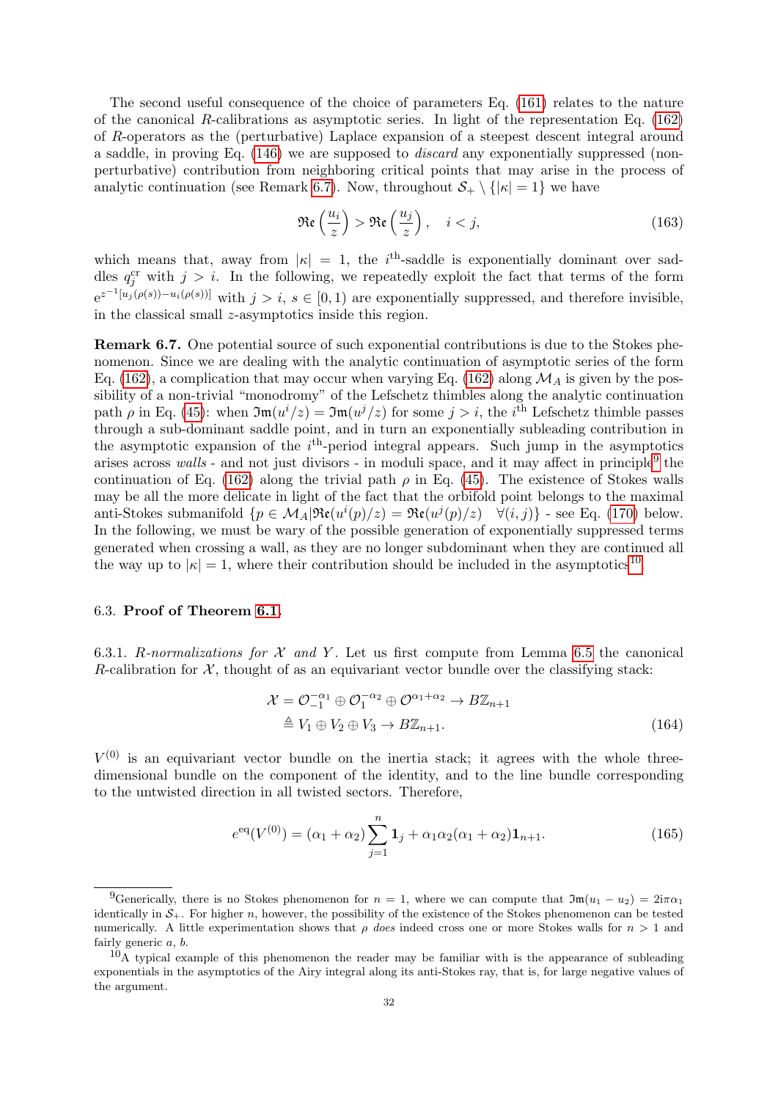The second useful consequence of the choice of parameters Eq. [\(161\)](#page-30-1) relates to the nature of the canonical R-calibrations as asymptotic series. In light of the representation Eq.  $(162)$ of R-operators as the (perturbative) Laplace expansion of a steepest descent integral around a saddle, in proving Eq. [\(146\)](#page-28-2) we are supposed to discard any exponentially suppressed (nonperturbative) contribution from neighboring critical points that may arise in the process of analytic continuation (see Remark [6.7\)](#page-31-1). Now, throughout  $S_+ \setminus {\vert \kappa \vert = 1}$  we have

<span id="page-31-4"></span>
$$
\Re\mathfrak{e}\left(\frac{u_i}{z}\right) > \Re\mathfrak{e}\left(\frac{u_j}{z}\right), \quad i < j,\tag{163}
$$

which means that, away from  $|\kappa| = 1$ , the i<sup>th</sup>-saddle is exponentially dominant over saddles  $q_j^{\rm cr}$  with  $j > i$ . In the following, we repeatedly exploit the fact that terms of the form  $e^{z^{-1}[u_j(\rho(s))-u_i(\rho(s))]$  with  $j > i, s \in [0,1)$  are exponentially suppressed, and therefore invisible, in the classical small  $z$ -asymptotics inside this region.

<span id="page-31-1"></span>Remark 6.7. One potential source of such exponential contributions is due to the Stokes phenomenon. Since we are dealing with the analytic continuation of asymptotic series of the form Eq. [\(162\)](#page-30-2), a complication that may occur when varying Eq. (162) along  $\mathcal{M}_A$  is given by the possibility of a non-trivial "monodromy" of the Lefschetz thimbles along the analytic continuation path  $\rho$  in Eq. [\(45\)](#page-13-6): when  $\mathfrak{Im}(u^{i}/z) = \mathfrak{Im}(u^{j}/z)$  for some  $j > i$ , the *i*<sup>th</sup> Lefschetz thimble passes through a sub-dominant saddle point, and in turn an exponentially subleading contribution in the asymptotic expansion of the  $i<sup>th</sup>$ -period integral appears. Such jump in the asymptotics arises across walls - and not just divisors - in moduli space, and it may affect in principle<sup>[9](#page-31-2)</sup> the continuation of Eq. [\(162\)](#page-30-2) along the trivial path  $\rho$  in Eq. [\(45\)](#page-13-6). The existence of Stokes walls may be all the more delicate in light of the fact that the orbifold point belongs to the maximal anti-Stokes submanifold  $\{p \in M_A | \Re(\mu^i(p)/z) = \Re(\mu^j(p)/z) \quad \forall (i, j)\}\$  - see Eq. [\(170\)](#page-32-0) below. In the following, we must be wary of the possible generation of exponentially suppressed terms generated when crossing a wall, as they are no longer subdominant when they are continued all the way up to  $|\kappa| = 1$ , where their contribution should be included in the asymptotics<sup>[10](#page-31-3)</sup>.

### <span id="page-31-0"></span>6.3. Proof of Theorem [6.1.](#page-26-1)

6.3.1. R-normalizations for  $\mathcal X$  and  $Y$ . Let us first compute from Lemma [6.5](#page-28-5) the canonical R-calibration for  $\mathcal{X}$ , thought of as an equivariant vector bundle over the classifying stack:

$$
\mathcal{X} = \mathcal{O}_{-1}^{-\alpha_1} \oplus \mathcal{O}_1^{-\alpha_2} \oplus \mathcal{O}^{\alpha_1 + \alpha_2} \to B\mathbb{Z}_{n+1}
$$
  
\n
$$
\triangleq V_1 \oplus V_2 \oplus V_3 \to B\mathbb{Z}_{n+1}.
$$
\n(164)

 $V^{(0)}$  is an equivariant vector bundle on the inertia stack; it agrees with the whole threedimensional bundle on the component of the identity, and to the line bundle corresponding to the untwisted direction in all twisted sectors. Therefore,

$$
e^{\text{eq}}(V^{(0)}) = (\alpha_1 + \alpha_2) \sum_{j=1}^{n} \mathbf{1}_j + \alpha_1 \alpha_2 (\alpha_1 + \alpha_2) \mathbf{1}_{n+1}.
$$
 (165)

<span id="page-31-2"></span><sup>&</sup>lt;sup>9</sup>Generically, there is no Stokes phenomenon for  $n = 1$ , where we can compute that  $\mathfrak{Im}(u_1 - u_2) = 2i\pi\alpha_1$ identically in  $S_{+}$ . For higher n, however, the possibility of the existence of the Stokes phenomenon can be tested numerically. A little experimentation shows that  $\rho$  does indeed cross one or more Stokes walls for  $n > 1$  and fairly generic a, b.

<span id="page-31-3"></span> $10$ A typical example of this phenomenon the reader may be familiar with is the appearance of subleading exponentials in the asymptotics of the Airy integral along its anti-Stokes ray, that is, for large negative values of the argument.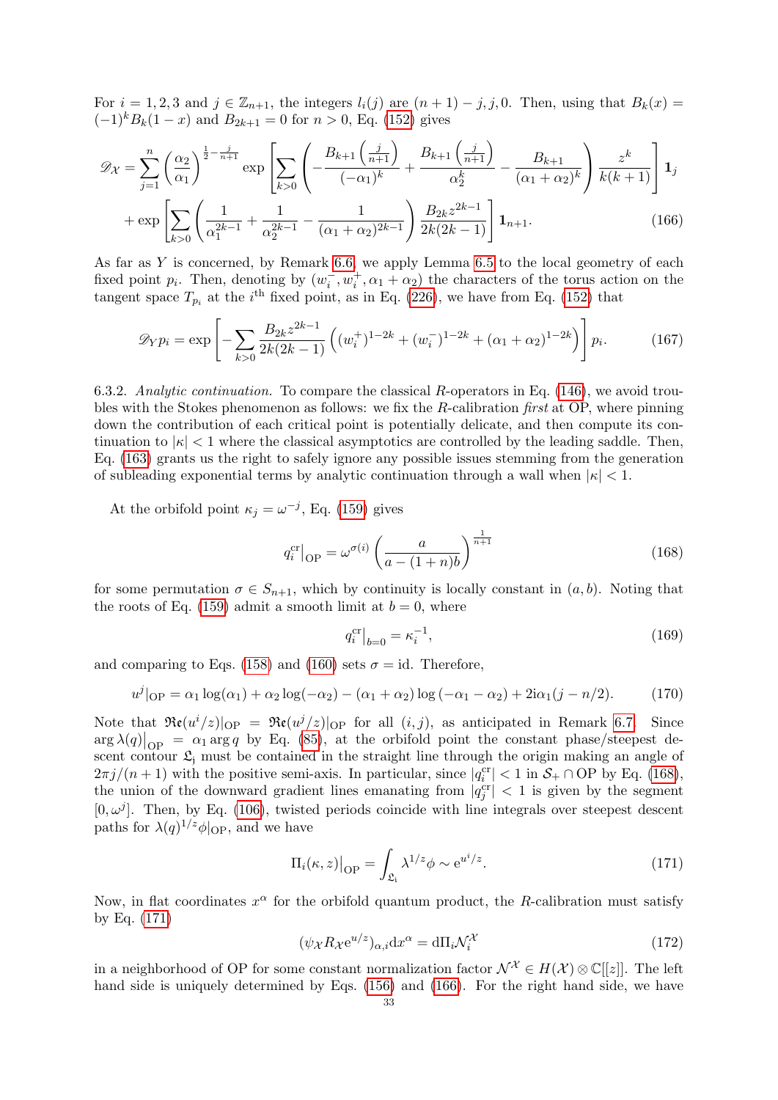For  $i = 1, 2, 3$  and  $j \in \mathbb{Z}_{n+1}$ , the integers  $l_i(j)$  are  $(n+1) - j, j, 0$ . Then, using that  $B_k(x) =$  $(-1)^k B_k(1-x)$  and  $B_{2k+1} = 0$  for  $n > 0$ , Eq. [\(152\)](#page-29-2) gives

$$
\mathcal{D}_{\mathcal{X}} = \sum_{j=1}^{n} \left(\frac{\alpha_2}{\alpha_1}\right)^{\frac{1}{2} - \frac{j}{n+1}} \exp\left[\sum_{k>0} \left(-\frac{B_{k+1}\left(\frac{j}{n+1}\right)}{(-\alpha_1)^k} + \frac{B_{k+1}\left(\frac{j}{n+1}\right)}{\alpha_2^k} - \frac{B_{k+1}}{(\alpha_1 + \alpha_2)^k}\right) \frac{z^k}{k(k+1)}\right] \mathbf{1}_j
$$
\n
$$
\left[\sum_{k>0} \left(1 \atop 1 \atop 1 \right)^k \left(1 \atop 1 \right)^k \right] \mathbf{1}_j
$$
\n
$$
B_{2k} z^{2k-1}
$$

$$
+\exp\left[\sum_{k>0}\left(\frac{1}{\alpha_1^{2k-1}}+\frac{1}{\alpha_2^{2k-1}}-\frac{1}{(\alpha_1+\alpha_2)^{2k-1}}\right)\frac{B_{2k}z^{2k-1}}{2k(2k-1)}\right]\mathbf{1}_{n+1}.
$$
\n(166)

As far as Y is concerned, by Remark [6.6,](#page-29-3) we apply Lemma [6.5](#page-28-5) to the local geometry of each fixed point  $p_i$ . Then, denoting by  $(w_i^-, w_i^+, \alpha_1 + \alpha_2)$  the characters of the torus action on the tangent space  $T_{p_i}$  at the *i*<sup>th</sup> fixed point, as in Eq. [\(226\)](#page-41-4), we have from Eq. [\(152\)](#page-29-2) that

$$
\mathscr{D}_Y p_i = \exp\left[-\sum_{k>0} \frac{B_{2k} z^{2k-1}}{2k(2k-1)} \left((w_i^+)^{1-2k} + (w_i^-)^{1-2k} + (\alpha_1 + \alpha_2)^{1-2k}\right)\right] p_i.
$$
 (167)

6.3.2. Analytic continuation. To compare the classical R-operators in Eq. [\(146\)](#page-28-2), we avoid troubles with the Stokes phenomenon as follows: we fix the R-calibration first at OP, where pinning down the contribution of each critical point is potentially delicate, and then compute its continuation to  $|\kappa| < 1$  where the classical asymptotics are controlled by the leading saddle. Then, Eq. [\(163\)](#page-31-4) grants us the right to safely ignore any possible issues stemming from the generation of subleading exponential terms by analytic continuation through a wall when  $|\kappa| < 1$ .

At the orbifold point  $\kappa_j = \omega^{-j}$ , Eq. [\(159\)](#page-30-3) gives

<span id="page-32-3"></span><span id="page-32-1"></span>
$$
q_i^{\text{cr}}\big|_{\text{OP}} = \omega^{\sigma(i)} \left(\frac{a}{a - (1+n)b}\right)^{\frac{1}{n+1}}
$$
\n(168)

for some permutation  $\sigma \in S_{n+1}$ , which by continuity is locally constant in  $(a, b)$ . Noting that the roots of Eq. [\(159\)](#page-30-3) admit a smooth limit at  $b = 0$ , where

$$
q_i^{\text{cr}}\big|_{b=0} = \kappa_i^{-1},\tag{169}
$$

and comparing to Eqs. [\(158\)](#page-30-4) and [\(160\)](#page-30-5) sets  $\sigma = id$ . Therefore,

<span id="page-32-0"></span>
$$
u^{j}|_{\text{OP}} = \alpha_{1} \log(\alpha_{1}) + \alpha_{2} \log(-\alpha_{2}) - (\alpha_{1} + \alpha_{2}) \log(-\alpha_{1} - \alpha_{2}) + 2i\alpha_{1}(j - n/2). \tag{170}
$$

Note that  $\Re(\mu^i/z)|_{\text{OP}} = \Re(\mu^i/z)|_{\text{OP}}$  for all  $(i, j)$ , as anticipated in Remark [6.7.](#page-31-1) Since  $\arg \lambda(q)|_{\text{OP}} = \alpha_1 \arg q$  by Eq. [\(85\)](#page-19-2), at the orbifold point the constant phase/steepest descent contour  $\mathfrak{L}_i$  must be contained in the straight line through the origin making an angle of  $2\pi j/(n+1)$  with the positive semi-axis. In particular, since  $|q_i^{\text{cr}}| < 1$  in  $\mathcal{S}_+ \cap \text{OP}$  by Eq. [\(168\)](#page-32-1), the union of the downward gradient lines emanating from  $|q_j^{\text{cr}}| < 1$  is given by the segment  $[0, \omega^j]$ . Then, by Eq. [\(106\)](#page-21-5), twisted periods coincide with line integrals over steepest descent paths for  $\lambda(q)^{1/z}\phi|_{\text{OP}}$ , and we have

<span id="page-32-2"></span>
$$
\Pi_i(\kappa, z)\big|_{\text{OP}} = \int_{\mathfrak{L}_i} \lambda^{1/z} \phi \sim e^{u^i/z}.
$$
 (171)

Now, in flat coordinates  $x^{\alpha}$  for the orbifold quantum product, the R-calibration must satisfy by Eq. [\(171\)](#page-32-2)

<span id="page-32-4"></span>
$$
(\psi_{\mathcal{X}} R_{\mathcal{X}} e^{u/z})_{\alpha,i} dx^{\alpha} = d\Pi_i \mathcal{N}_i^{\mathcal{X}} \tag{172}
$$

in a neighborhood of OP for some constant normalization factor  $\mathcal{N}^{\mathcal{X}} \in H(\mathcal{X})\otimes\mathbb{C}[[z]]$ . The left hand side is uniquely determined by Eqs. [\(156\)](#page-29-0) and [\(166\)](#page-32-3). For the right hand side, we have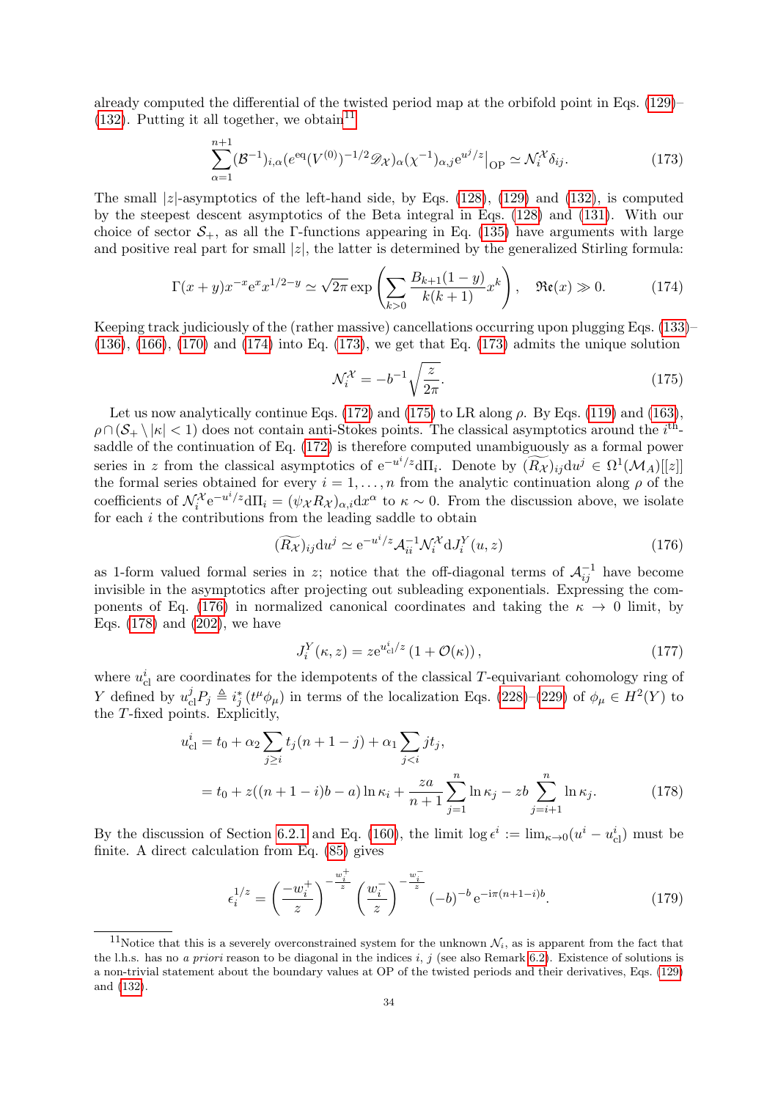already computed the differential of the twisted period map at the orbifold point in Eqs. [\(129\)](#page-24-1)–  $(132)$ . Putting it all together, we obtain<sup>[11](#page-33-0)</sup>

<span id="page-33-2"></span>
$$
\sum_{\alpha=1}^{n+1} (\mathcal{B}^{-1})_{i,\alpha} (e^{eq} (V^{(0)})^{-1/2} \mathscr{D}_{\mathcal{X}})_{\alpha} (\chi^{-1})_{\alpha,j} e^{u^j/z} \Big|_{\text{OP}} \simeq \mathcal{N}_i^{\mathcal{X}} \delta_{ij}.
$$
 (173)

The small  $|z|$ -asymptotics of the left-hand side, by Eqs. [\(128\)](#page-24-2), [\(129\)](#page-24-1) and [\(132\)](#page-25-5), is computed by the steepest descent asymptotics of the Beta integral in Eqs. [\(128\)](#page-24-2) and [\(131\)](#page-25-6). With our choice of sector  $S_+$ , as all the Γ-functions appearing in Eq. [\(135\)](#page-25-7) have arguments with large and positive real part for small  $|z|$ , the latter is determined by the generalized Stirling formula:

<span id="page-33-1"></span>
$$
\Gamma(x+y)x^{-x}e^x x^{1/2-y} \simeq \sqrt{2\pi} \exp\left(\sum_{k>0} \frac{B_{k+1}(1-y)}{k(k+1)} x^k\right), \quad \Re\mathfrak{e}(x) \gg 0. \tag{174}
$$

Keeping track judiciously of the (rather massive) cancellations occurring upon plugging Eqs. [\(133\)](#page-25-0)–  $(136)$ ,  $(166)$ ,  $(170)$  and  $(174)$  into Eq.  $(173)$ , we get that Eq.  $(173)$  admits the unique solution

<span id="page-33-3"></span>
$$
\mathcal{N}_i^{\mathcal{X}} = -b^{-1} \sqrt{\frac{z}{2\pi}}.\tag{175}
$$

Let us now analytically continue Eqs. [\(172\)](#page-32-4) and [\(175\)](#page-33-3) to LR along  $\rho$ . By Eqs. [\(119\)](#page-23-3) and [\(163\)](#page-31-4),  $\rho \cap (\mathcal{S}_+ \setminus |\kappa| < 1)$  does not contain anti-Stokes points. The classical asymptotics around the *i*<sup>th</sup>saddle of the continuation of Eq. [\(172\)](#page-32-4) is therefore computed unambiguously as a formal power series in z from the classical asymptotics of  $e^{-u^i/z}d\Pi_i$ . Denote by  $(\widetilde{R_{\mathcal{X}}})_{ij}du^j \in \Omega^1(\mathcal{M}_A)[[z]]$ the formal series obtained for every  $i = 1, \ldots, n$  from the analytic continuation along  $\rho$  of the coefficients of  $\mathcal{N}_i^{\mathcal{X}} e^{-u^i/z} d\Pi_i = (\psi_{\mathcal{X}} R_{\mathcal{X}})_{\alpha,i} dx^{\alpha}$  to  $\kappa \sim 0$ . From the discussion above, we isolate for each  $i$  the contributions from the leading saddle to obtain

<span id="page-33-4"></span>
$$
(\widetilde{R_{\mathcal{X}}})_{ij} \mathrm{d}u^{j} \simeq \mathrm{e}^{-u^{i}/z} \mathcal{A}_{ii}^{-1} \mathcal{N}_{i}^{\mathcal{X}} \mathrm{d}J_{i}^{Y}(u, z) \tag{176}
$$

as 1-form valued formal series in z; notice that the off-diagonal terms of  $\mathcal{A}_{ij}^{-1}$  have become invisible in the asymptotics after projecting out subleading exponentials. Expressing the com-ponents of Eq. [\(176\)](#page-33-4) in normalized canonical coordinates and taking the  $\kappa \to 0$  limit, by Eqs. [\(178\)](#page-33-5) and [\(202\)](#page-37-4), we have

<span id="page-33-5"></span>
$$
J_i^Y(\kappa, z) = z e^{u_{\text{cl}}^i/z} \left( 1 + \mathcal{O}(\kappa) \right),\tag{177}
$$

where  $u_{\text{cl}}^i$  are coordinates for the idempotents of the classical T-equivariant cohomology ring of Y defined by  $u_{\text{cl}}^j P_j \triangleq i_j^* (t^\mu \phi_\mu)$  in terms of the localization Eqs. [\(228\)](#page-41-2)–[\(229\)](#page-41-3) of  $\phi_\mu \in H^2(Y)$  to the T-fixed points. Explicitly,

$$
u_{\text{cl}}^i = t_0 + \alpha_2 \sum_{j \ge i} t_j (n+1-j) + \alpha_1 \sum_{j < i} j t_j,
$$
\n
$$
= t_0 + z((n+1-i)b - a) \ln \kappa_i + \frac{za}{n+1} \sum_{j=1}^n \ln \kappa_j - zb \sum_{j=i+1}^n \ln \kappa_j. \tag{178}
$$

By the discussion of Section [6.2.1](#page-30-6) and Eq. [\(160\)](#page-30-5), the limit  $\log \epsilon^i := \lim_{\kappa \to 0} (u^i - u^i_{\text{cl}})$  must be finite. A direct calculation from Eq. [\(85\)](#page-19-2) gives

$$
\epsilon_i^{1/z} = \left(\frac{-w_i^+}{z}\right)^{-\frac{w_i^+}{z}} \left(\frac{w_i^-}{z}\right)^{-\frac{w_i^-}{z}} (-b)^{-b} e^{-i\pi(n+1-i)b}.\tag{179}
$$

<span id="page-33-0"></span><sup>&</sup>lt;sup>11</sup>Notice that this is a severely overconstrained system for the unknown  $\mathcal{N}_i$ , as is apparent from the fact that the l.h.s. has no a priori reason to be diagonal in the indices i, j (see also Remark [6.2\)](#page-27-0). Existence of solutions is a non-trivial statement about the boundary values at OP of the twisted periods and their derivatives, Eqs. [\(129\)](#page-24-1) and [\(132\)](#page-25-5).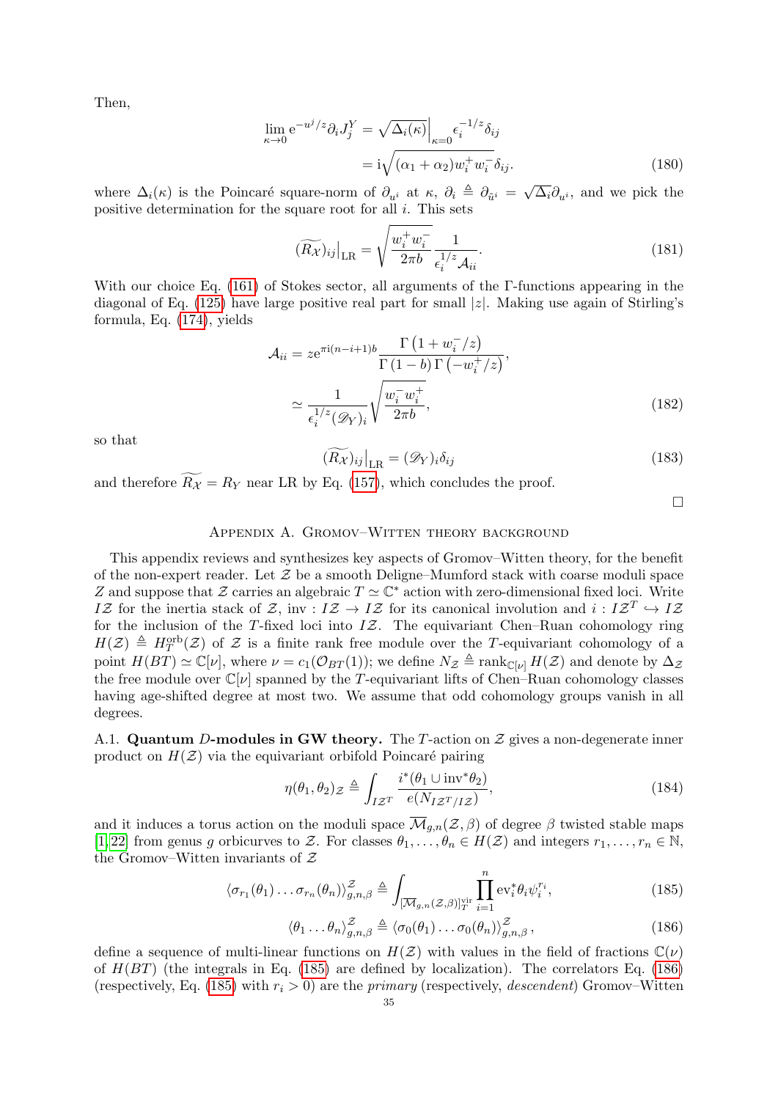Then,

$$
\lim_{\kappa \to 0} e^{-u^j/z} \partial_i J_j^Y = \sqrt{\Delta_i(\kappa)} \Big|_{\kappa = 0} \epsilon_i^{-1/z} \delta_{ij}
$$

$$
= i \sqrt{(\alpha_1 + \alpha_2) w_i^+ w_i^-} \delta_{ij}.
$$
(180)

where  $\Delta_i(\kappa)$  is the Poincaré square-norm of  $\partial_{u^i}$  at  $\kappa$ ,  $\partial_i \triangleq \partial_{\tilde{u}^i} = \sqrt{\Delta_i} \partial_{u^i}$ , and we pick the positive determination for the square root for all  $i$ . This sets

$$
(\widetilde{R_{\mathcal{X}}})_{ij}\big|_{\text{LR}} = \sqrt{\frac{w_i^+ w_i^-}{2\pi b}} \frac{1}{\epsilon_i^{1/z} \mathcal{A}_{ii}}.
$$
\n(181)

With our choice Eq. [\(161\)](#page-30-1) of Stokes sector, all arguments of the Γ-functions appearing in the diagonal of Eq. [\(125\)](#page-24-0) have large positive real part for small  $|z|$ . Making use again of Stirling's formula, Eq. [\(174\)](#page-33-1), yields

$$
\mathcal{A}_{ii} = ze^{\pi i (n-i+1)b} \frac{\Gamma\left(1 + w_i^-/z\right)}{\Gamma\left(1-b\right)\Gamma\left(-w_i^+/z\right)},
$$

$$
\simeq \frac{1}{\epsilon_i^{1/z}(\mathscr{D}_Y)_i} \sqrt{\frac{w_i^- w_i^+}{2\pi b}},\tag{182}
$$

so that

$$
(\widetilde{R_{\mathcal{X}}})_{ij}\big|_{\text{LR}} = (\mathcal{D}_Y)_i \delta_{ij} \tag{183}
$$

and therefore  $R_{\mathcal{X}} = R_Y$  near LR by Eq. [\(157\)](#page-29-4), which concludes the proof.

 $\Box$ 

# Appendix A. Gromov–Witten theory background

<span id="page-34-0"></span>This appendix reviews and synthesizes key aspects of Gromov–Witten theory, for the benefit of the non-expert reader. Let  $\mathcal Z$  be a smooth Deligne–Mumford stack with coarse moduli space Z and suppose that Z carries an algebraic  $T \simeq \mathbb{C}^*$  action with zero-dimensional fixed loci. Write IZ for the inertia stack of  $\mathcal{Z}$ , inv :  $I\mathcal{Z} \to I\mathcal{Z}$  for its canonical involution and  $i : I\mathcal{Z}^T \hookrightarrow I\mathcal{Z}$ for the inclusion of the T-fixed loci into  $I\mathcal{Z}$ . The equivariant Chen–Ruan cohomology ring  $H(\mathcal{Z}) \triangleq H_T^{\text{orb}}(\mathcal{Z})$  of  $\mathcal Z$  is a finite rank free module over the T-equivariant cohomology of a point  $H(BT) \simeq \mathbb{C}[\nu]$ , where  $\nu = c_1(\mathcal{O}_{BT}(1))$ ; we define  $N_z \triangleq \text{rank}_{\mathbb{C}[\nu]} H(z)$  and denote by  $\Delta_z$ the free module over  $\mathbb{C}[\nu]$  spanned by the T-equivariant lifts of Chen–Ruan cohomology classes having age-shifted degree at most two. We assume that odd cohomology groups vanish in all degrees.

<span id="page-34-1"></span>A.1. Quantum D-modules in GW theory. The T-action on  $\mathcal Z$  gives a non-degenerate inner product on  $H(\mathcal{Z})$  via the equivariant orbifold Poincaré pairing

<span id="page-34-2"></span>
$$
\eta(\theta_1, \theta_2)_{\mathcal{Z}} \triangleq \int_{I\mathcal{Z}^T} \frac{i^*(\theta_1 \cup \text{inv}^*\theta_2)}{e(N_{I\mathcal{Z}^T/I\mathcal{Z}})},\tag{184}
$$

and it induces a torus action on the moduli space  $\overline{\mathcal{M}}_{q,n}(\mathcal{Z},\beta)$  of degree  $\beta$  twisted stable maps [\[1,](#page-44-16)22] from genus g orbicurves to Z. For classes  $\theta_1, \ldots, \theta_n \in H(\mathcal{Z})$  and integers  $r_1, \ldots, r_n \in \mathbb{N}$ , the Gromov–Witten invariants of  $Z$ 

$$
\langle \sigma_{r_1}(\theta_1) \dots \sigma_{r_n}(\theta_n) \rangle_{g,n,\beta}^{\mathcal{Z}} \triangleq \int_{\left[\overline{\mathcal{M}}_{g,n}(\mathcal{Z},\beta)\right]_{T}^{\text{vir}}} \prod_{i=1}^n \text{ev}_i^* \theta_i \psi_i^{r_i},\tag{185}
$$

<span id="page-34-4"></span><span id="page-34-3"></span>
$$
\langle \theta_1 \dots \theta_n \rangle_{g,n,\beta}^{\mathcal{Z}} \triangleq \langle \sigma_0(\theta_1) \dots \sigma_0(\theta_n) \rangle_{g,n,\beta}^{\mathcal{Z}}, \qquad (186)
$$

define a sequence of multi-linear functions on  $H(\mathcal{Z})$  with values in the field of fractions  $\mathbb{C}(\nu)$ of  $H(BT)$  (the integrals in Eq. [\(185\)](#page-34-3) are defined by localization). The correlators Eq. [\(186\)](#page-34-4) (respectively, Eq. [\(185\)](#page-34-3) with  $r_i > 0$ ) are the *primary* (respectively, *descendent*) Gromov–Witten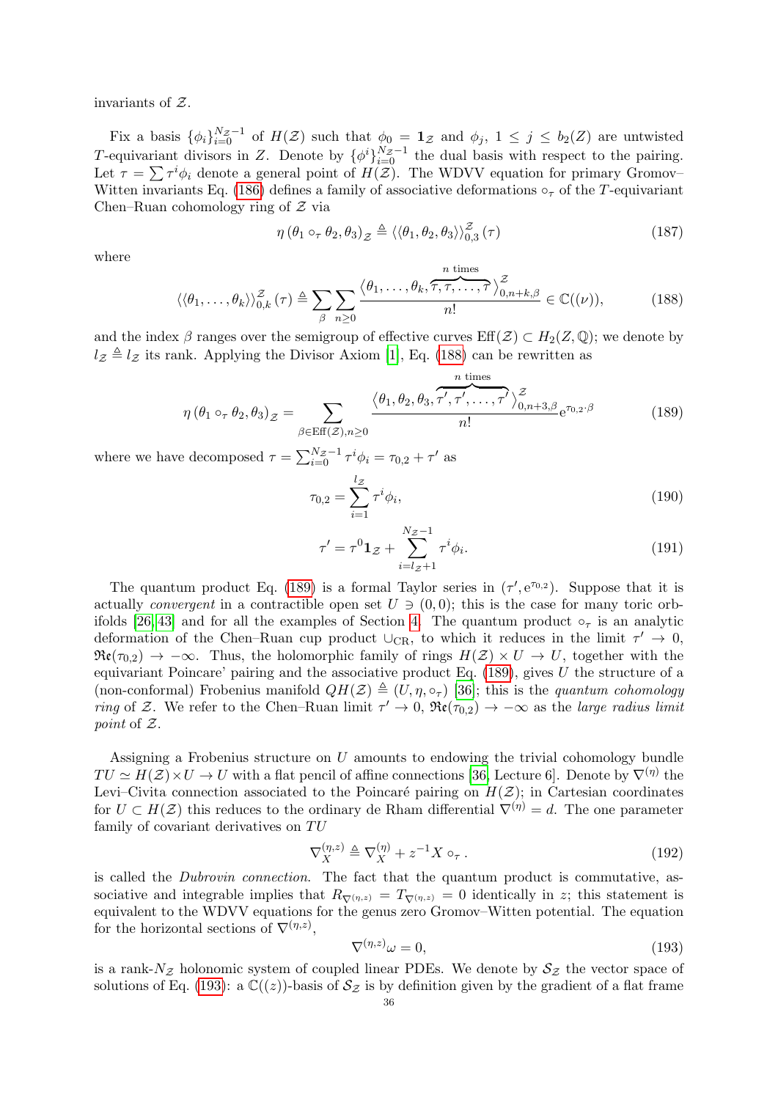invariants of Z.

Fix a basis  $\{\phi_i\}_{i=0}^{N_Z-1}$  of  $H(\mathcal{Z})$  such that  $\phi_0 = \mathbf{1}_{\mathcal{Z}}$  and  $\phi_j$ ,  $1 \leq j \leq b_2(\mathcal{Z})$  are untwisted T-equivariant divisors in Z. Denote by  $\{\phi^i\}_{i=0}^{N_Z-1}$  the dual basis with respect to the pairing. Let  $\tau = \sum \tau^i \phi_i$  denote a general point of  $H(\mathcal{Z})$ . The WDVV equation for primary Gromov– Witten invariants Eq. [\(186\)](#page-34-4) defines a family of associative deformations  $\circ_{\tau}$  of the T-equivariant Chen–Ruan cohomology ring of  $Z$  via

<span id="page-35-0"></span>
$$
\eta\left(\theta_{1}\circ_{\tau}\theta_{2},\theta_{3}\right)_{\mathcal{Z}}\triangleq\left\langle \left\langle \theta_{1},\theta_{2},\theta_{3}\right\rangle \right\rangle _{0,3}^{\mathcal{Z}}\left(\tau\right)
$$
\n(187)

n times

where

<span id="page-35-4"></span>
$$
\langle \langle \theta_1, \dots, \theta_k \rangle \rangle_{0,k}^{\mathcal{Z}}(\tau) \triangleq \sum_{\beta} \sum_{n \geq 0} \frac{\langle \theta_1, \dots, \theta_k, \overbrace{\tau, \tau, \dots, \tau}^{\mathcal{Z}} \rangle_{0,n+k,\beta}^{\mathcal{Z}}}{n!} \in \mathbb{C}((\nu)),
$$
 (188)

and the index  $\beta$  ranges over the semigroup of effective curves  $\text{Eff}(\mathcal{Z}) \subset H_2(\mathcal{Z}, \mathbb{Q})$ ; we denote by  $l_z \triangleq l_z$  its rank. Applying the Divisor Axiom [\[1\]](#page-44-16), Eq. [\(188\)](#page-35-4) can be rewritten as

<span id="page-35-1"></span>
$$
\eta(\theta_1 \circ_\tau \theta_2, \theta_3)_{\mathcal{Z}} = \sum_{\beta \in \text{Eff}(\mathcal{Z}), n \ge 0} \frac{\langle \theta_1, \theta_2, \theta_3, \tau', \tau', \dots, \tau' \rangle_{0, n+3, \beta}^{\mathcal{Z}} e^{\tau_{0,2} \cdot \beta}}{n!} e^{\tau_{0,2} \cdot \beta}
$$
(189)

where we have decomposed  $\tau = \sum_{i=0}^{N_Z-1} \tau^i \phi_i = \tau_{0,2} + \tau'$  as

$$
\tau_{0,2} = \sum_{i=1}^{l_{\mathcal{Z}}} \tau^i \phi_i,\tag{190}
$$

$$
\tau' = \tau^0 \mathbf{1}_{\mathcal{Z}} + \sum_{i=l_{\mathcal{Z}}+1}^{N_{\mathcal{Z}}-1} \tau^i \phi_i.
$$
 (191)

The quantum product Eq. [\(189\)](#page-35-1) is a formal Taylor series in  $(\tau', e^{\tau_{0,2}})$ . Suppose that it is actually *convergent* in a contractible open set  $U \ni (0,0)$ ; this is the case for many toric orb-ifolds [\[26,](#page-45-30) [43\]](#page-45-31) and for all the examples of Section [4.](#page-13-0) The quantum product  $\circ_{\tau}$  is an analytic deformation of the Chen–Ruan cup product  $\cup_{CR}$ , to which it reduces in the limit  $\tau' \to 0$ ,  $\mathfrak{Re}(\tau_{0,2}) \to -\infty$ . Thus, the holomorphic family of rings  $H(\mathcal{Z}) \times U \to U$ , together with the equivariant Poincare' pairing and the associative product Eq.  $(189)$ , gives U the structure of a (non-conformal) Frobenius manifold  $QH(\mathcal{Z}) \triangleq (U, \eta, \circ_{\tau})$  [\[36\]](#page-45-21); this is the quantum cohomology ring of Z. We refer to the Chen–Ruan limit  $\tau' \to 0$ ,  $\Re(\tau_{0,2}) \to -\infty$  as the *large radius limit* point of Z.

Assigning a Frobenius structure on U amounts to endowing the trivial cohomology bundle  $TU \simeq H(Z) \times U \to U$  with a flat pencil of affine connections [\[36,](#page-45-21) Lecture 6]. Denote by  $\nabla^{(\eta)}$  the Levi–Civita connection associated to the Poincaré pairing on  $H(\mathcal{Z})$ ; in Cartesian coordinates for  $U \subset H(\mathcal{Z})$  this reduces to the ordinary de Rham differential  $\nabla^{(\eta)} = d$ . The one parameter family of covariant derivatives on  $TU$ 

<span id="page-35-2"></span>
$$
\nabla_X^{(\eta,z)} \triangleq \nabla_X^{(\eta)} + z^{-1} X \circ_\tau. \tag{192}
$$

is called the Dubrovin connection. The fact that the quantum product is commutative, associative and integrable implies that  $R_{\nabla(\eta,z)} = T_{\nabla(\eta,z)} = 0$  identically in z; this statement is equivalent to the WDVV equations for the genus zero Gromov–Witten potential. The equation for the horizontal sections of  $\nabla^{(\eta,z)}$ ,

<span id="page-35-3"></span>
$$
\nabla^{(\eta,z)}\omega = 0,\tag{193}
$$

is a rank- $N_{\mathcal{Z}}$  holonomic system of coupled linear PDEs. We denote by  $S_{\mathcal{Z}}$  the vector space of solutions of Eq. [\(193\)](#page-35-3): a  $\mathbb{C}((z))$ -basis of  $\mathcal{S}_{\mathcal{Z}}$  is by definition given by the gradient of a flat frame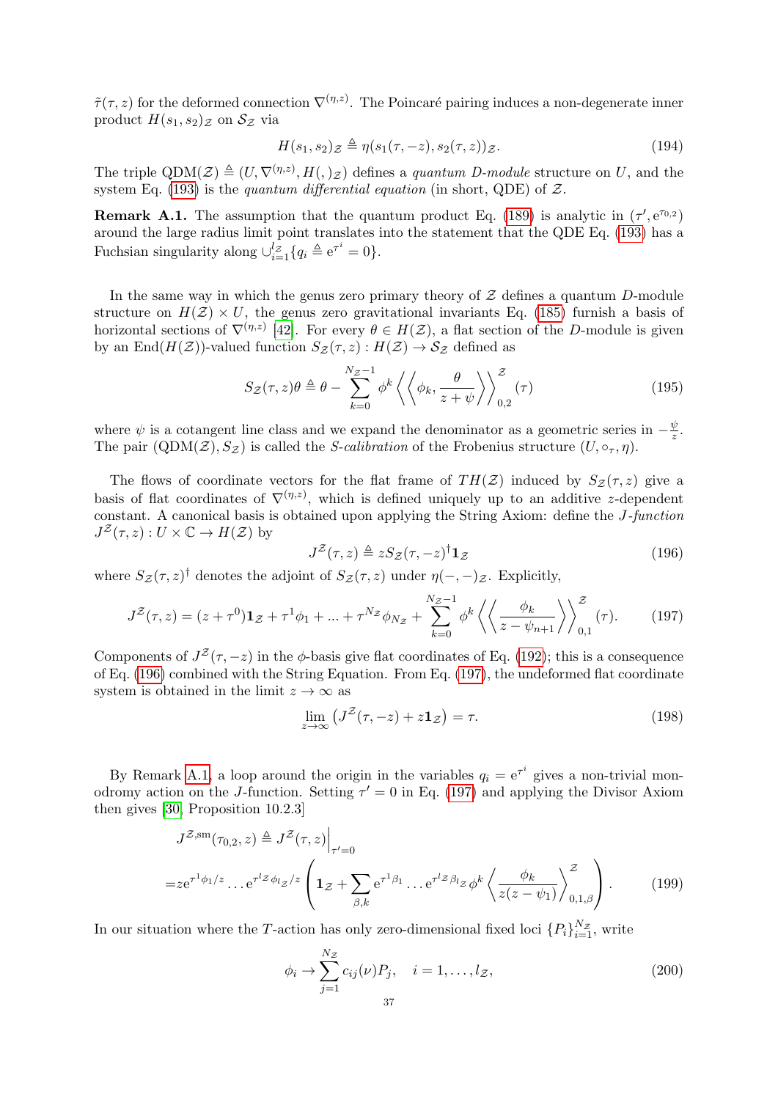$\tilde{\tau}(\tau, z)$  for the deformed connection  $\nabla^{(\eta,z)}$ . The Poincaré pairing induces a non-degenerate inner product  $H(s_1, s_2)$  *z* on  $\mathcal{S}_{\mathcal{Z}}$  via

<span id="page-36-0"></span>
$$
H(s_1, s_2)_{\mathcal{Z}} \triangleq \eta(s_1(\tau, -z), s_2(\tau, z))_{\mathcal{Z}}.\tag{194}
$$

The triple  $QDM(\mathcal{Z}) \triangleq (U, \nabla^{(\eta,z)}, H(0, \mathcal{Z}))$  defines a quantum D-module structure on U, and the system Eq. [\(193\)](#page-35-3) is the quantum differential equation (in short, QDE) of  $\mathcal{Z}$ .

<span id="page-36-4"></span>**Remark A.1.** The assumption that the quantum product Eq. [\(189\)](#page-35-1) is analytic in  $(\tau', e^{\tau_{0,2}})$ around the large radius limit point translates into the statement that the QDE Eq. [\(193\)](#page-35-3) has a Fuchsian singularity along  $\bigcup_{i=1}^{l_{\mathcal{Z}}} \{q_i \triangleq e^{\tau^i} = 0\}.$ 

In the same way in which the genus zero primary theory of  $\mathcal Z$  defines a quantum D-module structure on  $H(\mathcal{Z}) \times U$ , the genus zero gravitational invariants Eq. [\(185\)](#page-34-3) furnish a basis of horizontal sections of  $\nabla^{(\eta,z)}$  [\[42\]](#page-45-18). For every  $\theta \in H(\mathcal{Z})$ , a flat section of the D-module is given by an End $(H(\mathcal{Z}))$ -valued function  $S_{\mathcal{Z}}(\tau, z) : H(\mathcal{Z}) \to S_{\mathcal{Z}}$  defined as

<span id="page-36-2"></span>
$$
S_{\mathcal{Z}}(\tau,z)\theta \triangleq \theta - \sum_{k=0}^{N_{\mathcal{Z}}-1} \phi^k \left\langle \left\langle \phi_k, \frac{\theta}{z+\psi} \right\rangle \right\rangle_{0,2}^{\mathcal{Z}}(\tau) \tag{195}
$$

where  $\psi$  is a cotangent line class and we expand the denominator as a geometric series in  $-\frac{\psi}{z}$  $\frac{\psi}{z}$ . The pair  $(\text{QDM}(\mathcal{Z}), S_{\mathcal{Z}})$  is called the *S-calibration* of the Frobenius structure  $(U, \circ_{\tau}, \eta)$ .

The flows of coordinate vectors for the flat frame of  $TH(\mathcal{Z})$  induced by  $S_{\mathcal{Z}}(\tau, z)$  give a basis of flat coordinates of  $\nabla^{(\eta,z)}$ , which is defined uniquely up to an additive z-dependent constant. A canonical basis is obtained upon applying the String Axiom: define the J-function  $J^{\mathcal{Z}}(\tau,z):U\times\mathbb{C}\to H(\mathcal{Z})$  by

<span id="page-36-1"></span>
$$
J^{\mathcal{Z}}(\tau,z) \triangleq z S_{\mathcal{Z}}(\tau,-z)^{\dagger} \mathbf{1}_{\mathcal{Z}}
$$
\n(196)

where  $S_z(\tau, z)$ <sup>†</sup> denotes the adjoint of  $S_z(\tau, z)$  under  $\eta(-, -)z$ . Explicitly,

<span id="page-36-3"></span>
$$
J^{\mathcal{Z}}(\tau,z) = (z + \tau^0) \mathbf{1}_{\mathcal{Z}} + \tau^1 \phi_1 + \dots + \tau^{N_{\mathcal{Z}}} \phi_{N_{\mathcal{Z}}} + \sum_{k=0}^{N_{\mathcal{Z}}-1} \phi^k \left\langle \left\langle \frac{\phi_k}{z - \psi_{n+1}} \right\rangle \right\rangle_{0,1}^{\mathcal{Z}}(\tau). \tag{197}
$$

Components of  $J^{\mathcal{Z}}(\tau, -z)$  in the  $\phi$ -basis give flat coordinates of Eq. [\(192\)](#page-35-2); this is a consequence of Eq. [\(196\)](#page-36-1) combined with the String Equation. From Eq. [\(197\)](#page-36-3), the undeformed flat coordinate system is obtained in the limit  $z \to \infty$  as

$$
\lim_{z \to \infty} \left( J^{\mathcal{Z}}(\tau, -z) + z \mathbf{1}_{\mathcal{Z}} \right) = \tau.
$$
\n(198)

By Remark [A.1,](#page-36-4) a loop around the origin in the variables  $q_i = e^{\tau^i}$  gives a non-trivial monodromy action on the J-function. Setting  $\tau' = 0$  in Eq. [\(197\)](#page-36-3) and applying the Divisor Axiom then gives [\[30,](#page-45-15) Proposition 10.2.3]

$$
J^{\mathcal{Z},\text{sm}}(\tau_{0,2},z) \triangleq J^{\mathcal{Z}}(\tau,z)\Big|_{\tau'=0}
$$
  
=  $ze^{\tau^{1}\phi_{1}/z}$ ... $e^{\tau^{1}\mathcal{Z}\phi_{l}}z/z \left(1_{\mathcal{Z}} + \sum_{\beta,k} e^{\tau^{1}\beta_{1}} \dots e^{\tau^{1}\mathcal{Z}\beta_{l}}z \phi^{k} \left\langle \frac{\phi_{k}}{z(z-\psi_{1})} \right\rangle_{0,1,\beta}^{\mathcal{Z}}\right).$  (199)

In our situation where the T-action has only zero-dimensional fixed loci  $\{P_i\}_{i=1}^{N_Z}$ , write

<span id="page-36-5"></span>
$$
\phi_i \to \sum_{j=1}^{N_{\mathcal{Z}}} c_{ij}(\nu) P_j, \quad i = 1, \dots, l_{\mathcal{Z}},
$$
\n(200)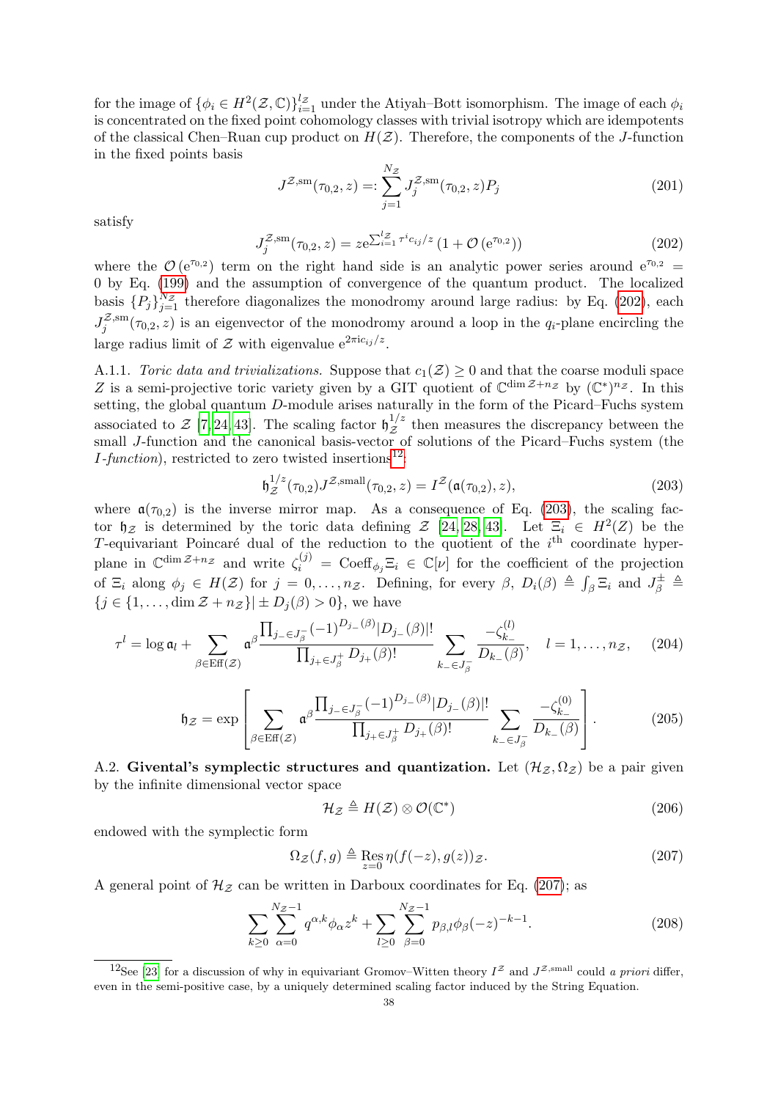for the image of  $\{\phi_i \in H^2(\mathcal{Z}, \mathbb{C})\}_{i=1}^{l_{\mathcal{Z}}}$  under the Atiyah–Bott isomorphism. The image of each  $\phi_i$ is concentrated on the fixed point cohomology classes with trivial isotropy which are idempotents of the classical Chen–Ruan cup product on  $H(\mathcal{Z})$ . Therefore, the components of the J-function in the fixed points basis

$$
J^{\mathcal{Z},\text{sm}}(\tau_{0,2},z) =: \sum_{j=1}^{N_{\mathcal{Z}}} J_j^{\mathcal{Z},\text{sm}}(\tau_{0,2},z) P_j \tag{201}
$$

satisfy

<span id="page-37-4"></span>
$$
J_j^{\mathcal{Z},\text{sm}}(\tau_{0,2},z) = z e^{\sum_{i=1}^{l_{\mathcal{Z}}} \tau^i c_{ij}/z} \left(1 + \mathcal{O}\left(e^{\tau_{0,2}}\right)\right)
$$
(202)

where the  $\mathcal{O}(e^{\tau_{0,2}})$  term on the right hand side is an analytic power series around  $e^{\tau_{0,2}} =$ 0 by Eq. [\(199\)](#page-36-5) and the assumption of convergence of the quantum product. The localized basis  $\{P_j\}_{j=1}^{N_Z}$  therefore diagonalizes the monodromy around large radius: by Eq. [\(202\)](#page-37-4), each  $J_i^{\mathcal{Z},\mathrm{sm}}$  $\tau_j^{z,sm}(\tau_{0,2}, z)$  is an eigenvector of the monodromy around a loop in the  $q_i$ -plane encircling the large radius limit of  $\mathcal Z$  with eigenvalue  $e^{2\pi i c_{ij}/z}$ .

A.1.1. Toric data and trivializations. Suppose that  $c_1(\mathcal{Z}) \geq 0$  and that the coarse moduli space Z is a semi-projective toric variety given by a GIT quotient of  $\mathbb{C}^{\dim \mathcal{Z}+n_{\mathcal{Z}}}$  by  $(\mathbb{C}^*)^{n_{\mathcal{Z}}}$ . In this setting, the global quantum D-module arises naturally in the form of the Picard–Fuchs system associated to  $\mathcal{Z}$  [\[7,](#page-44-14) [24,](#page-45-9) [43\]](#page-45-31). The scaling factor  $\mathfrak{h}_{\mathcal{Z}}^{1/z}$  $z^{1/z}$  then measures the discrepancy between the small J-function and the canonical basis-vector of solutions of the Picard–Fuchs system (the *I*-function), restricted to zero twisted insertions<sup>[12](#page-37-5)</sup>:

<span id="page-37-6"></span>
$$
\mathfrak{h}_{\mathcal{Z}}^{1/z}(\tau_{0,2}) J^{\mathcal{Z},\text{small}}(\tau_{0,2},z) = I^{\mathcal{Z}}(\mathfrak{a}(\tau_{0,2}),z), \tag{203}
$$

where  $\mathfrak{a}(\tau_{0,2})$  is the inverse mirror map. As a consequence of Eq. [\(203\)](#page-37-6), the scaling factor  $\not\!\!\!\n\big|_Z$  is determined by the toric data defining  $\mathcal{Z}$  [\[24,](#page-45-9) [28,](#page-45-5) [43\]](#page-45-31). Let  $\Xi_i \in H^2(Z)$  be the T-equivariant Poincaré dual of the reduction to the quotient of the  $i<sup>th</sup>$  coordinate hyperplane in  $\mathbb{C}^{\dim \mathcal{Z}+n_{\mathcal{Z}}}$  and write  $\zeta_i^{(j)} = \text{Coeff}_{\phi_j} \Xi_i \in \mathbb{C}[\nu]$  for the coefficient of the projection of  $\Xi_i$  along  $\phi_j \in H(\mathcal{Z})$  for  $j = 0, \ldots, n_{\mathcal{Z}}$ . Defining, for every  $\beta$ ,  $D_i(\beta) \triangleq \int_{\beta} \Xi_i$  and  $J_{\beta}^{\pm} \triangleq$  ${j \in \{1,\ldots,\dim \mathcal{Z} + n_{\mathcal{Z}}\} \perp D_i(\beta) > 0}$ , we have

$$
\tau^{l} = \log \mathfrak{a}_{l} + \sum_{\beta \in \text{Eff}(\mathcal{Z})} \mathfrak{a}^{\beta} \frac{\prod_{j_{-} \in J_{\beta}^{-}} (-1)^{D_{j_{-}}(\beta)} |D_{j_{-}}(\beta)|!}{\prod_{j_{+} \in J_{\beta}^{+}} D_{j_{+}}(\beta)!} \sum_{k_{-} \in J_{\beta}^{-}} \frac{-\zeta_{k_{-}}^{(l)}}{D_{k_{-}}(\beta)}, \quad l = 1, \dots, n_{\mathcal{Z}}, \quad (204)
$$

$$
\mathfrak{h}_{\mathcal{Z}} = \exp \left[ \sum_{\beta \in \text{Eff}(\mathcal{Z})} \mathfrak{a}^{\beta} \frac{\prod_{j_{-} \in J_{\beta}^{-}} (-1)^{D_{j_{-}}(\beta)} |D_{j_{-}}(\beta)|!}{\prod_{j_{+} \in J_{\beta}^{+}} D_{j_{+}}(\beta)!} \sum_{k_{-} \in J_{\beta}^{-}} \frac{-\zeta_{k_{-}}^{(0)}}{D_{k_{-}}(\beta)} \right].
$$
(205)

<span id="page-37-0"></span>A.2. Givental's symplectic structures and quantization. Let  $(\mathcal{H}_{\mathcal{Z}}, \Omega_{\mathcal{Z}})$  be a pair given by the infinite dimensional vector space

<span id="page-37-3"></span><span id="page-37-1"></span>
$$
\mathcal{H}_{\mathcal{Z}} \triangleq H(\mathcal{Z}) \otimes \mathcal{O}(\mathbb{C}^*)
$$
\n(206)

endowed with the symplectic form

<span id="page-37-2"></span>
$$
\Omega_{\mathcal{Z}}(f,g) \triangleq \operatorname{Res}_{z=0} \eta(f(-z),g(z))_{\mathcal{Z}}.\tag{207}
$$

A general point of  $\mathcal{H}_{\mathcal{Z}}$  can be written in Darboux coordinates for Eq. [\(207\)](#page-37-2); as

$$
\sum_{k\geq 0} \sum_{\alpha=0}^{N_{\mathcal{Z}}-1} q^{\alpha,k} \phi_{\alpha} z^k + \sum_{l\geq 0} \sum_{\beta=0}^{N_{\mathcal{Z}}-1} p_{\beta,l} \phi_{\beta}(-z)^{-k-1}.
$$
 (208)

<span id="page-37-5"></span><sup>&</sup>lt;sup>12</sup>See [\[23\]](#page-45-7) for a discussion of why in equivariant Gromov–Witten theory  $I^{\mathcal{Z}}$  and  $J^{\mathcal{Z},\text{small}}$  could a priori differ, even in the semi-positive case, by a uniquely determined scaling factor induced by the String Equation.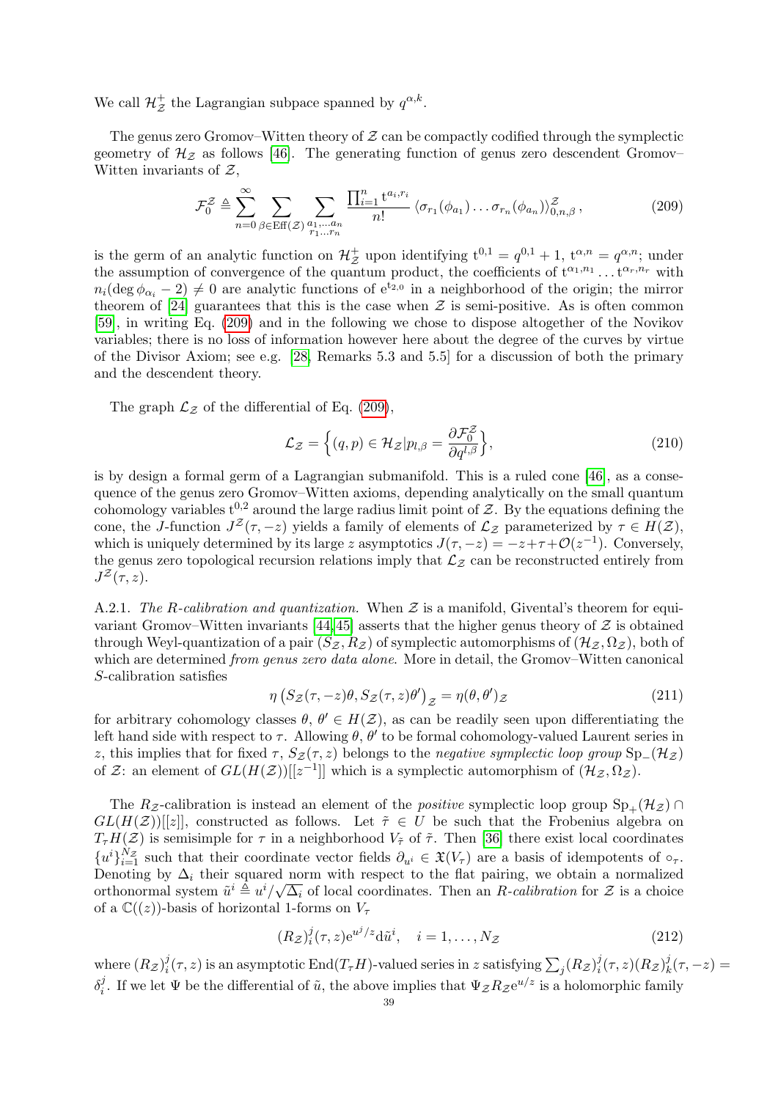We call  $\mathcal{H}_z^+$  the Lagrangian subpace spanned by  $q^{\alpha,k}$ .

The genus zero Gromov–Witten theory of  $Z$  can be compactly codified through the symplectic geometry of  $\mathcal{H}_{\mathcal{Z}}$  as follows [\[46\]](#page-45-32). The generating function of genus zero descendent Gromov– Witten invariants of  $\mathcal{Z}$ ,

<span id="page-38-2"></span>
$$
\mathcal{F}_0^{\mathcal{Z}} \triangleq \sum_{n=0}^{\infty} \sum_{\beta \in \text{Eff}(\mathcal{Z})} \sum_{\substack{a_1, \dots, a_n \\ r_1 \dots r_n}} \frac{\prod_{i=1}^n t^{a_i, r_i}}{n!} \langle \sigma_{r_1}(\phi_{a_1}), \dots, \sigma_{r_n}(\phi_{a_n}) \rangle_{0, n, \beta}^{\mathcal{Z}}, \tag{209}
$$

is the germ of an analytic function on  $\mathcal{H}_z^+$  upon identifying  $t^{0,1} = q^{0,1} + 1$ ,  $t^{\alpha,n} = q^{\alpha,n}$ ; under the assumption of convergence of the quantum product, the coefficients of  $t^{\alpha_1,n_1} \dots t^{\alpha_r,n_r}$  with  $n_i(\deg \phi_{\alpha_i} - 2) \neq 0$  are analytic functions of  $e^{t_{2,0}}$  in a neighborhood of the origin; the mirror theorem of [\[24\]](#page-45-9) guarantees that this is the case when  $\mathcal Z$  is semi-positive. As is often common [\[59\]](#page-46-28), in writing Eq. [\(209\)](#page-38-2) and in the following we chose to dispose altogether of the Novikov variables; there is no loss of information however here about the degree of the curves by virtue of the Divisor Axiom; see e.g. [\[28,](#page-45-5) Remarks 5.3 and 5.5] for a discussion of both the primary and the descendent theory.

The graph  $\mathcal{L}_{\mathcal{Z}}$  of the differential of Eq. [\(209\)](#page-38-2),

<span id="page-38-0"></span>
$$
\mathcal{L}_{\mathcal{Z}} = \left\{ (q, p) \in \mathcal{H}_{\mathcal{Z}} | p_{l, \beta} = \frac{\partial \mathcal{F}_0^{\mathcal{Z}}}{\partial q^{l, \beta}} \right\},\tag{210}
$$

is by design a formal germ of a Lagrangian submanifold. This is a ruled cone [\[46\]](#page-45-32), as a consequence of the genus zero Gromov–Witten axioms, depending analytically on the small quantum cohomology variables  $t^{0,2}$  around the large radius limit point of Z. By the equations defining the cone, the J-function  $J^{\mathcal{Z}}(\tau, -z)$  yields a family of elements of  $\mathcal{L}_{\mathcal{Z}}$  parameterized by  $\tau \in H(\mathcal{Z})$ , which is uniquely determined by its large z asymptotics  $J(\tau, -z) = -z + \tau + \mathcal{O}(z^{-1})$ . Conversely, the genus zero topological recursion relations imply that  $\mathcal{L}_{z}$  can be reconstructed entirely from  $J^{\mathcal{Z}}(\tau,z).$ 

<span id="page-38-1"></span>A.2.1. The R-calibration and quantization. When  $\mathcal Z$  is a manifold, Givental's theorem for equi-variant Gromov–Witten invariants [\[44,](#page-45-16) [45\]](#page-45-28) asserts that the higher genus theory of  $\mathcal Z$  is obtained through Weyl-quantization of a pair  $(S_{\mathcal{Z}}, R_{\mathcal{Z}})$  of symplectic automorphisms of  $(\mathcal{H}_{\mathcal{Z}}, \Omega_{\mathcal{Z}})$ , both of which are determined *from genus zero data alone*. More in detail, the Gromov–Witten canonical S-calibration satisfies

$$
\eta \left( S_{\mathcal{Z}}(\tau, -z)\theta, S_{\mathcal{Z}}(\tau, z)\theta' \right)_{\mathcal{Z}} = \eta(\theta, \theta')_{\mathcal{Z}}
$$
\n(211)

for arbitrary cohomology classes  $\theta$ ,  $\theta' \in H(\mathcal{Z})$ , as can be readily seen upon differentiating the left hand side with respect to  $\tau$ . Allowing  $\theta$ ,  $\theta'$  to be formal cohomology-valued Laurent series in z, this implies that for fixed  $\tau$ ,  $S_{\mathcal{Z}}(\tau, z)$  belongs to the negative symplectic loop group  $Sp_{-}(\mathcal{H}_{Z})$ of Z: an element of  $GL(H(\mathcal{Z}))[[z^{-1}]]$  which is a symplectic automorphism of  $(\mathcal{H}_{\mathcal{Z}}, \Omega_{\mathcal{Z}})$ .

The Rz-calibration is instead an element of the *positive* symplectic loop group  $\text{Sp}_+(\mathcal{H}_Z)$  $GL(H(\mathcal{Z}))[[z]]$ , constructed as follows. Let  $\tilde{\tau} \in U$  be such that the Frobenius algebra on  $T<sub>\tau</sub>H(\mathcal{Z})$  is semisimple for  $\tau$  in a neighborhood  $V_{\tilde{\tau}}$  of  $\tilde{\tau}$ . Then [\[36\]](#page-45-21) there exist local coordinates  ${u^i}_{i=1}^{N_Z}$  such that their coordinate vector fields  $\partial_{u^i} \in \mathfrak{X}(V_\tau)$  are a basis of idempotents of  $\circ_\tau$ . Denoting by  $\Delta_i$  their squared norm with respect to the flat pairing, we obtain a normalized orthonormal system  $\tilde{u}^i \triangleq u^i/\sqrt{\Delta_i}$  of local coordinates. Then an R-calibration for Z is a choice of a  $\mathbb{C}((z))$ -basis of horizontal 1-forms on  $V_{\tau}$ 

$$
(R_{\mathcal{Z}})^j_i(\tau, z) e^{u^j/z} d\tilde{u}^i, \quad i = 1, \dots, N_{\mathcal{Z}} \tag{212}
$$

where  $(R_{\mathcal{Z}})^j_i$  $\frac{f_j}{f_i}(\tau, z)$  is an asymptotic End $(T_\tau H)$ -valued series in  $z$  satisfying  $\sum_j (R_{\mathcal{Z}})^j_i$  $\frac{j}{i}(\tau,z)(R_{\mathcal{Z}})^{j}_{k}$  $\frac{J}{k}(\tau, -z) =$  $\delta_i^j$ <sup>j</sup>. If we let  $\Psi$  be the differential of  $\tilde{u}$ , the above implies that  $\Psi_{\mathcal{Z}}R_{\mathcal{Z}}e^{u/z}$  is a holomorphic family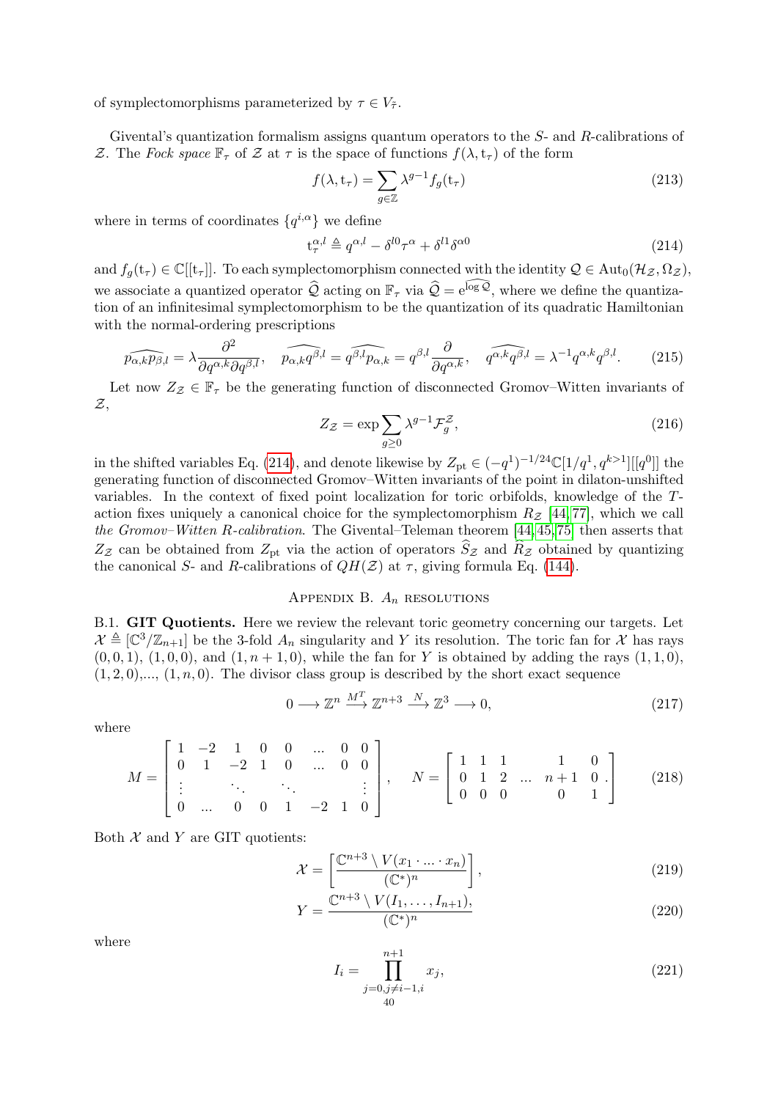of symplectomorphisms parameterized by  $\tau \in V_{\tilde{\tau}}$ .

Givental's quantization formalism assigns quantum operators to the S- and R-calibrations of Z. The Fock space  $\mathbb{F}_{\tau}$  of Z at  $\tau$  is the space of functions  $f(\lambda, t_{\tau})$  of the form

$$
f(\lambda, \mathbf{t}_{\tau}) = \sum_{g \in \mathbb{Z}} \lambda^{g-1} f_g(\mathbf{t}_{\tau})
$$
\n(213)

where in terms of coordinates  $\{q^{i,\alpha}\}\$  we define

<span id="page-39-4"></span>
$$
\mathbf{t}_{\tau}^{\alpha,l} \triangleq q^{\alpha,l} - \delta^{l0} \tau^{\alpha} + \delta^{l1} \delta^{\alpha 0} \tag{214}
$$

and  $f_q(t_\tau) \in \mathbb{C}[[t_\tau]]$ . To each symplectomorphism connected with the identity  $\mathcal{Q} \in \text{Aut}_0(\mathcal{H}_Z, \Omega_Z)$ , we associate a quantized operator  $\hat{Q}$  acting on  $\mathbb{F}_{\tau}$  via  $\hat{Q} = e^{\widehat{\log Q}}$ , where we define the quantization of an infinitesimal symplectomorphism to be the quantization of its quadratic Hamiltonian with the normal-ordering prescriptions

$$
\widehat{p_{\alpha,k}p_{\beta,l}} = \lambda \frac{\partial^2}{\partial q^{\alpha,k} \partial q^{\beta,l}}, \quad \widehat{p_{\alpha,k}q^{\beta,l}} = \widehat{q^{\beta,l}p_{\alpha,k}} = q^{\beta,l} \frac{\partial}{\partial q^{\alpha,k}}, \quad \widehat{q^{\alpha,k}q^{\beta,l}} = \lambda^{-1} q^{\alpha,k} q^{\beta,l}.
$$
 (215)

Let now  $Z_{\mathcal{Z}} \in \mathbb{F}_{\tau}$  be the generating function of disconnected Gromov–Witten invariants of  $\mathcal{Z},$ 

$$
Z_{\mathcal{Z}} = \exp \sum_{g \ge 0} \lambda^{g-1} \mathcal{F}_g^{\mathcal{Z}},\tag{216}
$$

in the shifted variables Eq. [\(214\)](#page-39-4), and denote likewise by  $Z_{pt} \in (-q^1)^{-1/24} \mathbb{C}[1/q^1, q^{k>1}][[q^0]]$  the generating function of disconnected Gromov–Witten invariants of the point in dilaton-unshifted variables. In the context of fixed point localization for toric orbifolds, knowledge of the Taction fixes uniquely a canonical choice for the symplectomorphism  $R_z$  [\[44,](#page-45-16)77], which we call the Gromov–Witten R-calibration. The Givental–Teleman theorem [\[44,](#page-45-16) [45,](#page-45-28) [75\]](#page-46-25) then asserts that  $Z_{\mathcal{Z}}$  can be obtained from  $Z_{\rm pt}$  via the action of operators  $\widehat{S}_{\mathcal{Z}}$  and  $\widehat{R}_{\mathcal{Z}}$  obtained by quantizing the canonical S- and R-calibrations of  $QH(\mathcal{Z})$  at  $\tau$ , giving formula Eq. [\(144\)](#page-27-2).

## APPENDIX B.  $A_n$  resolutions

<span id="page-39-1"></span><span id="page-39-0"></span>B.1. GIT Quotients. Here we review the relevant toric geometry concerning our targets. Let  $\mathcal{X} \triangleq [\mathbb{C}^3/\mathbb{Z}_{n+1}]$  be the 3-fold  $A_n$  singularity and Y its resolution. The toric fan for X has rays  $(0, 0, 1), (1, 0, 0),$  and  $(1, n + 1, 0)$ , while the fan for Y is obtained by adding the rays  $(1, 1, 0)$ ,  $(1, 2, 0), \ldots, (1, n, 0)$ . The divisor class group is described by the short exact sequence

$$
0 \longrightarrow \mathbb{Z}^n \xrightarrow{M^T} \mathbb{Z}^{n+3} \xrightarrow{N} \mathbb{Z}^3 \longrightarrow 0,
$$
\n
$$
(217)
$$

where

$$
M = \begin{bmatrix} 1 & -2 & 1 & 0 & 0 & \dots & 0 & 0 \\ 0 & 1 & -2 & 1 & 0 & \dots & 0 & 0 \\ \vdots & & \ddots & & \ddots & & \vdots \\ 0 & \dots & 0 & 0 & 1 & -2 & 1 & 0 \end{bmatrix}, \quad N = \begin{bmatrix} 1 & 1 & 1 & 1 & 0 \\ 0 & 1 & 2 & \dots & n+1 & 0 \\ 0 & 0 & 0 & & 0 & 1 \end{bmatrix}
$$
 (218)

Both  $X$  and  $Y$  are GIT quotients:

$$
\mathcal{X} = \left[ \frac{\mathbb{C}^{n+3} \setminus V(x_1 \cdot \ldots \cdot x_n)}{(\mathbb{C}^*)^n} \right],\tag{219}
$$

$$
Y = \frac{\mathbb{C}^{n+3} \setminus V(I_1, \dots, I_{n+1})}{(\mathbb{C}^*)^n},\tag{220}
$$

where

<span id="page-39-3"></span><span id="page-39-2"></span>
$$
I_i = \prod_{\substack{j=0, j \neq i-1, i \\ 40}}^{n+1} x_j,
$$
\n(221)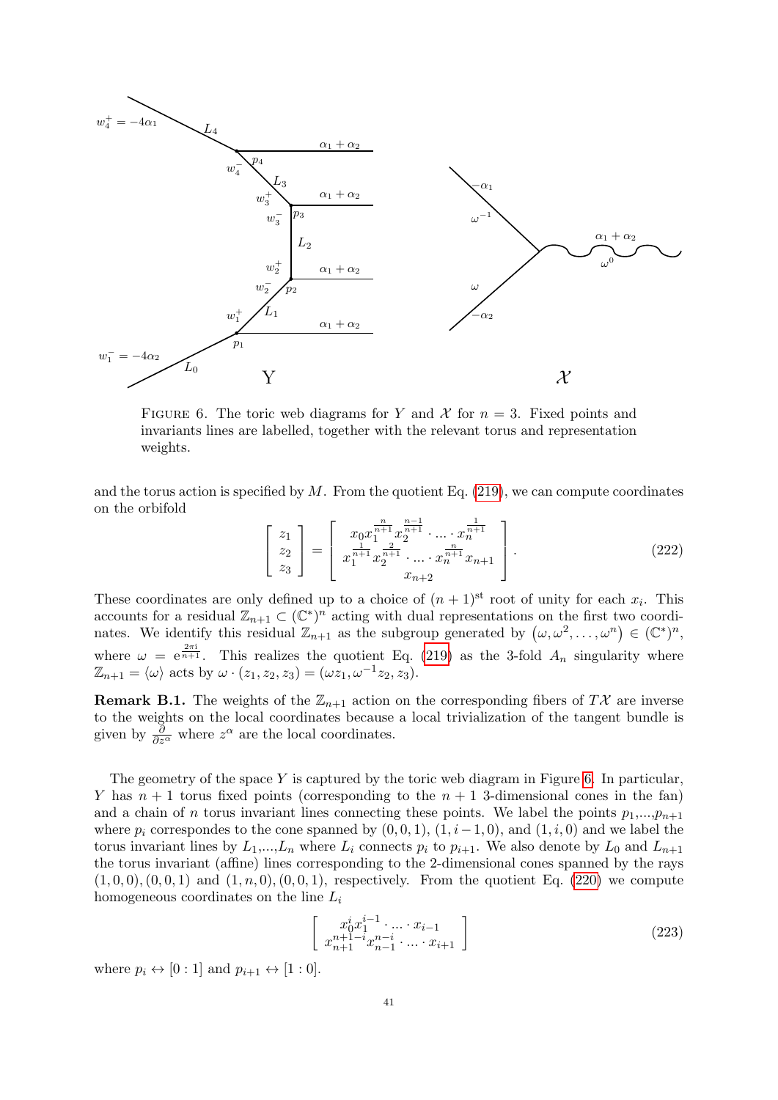<span id="page-40-0"></span>

FIGURE 6. The toric web diagrams for Y and X for  $n = 3$ . Fixed points and invariants lines are labelled, together with the relevant torus and representation weights.

and the torus action is specified by  $M$ . From the quotient Eq. [\(219\)](#page-39-2), we can compute coordinates on the orbifold

<span id="page-40-2"></span>
$$
\begin{bmatrix} z_1 \\ z_2 \\ z_3 \end{bmatrix} = \begin{bmatrix} x_0 x_1^{\frac{n}{n+1}} x_2^{\frac{n-1}{n+1}} \cdot \dots \cdot x_n^{\frac{1}{n+1}} \\ x_1^{\frac{1}{n+1}} x_2^{\frac{n}{n+1}} \cdot \dots \cdot x_n^{\frac{n}{n+1}} x_{n+1} \\ x_{n+2} \end{bmatrix} .
$$
 (222)

These coordinates are only defined up to a choice of  $(n+1)$ <sup>st</sup> root of unity for each  $x_i$ . This accounts for a residual  $\mathbb{Z}_{n+1} \subset (\mathbb{C}^*)^n$  acting with dual representations on the first two coordinates. We identify this residual  $\mathbb{Z}_{n+1}$  as the subgroup generated by  $(\omega, \omega^2, \dots, \omega^n) \in (\mathbb{C}^*)^n$ , where  $\omega = e^{\frac{2\pi i}{n+1}}$ . This realizes the quotient Eq. [\(219\)](#page-39-2) as the 3-fold  $A_n$  singularity where  $\mathbb{Z}_{n+1} = \langle \omega \rangle$  acts by  $\omega \cdot (z_1, z_2, z_3) = (\omega z_1, \omega^{-1} z_2, z_3).$ 

<span id="page-40-1"></span>**Remark B.1.** The weights of the  $\mathbb{Z}_{n+1}$  action on the corresponding fibers of TX are inverse to the weights on the local coordinates because a local trivialization of the tangent bundle is given by  $\frac{\partial}{\partial z^{\alpha}}$  where  $z^{\alpha}$  are the local coordinates.

The geometry of the space  $Y$  is captured by the toric web diagram in Figure [6.](#page-40-0) In particular, Y has  $n + 1$  torus fixed points (corresponding to the  $n + 1$  3-dimensional cones in the fan) and a chain of n torus invariant lines connecting these points. We label the points  $p_1,...,p_{n+1}$ where  $p_i$  correspondes to the cone spanned by  $(0, 0, 1)$ ,  $(1, i-1, 0)$ , and  $(1, i, 0)$  and we label the torus invariant lines by  $L_1,...,L_n$  where  $L_i$  connects  $p_i$  to  $p_{i+1}$ . We also denote by  $L_0$  and  $L_{n+1}$ the torus invariant (affine) lines corresponding to the 2-dimensional cones spanned by the rays  $(1, 0, 0), (0, 0, 1)$  and  $(1, n, 0), (0, 0, 1)$ , respectively. From the quotient Eq. [\(220\)](#page-39-3) we compute homogeneous coordinates on the line  $L_i$ 

<span id="page-40-3"></span>
$$
\begin{bmatrix} x_0^i x_1^{i-1} \cdot \ldots \cdot x_{i-1} \\ x_{n+1}^{n+1-i} x_{n-1}^{n-i} \cdot \ldots \cdot x_{i+1} \end{bmatrix}
$$
 (223)

where  $p_i \leftrightarrow [0:1]$  and  $p_{i+1} \leftrightarrow [1:0]$ .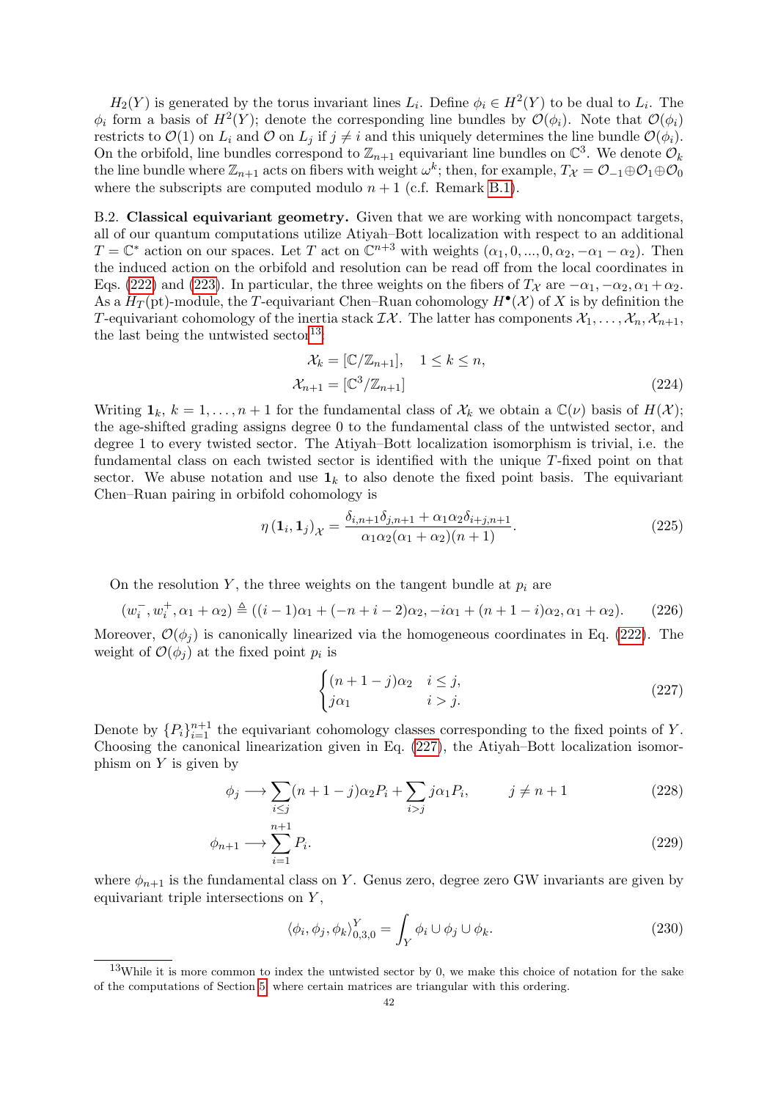$H_2(Y)$  is generated by the torus invariant lines  $L_i$ . Define  $\phi_i \in H^2(Y)$  to be dual to  $L_i$ . The  $\phi_i$  form a basis of  $H^2(Y)$ ; denote the corresponding line bundles by  $\mathcal{O}(\phi_i)$ . Note that  $\mathcal{O}(\phi_i)$ restricts to  $\mathcal{O}(1)$  on  $L_i$  and  $\mathcal O$  on  $L_j$  if  $j \neq i$  and this uniquely determines the line bundle  $\mathcal{O}(\phi_i)$ . On the orbifold, line bundles correspond to  $\mathbb{Z}_{n+1}$  equivariant line bundles on  $\mathbb{C}^3$ . We denote  $\mathcal{O}_k$ the line bundle where  $\mathbb{Z}_{n+1}$  acts on fibers with weight  $\omega^k$ ; then, for example,  $T_{\mathcal{X}} = \mathcal{O}_{-1} \oplus \mathcal{O}_1 \oplus \mathcal{O}_0$ where the subscripts are computed modulo  $n + 1$  (c.f. Remark [B.1\)](#page-40-1).

<span id="page-41-0"></span>B.2. Classical equivariant geometry. Given that we are working with noncompact targets, all of our quantum computations utilize Atiyah–Bott localization with respect to an additional  $T = \mathbb{C}^*$  action on our spaces. Let T act on  $\mathbb{C}^{n+3}$  with weights  $(\alpha_1, 0, ..., 0, \alpha_2, -\alpha_1 - \alpha_2)$ . Then the induced action on the orbifold and resolution can be read off from the local coordinates in Eqs. [\(222\)](#page-40-2) and [\(223\)](#page-40-3). In particular, the three weights on the fibers of  $T_{\mathcal{X}}$  are  $-\alpha_1, -\alpha_2, \alpha_1 + \alpha_2$ . As a  $H_T$ (pt)-module, the T-equivariant Chen–Ruan cohomology  $H^{\bullet}(\mathcal{X})$  of X is by definition the T-equivariant cohomology of the inertia stack  $\mathcal{I}\mathcal{X}$ . The latter has components  $\mathcal{X}_1,\ldots,\mathcal{X}_n,\mathcal{X}_{n+1}$ , the last being the untwisted sector<sup>[13](#page-41-5)</sup>:

$$
\mathcal{X}_k = [\mathbb{C}/\mathbb{Z}_{n+1}], \quad 1 \le k \le n,
$$
  

$$
\mathcal{X}_{n+1} = [\mathbb{C}^3/\mathbb{Z}_{n+1}]
$$
 (224)

Writing  $\mathbf{1}_k$ ,  $k = 1, \ldots, n + 1$  for the fundamental class of  $\mathcal{X}_k$  we obtain a  $\mathbb{C}(\nu)$  basis of  $H(\mathcal{X})$ ; the age-shifted grading assigns degree 0 to the fundamental class of the untwisted sector, and degree 1 to every twisted sector. The Atiyah–Bott localization isomorphism is trivial, i.e. the fundamental class on each twisted sector is identified with the unique T-fixed point on that sector. We abuse notation and use  $\mathbf{1}_k$  to also denote the fixed point basis. The equivariant Chen–Ruan pairing in orbifold cohomology is

$$
\eta\left(\mathbf{1}_i,\mathbf{1}_j\right)_{\mathcal{X}} = \frac{\delta_{i,n+1}\delta_{j,n+1} + \alpha_1\alpha_2\delta_{i+j,n+1}}{\alpha_1\alpha_2(\alpha_1 + \alpha_2)(n+1)}.\tag{225}
$$

On the resolution Y, the three weights on the tangent bundle at  $p_i$  are

<span id="page-41-4"></span>
$$
(w_i^-, w_i^+, \alpha_1 + \alpha_2) \triangleq ((i - 1)\alpha_1 + (-n + i - 2)\alpha_2, -i\alpha_1 + (n + 1 - i)\alpha_2, \alpha_1 + \alpha_2). \tag{226}
$$

Moreover,  $\mathcal{O}(\phi_i)$  is canonically linearized via the homogeneous coordinates in Eq. [\(222\)](#page-40-2). The weight of  $\mathcal{O}(\phi_j)$  at the fixed point  $p_i$  is

<span id="page-41-3"></span><span id="page-41-2"></span><span id="page-41-1"></span>
$$
\begin{cases} (n+1-j)\alpha_2 & i \le j, \\ j\alpha_1 & i > j. \end{cases}
$$
 (227)

Denote by  $\{P_i\}_{i=1}^{n+1}$  the equivariant cohomology classes corresponding to the fixed points of Y. Choosing the canonical linearization given in Eq. [\(227\)](#page-41-1), the Atiyah–Bott localization isomorphism on  $Y$  is given by

$$
\phi_j \longrightarrow \sum_{i \le j} (n+1-j)\alpha_2 P_i + \sum_{i>j} j\alpha_1 P_i, \qquad j \ne n+1 \tag{228}
$$

$$
\phi_{n+1} \longrightarrow \sum_{i=1}^{n+1} P_i. \tag{229}
$$

where  $\phi_{n+1}$  is the fundamental class on Y. Genus zero, degree zero GW invariants are given by equivariant triple intersections on Y ,

$$
\langle \phi_i, \phi_j, \phi_k \rangle_{0,3,0}^Y = \int_Y \phi_i \cup \phi_j \cup \phi_k. \tag{230}
$$

<span id="page-41-5"></span><sup>&</sup>lt;sup>13</sup>While it is more common to index the untwisted sector by 0, we make this choice of notation for the sake of the computations of Section [5,](#page-16-1) where certain matrices are triangular with this ordering.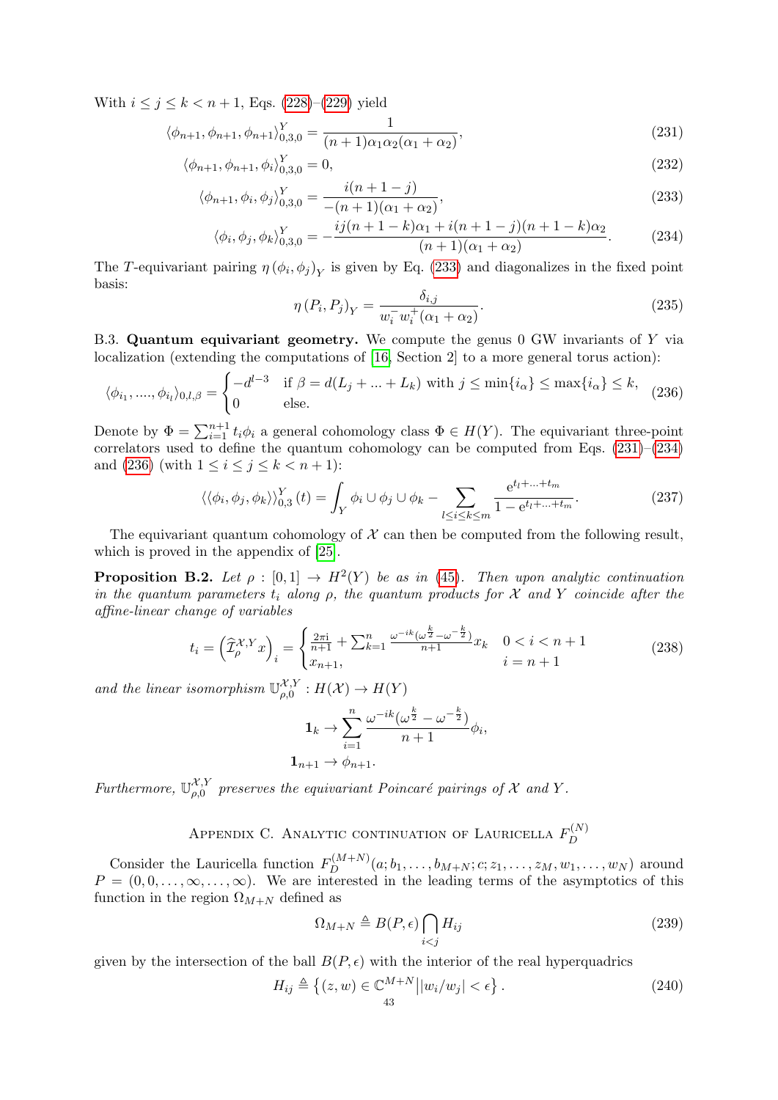With  $i \le j \le k < n+1$ , Eqs. [\(228\)](#page-41-2)–[\(229\)](#page-41-3) yield

$$
\langle \phi_{n+1}, \phi_{n+1}, \phi_{n+1} \rangle_{0,3,0}^{Y} = \frac{1}{(n+1)\alpha_1 \alpha_2 (\alpha_1 + \alpha_2)},
$$
\n(231)

$$
\langle \phi_{n+1}, \phi_{n+1}, \phi_i \rangle_{0,3,0}^Y = 0,\tag{232}
$$

$$
\langle \phi_{n+1}, \phi_i, \phi_j \rangle_{0,3,0}^Y = \frac{i(n+1-j)}{-(n+1)(\alpha_1 + \alpha_2)},\tag{233}
$$

$$
\langle \phi_i, \phi_j, \phi_k \rangle_{0,3,0}^Y = -\frac{ij(n+1-k)\alpha_1 + i(n+1-j)(n+1-k)\alpha_2}{(n+1)(\alpha_1 + \alpha_2)}.
$$
 (234)

The T-equivariant pairing  $\eta \left( \phi_i, \phi_j \right)_Y$  is given by Eq. [\(233\)](#page-42-7) and diagonalizes in the fixed point basis:

<span id="page-42-7"></span><span id="page-42-6"></span><span id="page-42-5"></span>
$$
\eta(P_i, P_j)_Y = \frac{\delta_{i,j}}{w_i^- w_i^+ (\alpha_1 + \alpha_2)}.
$$
\n(235)

<span id="page-42-0"></span>B.3. Quantum equivariant geometry. We compute the genus 0 GW invariants of Y via localization (extending the computations of [\[16,](#page-44-17) Section 2] to a more general torus action):

<span id="page-42-8"></span>
$$
\langle \phi_{i_1}, \dots, \phi_{i_l} \rangle_{0,l,\beta} = \begin{cases} -d^{l-3} & \text{if } \beta = d(L_j + \dots + L_k) \text{ with } j \le \min\{i_\alpha\} \le \max\{i_\alpha\} \le k, \\ 0 & \text{else.} \end{cases} \tag{236}
$$

Denote by  $\Phi = \sum_{i=1}^{n+1} t_i \phi_i$  a general cohomology class  $\Phi \in H(Y)$ . The equivariant three-point correlators used to define the quantum cohomology can be computed from Eqs. [\(231\)](#page-42-5)–[\(234\)](#page-42-6) and [\(236\)](#page-42-8) (with  $1 \le i \le j \le k \le n+1$ ):

<span id="page-42-4"></span>
$$
\langle \langle \phi_i, \phi_j, \phi_k \rangle \rangle_{0,3}^Y(t) = \int_Y \phi_i \cup \phi_j \cup \phi_k - \sum_{l \le i \le k \le m} \frac{e^{t_l + \dots + t_m}}{1 - e^{t_l + \dots + t_m}}.
$$
 (237)

The equivariant quantum cohomology of  $X$  can then be computed from the following result, which is proved in the appendix of [\[25\]](#page-45-8).

<span id="page-42-3"></span>**Proposition B.2.** Let  $\rho : [0,1] \rightarrow H^2(Y)$  be as in [\(45\)](#page-13-6). Then upon analytic continuation in the quantum parameters  $t_i$  along  $\rho$ , the quantum products for X and Y coincide after the affine-linear change of variables

<span id="page-42-2"></span>
$$
t_i = \left(\widehat{\mathcal{I}}_{\rho}^{\mathcal{X},Y}x\right)_i = \begin{cases} \frac{2\pi i}{n+1} + \sum_{k=1}^n \frac{\omega^{-ik}(\omega^{\frac{k}{2}} - \omega^{-\frac{k}{2}})}{n+1} x_k & 0 < i < n+1\\ x_{n+1}, & i = n+1 \end{cases} \tag{238}
$$

and the linear isomorphism  $\mathbb{U}_{q,0}^{\mathcal{X},Y}$  $\mathcal{L}_{\rho,0}^{\mathcal{A},Y}:H(\mathcal{X})\to H(Y)$ 

$$
\mathbf{1}_k \to \sum_{i=1}^n \frac{\omega^{-ik}(\omega^{\frac{k}{2}} - \omega^{-\frac{k}{2}})}{n+1} \phi_i,
$$
  

$$
\mathbf{1}_{n+1} \to \phi_{n+1}.
$$

Furthermore,  $\mathbb{U}_{a}^{\mathcal{X},Y}$  $\mathcal{L}_{\rho,0}^{\mathcal{X},Y}$  preserves the equivariant Poincaré pairings of X and Y.

> APPENDIX C. ANALYTIC CONTINUATION OF LAURICELLA  $F_D^{(N)}$ D

<span id="page-42-1"></span>Consider the Lauricella function  $F_D^{(M+N)}(a; b_1, \ldots, b_{M+N}; c; z_1, \ldots, z_M, w_1, \ldots, w_N)$  around  $P = (0, 0, \ldots, \infty, \ldots, \infty)$ . We are interested in the leading terms of the asymptotics of this function in the region  $\Omega_{M+N}$  defined as

$$
\Omega_{M+N} \triangleq B(P,\epsilon) \bigcap_{i
$$

given by the intersection of the ball  $B(P, \epsilon)$  with the interior of the real hyperquadrics

$$
H_{ij} \triangleq \left\{ (z, w) \in \mathbb{C}^{M+N} \middle| |w_i/w_j| < \epsilon \right\}. \tag{240}
$$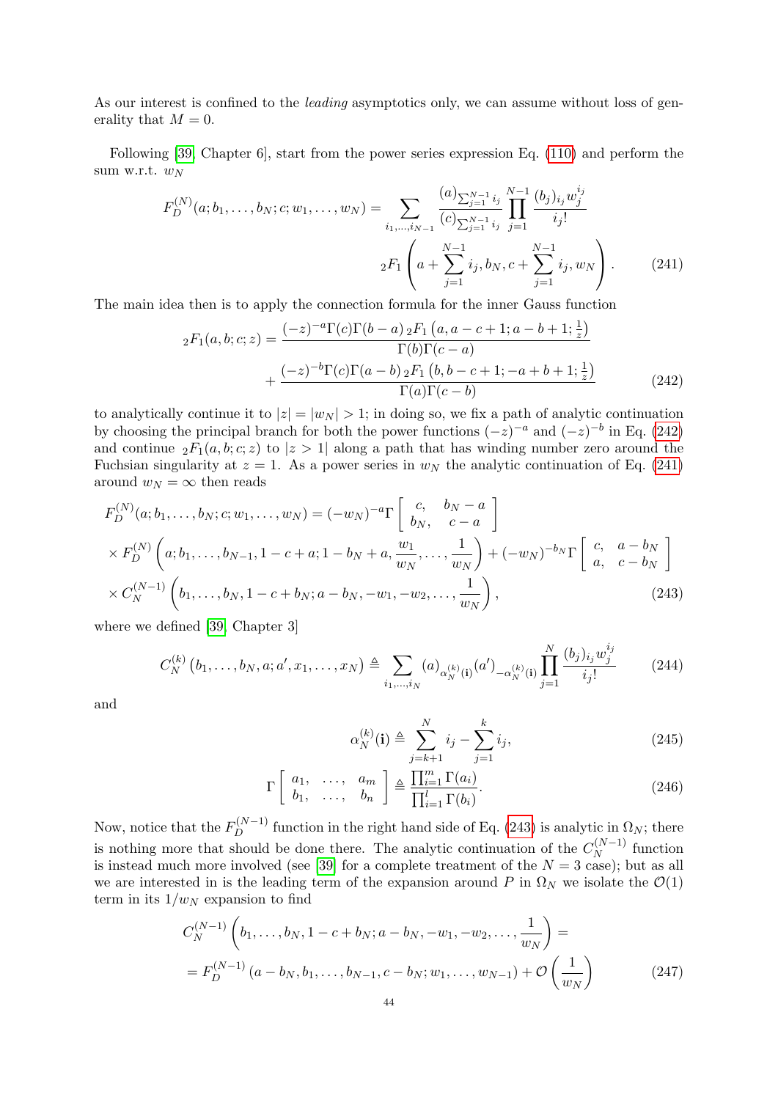As our interest is confined to the *leading* asymptotics only, we can assume without loss of generality that  $M = 0$ .

Following [\[39,](#page-45-25) Chapter 6], start from the power series expression Eq. [\(110\)](#page-22-0) and perform the sum w.r.t.  $w_N$ 

$$
F_D^{(N)}(a; b_1, \dots, b_N; c; w_1, \dots, w_N) = \sum_{i_1, \dots, i_{N-1}} \frac{(a)_{\sum_{j=1}^{N-1} i_j}}{(c)_{\sum_{j=1}^{N-1} i_j}} \prod_{j=1}^{N-1} \frac{(b_j)_{i_j} w_j^{i_j}}{i_j!}
$$

$$
{}_2F_1\left(a + \sum_{j=1}^{N-1} i_j, b_N, c + \sum_{j=1}^{N-1} i_j, w_N\right). \tag{241}
$$

The main idea then is to apply the connection formula for the inner Gauss function

<span id="page-43-1"></span>
$$
{}_{2}F_{1}(a,b;c;z) = \frac{(-z)^{-a}\Gamma(c)\Gamma(b-a) {}_{2}F_{1}(a,a-c+1;a-b+1;\frac{1}{z})}{\Gamma(b)\Gamma(c-a)} + \frac{(-z)^{-b}\Gamma(c)\Gamma(a-b) {}_{2}F_{1}(b,b-c+1;-a+b+1;\frac{1}{z})}{\Gamma(a)\Gamma(c-b)}
$$
(242)

to analytically continue it to  $|z| = |w_N| > 1$ ; in doing so, we fix a path of analytic continuation by choosing the principal branch for both the power functions  $(-z)^{-a}$  and  $(-z)^{-b}$  in Eq. [\(242\)](#page-43-0) and continue  ${}_2F_1(a, b; c; z)$  to  $|z| > 1$  along a path that has winding number zero around the Fuchsian singularity at  $z = 1$ . As a power series in  $w<sub>N</sub>$  the analytic continuation of Eq. [\(241\)](#page-43-1) around  $w_N = \infty$  then reads

$$
F_D^{(N)}(a; b_1, \dots, b_N; c; w_1, \dots, w_N) = (-w_N)^{-a} \Gamma \begin{bmatrix} c, & b_N - a \\ b_N, & c - a \end{bmatrix}
$$
  
×  $F_D^{(N)} \left( a; b_1, \dots, b_{N-1}, 1 - c + a; 1 - b_N + a, \frac{w_1}{w_N}, \dots, \frac{1}{w_N} \right) + (-w_N)^{-b_N} \Gamma \begin{bmatrix} c, & a - b_N \\ a, & c - b_N \end{bmatrix}$   
×  $C_N^{(N-1)} \left( b_1, \dots, b_N, 1 - c + b_N; a - b_N, -w_1, -w_2, \dots, \frac{1}{w_N} \right),$  (243)

where we defined [\[39,](#page-45-25) Chapter 3]

$$
C_N^{(k)}(b_1, \ldots, b_N, a; a', x_1, \ldots, x_N) \triangleq \sum_{i_1, \ldots, i_N} (a)_{\alpha_N^{(k)}(i)} (a')_{-\alpha_N^{(k)}(i)} \prod_{j=1}^N \frac{(b_j)_{i_j} w_j^{i_j}}{i_j!}
$$
 (244)

and

<span id="page-43-3"></span><span id="page-43-2"></span><span id="page-43-0"></span>
$$
\alpha_N^{(k)}(\mathbf{i}) \triangleq \sum_{j=k+1}^N i_j - \sum_{j=1}^k i_j,\tag{245}
$$

$$
\Gamma\left[\begin{array}{cccc}a_1, & \ldots, & a_m \\ b_1, & \ldots, & b_n\end{array}\right] \triangleq \frac{\prod_{i=1}^m \Gamma(a_i)}{\prod_{i=1}^l \Gamma(b_i)}.
$$
\n(246)

Now, notice that the  $F_D^{(N-1)}$  function in the right hand side of Eq. [\(243\)](#page-43-2) is analytic in  $\Omega_N$ ; there is nothing more that should be done there. The analytic continuation of the  $C_N^{(N-1)}$  $\int_{N}^{N-1}$  function is instead much more involved (see [\[39\]](#page-45-25) for a complete treatment of the  $N = 3$  case); but as all we are interested in is the leading term of the expansion around P in  $\Omega_N$  we isolate the  $\mathcal{O}(1)$ term in its  $1/w_N$  expansion to find

$$
C_N^{(N-1)}\left(b_1,\ldots,b_N, 1-c+b_N; a-b_N, -w_1, -w_2, \ldots, \frac{1}{w_N}\right) =
$$
  
=  $F_D^{(N-1)}(a-b_N, b_1, \ldots, b_{N-1}, c-b_N; w_1, \ldots, w_{N-1}) + \mathcal{O}\left(\frac{1}{w_N}\right)$  (247)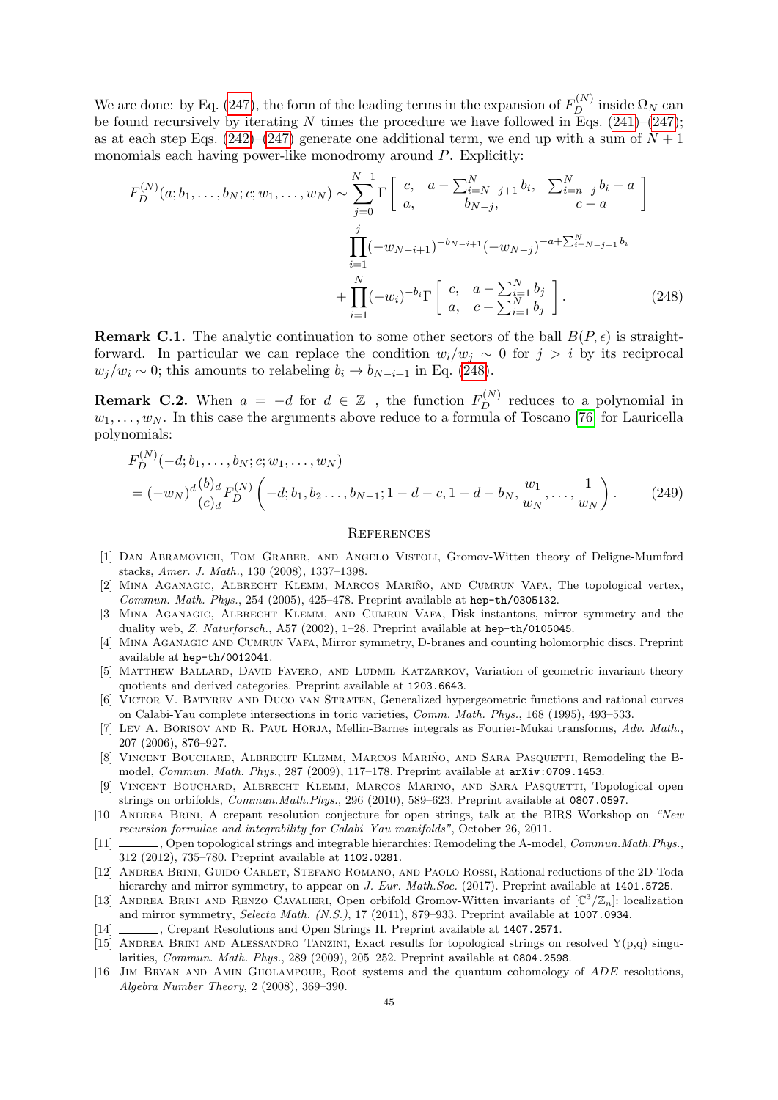We are done: by Eq. [\(247\)](#page-43-3), the form of the leading terms in the expansion of  $F_D^{(N)}$  inside  $\Omega_N$  can be found recursively by iterating N times the procedure we have followed in Eqs.  $(241)–(247)$  $(241)–(247)$ ; as at each step Eqs.  $(242)$ – $(247)$  generate one additional term, we end up with a sum of  $N+1$ monomials each having power-like monodromy around P. Explicitly:

$$
F_D^{(N)}(a; b_1, \dots, b_N; c; w_1, \dots, w_N) \sim \sum_{j=0}^{N-1} \Gamma\left[\begin{array}{cc} c, & a - \sum_{i=N-j+1}^N b_i, & \sum_{i=n-j}^N b_i - a \\ a, & b_{N-j}, & c - a \end{array}\right]
$$
\n
$$
\prod_{i=1}^j (-w_{N-i+1})^{-b_{N-i+1}} (-w_{N-j})^{-a + \sum_{i=N-j+1}^N b_i}
$$
\n
$$
+ \prod_{i=1}^N (-w_i)^{-b_i} \Gamma\left[\begin{array}{cc} c, & a - \sum_{i=1}^N b_i \\ a, & c - \sum_{i=1}^N b_i \end{array}\right].\tag{248}
$$

**Remark C.1.** The analytic continuation to some other sectors of the ball  $B(P, \epsilon)$  is straightforward. In particular we can replace the condition  $w_i/w_j \sim 0$  for  $j > i$  by its reciprocal  $w_j/w_i \sim 0$ ; this amounts to relabeling  $b_i \to b_{N-i+1}$  in Eq. [\(248\)](#page-44-15).

**Remark C.2.** When  $a = -d$  for  $d \in \mathbb{Z}^+$ , the function  $F_D^{(N)}$  reduces to a polynomial in  $w_1, \ldots, w_N$ . In this case the arguments above reduce to a formula of Toscano [\[76\]](#page-46-29) for Lauricella polynomials:

$$
F_D^{(N)}(-d; b_1, \dots, b_N; c; w_1, \dots, w_N)
$$
  
=  $(-w_N)^d \frac{(b)_d}{(c)_d} F_D^{(N)} \left( -d; b_1, b_2, \dots, b_{N-1}; 1-d-c, 1-d-b_N, \frac{w_1}{w_N}, \dots, \frac{1}{w_N} \right).$  (249)

#### <span id="page-44-15"></span><span id="page-44-0"></span>**REFERENCES**

- <span id="page-44-16"></span>[1] Dan Abramovich, Tom Graber, and Angelo Vistoli, Gromov-Witten theory of Deligne-Mumford stacks, Amer. J. Math., 130 (2008), 1337–1398.
- <span id="page-44-5"></span>[2] MINA AGANAGIC, ALBRECHT KLEMM, MARCOS MARIÑO, AND CUMRUN VAFA, The topological vertex, Commun. Math. Phys., 254 (2005), 425–478. Preprint available at hep-th/0305132.
- <span id="page-44-2"></span>[3] Mina Aganagic, Albrecht Klemm, and Cumrun Vafa, Disk instantons, mirror symmetry and the duality web, Z. Naturforsch., A57 (2002), 1–28. Preprint available at hep-th/0105045.
- <span id="page-44-3"></span>[4] Mina Aganagic and Cumrun Vafa, Mirror symmetry, D-branes and counting holomorphic discs. Preprint available at hep-th/0012041.
- <span id="page-44-12"></span>[5] Matthew Ballard, David Favero, and Ludmil Katzarkov, Variation of geometric invariant theory quotients and derived categories. Preprint available at 1203.6643.
- <span id="page-44-13"></span>[6] Victor V. Batyrev and Duco van Straten, Generalized hypergeometric functions and rational curves on Calabi-Yau complete intersections in toric varieties, Comm. Math. Phys., 168 (1995), 493–533.
- <span id="page-44-14"></span>[7] LEV A. BORISOV AND R. PAUL HORJA, Mellin-Barnes integrals as Fourier-Mukai transforms, Adv. Math., 207 (2006), 876–927.
- <span id="page-44-4"></span>[8] VINCENT BOUCHARD, ALBRECHT KLEMM, MARCOS MARIÑO, AND SARA PASQUETTI, Remodeling the Bmodel, Commun. Math. Phys., 287 (2009), 117–178. Preprint available at arXiv:0709.1453.
- <span id="page-44-6"></span>[9] Vincent Bouchard, Albrecht Klemm, Marcos Marino, and Sara Pasquetti, Topological open strings on orbifolds, Commun.Math.Phys., 296 (2010), 589–623. Preprint available at 0807.0597.
- <span id="page-44-8"></span>[10] Andrea Brini, A crepant resolution conjecture for open strings, talk at the BIRS Workshop on "New recursion formulae and integrability for Calabi–Yau manifolds", October 26, 2011.
- <span id="page-44-9"></span>[11] , Open topological strings and integrable hierarchies: Remodeling the A-model, Commun.Math.Phys., 312 (2012), 735–780. Preprint available at 1102.0281.
- <span id="page-44-10"></span>[12] Andrea Brini, Guido Carlet, Stefano Romano, and Paolo Rossi, Rational reductions of the 2D-Toda hierarchy and mirror symmetry, to appear on J. Eur. Math.Soc. (2017). Preprint available at 1401.5725.
- <span id="page-44-1"></span>[13] ANDREA BRINI AND RENZO CAVALIERI, Open orbifold Gromov-Witten invariants of  $\mathbb{C}^3/\mathbb{Z}_n$ : localization and mirror symmetry, Selecta Math. (N.S.), 17 (2011), 879–933. Preprint available at 1007.0934.
- <span id="page-44-11"></span>[14] , Crepant Resolutions and Open Strings II. Preprint available at 1407.2571.
- <span id="page-44-7"></span>[15] ANDREA BRINI AND ALESSANDRO TANZINI, Exact results for topological strings on resolved  $Y(p,q)$  singularities, Commun. Math. Phys., 289 (2009), 205–252. Preprint available at 0804.2598.
- <span id="page-44-17"></span>[16] Jim Bryan and Amin Gholampour, Root systems and the quantum cohomology of ADE resolutions, Algebra Number Theory, 2 (2008), 369–390.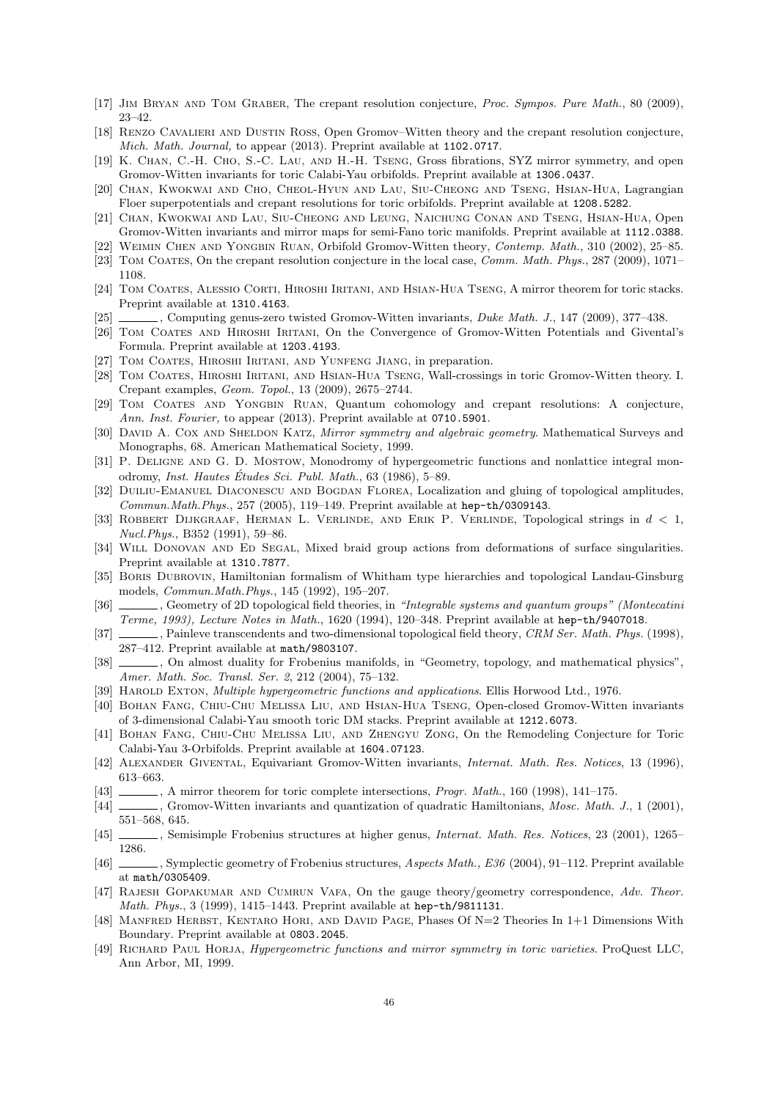- <span id="page-45-11"></span>[17] Jim Bryan and Tom Graber, The crepant resolution conjecture, Proc. Sympos. Pure Math., 80 (2009), 23–42.
- <span id="page-45-12"></span>[18] Renzo Cavalieri and Dustin Ross, Open Gromov–Witten theory and the crepant resolution conjecture, Mich. Math. Journal, to appear (2013). Preprint available at 1102.0717.
- <span id="page-45-13"></span>[19] K. Chan, C.-H. Cho, S.-C. Lau, and H.-H. Tseng, Gross fibrations, SYZ mirror symmetry, and open Gromov-Witten invariants for toric Calabi-Yau orbifolds. Preprint available at 1306.0437.
- <span id="page-45-0"></span>[20] Chan, Kwokwai and Cho, Cheol-Hyun and Lau, Siu-Cheong and Tseng, Hsian-Hua, Lagrangian Floer superpotentials and crepant resolutions for toric orbifolds. Preprint available at 1208.5282.
- <span id="page-45-1"></span>[21] Chan, Kwokwai and Lau, Siu-Cheong and Leung, Naichung Conan and Tseng, Hsian-Hua, Open Gromov-Witten invariants and mirror maps for semi-Fano toric manifolds. Preprint available at 1112.0388.
- <span id="page-45-29"></span><span id="page-45-7"></span>[22] Weimin Chen and Yongbin Ruan, Orbifold Gromov-Witten theory, Contemp. Math., 310 (2002), 25–85. [23] TOM COATES, On the crepant resolution conjecture in the local case, Comm. Math. Phys., 287 (2009), 1071-
- 1108.
- <span id="page-45-9"></span>[24] Tom Coates, Alessio Corti, Hiroshi Iritani, and Hsian-Hua Tseng, A mirror theorem for toric stacks. Preprint available at 1310.4163.
- <span id="page-45-8"></span>[25] , Computing genus-zero twisted Gromov-Witten invariants, Duke Math. J., 147 (2009), 377–438.
- <span id="page-45-30"></span>[26] Tom Coates and Hiroshi Iritani, On the Convergence of Gromov-Witten Potentials and Givental's Formula. Preprint available at 1203.4193.
- <span id="page-45-10"></span>[27] TOM COATES, HIROSHI IRITANI, AND YUNFENG JIANG, in preparation.
- <span id="page-45-5"></span>[28] Tom Coates, Hiroshi Iritani, and Hsian-Hua Tseng, Wall-crossings in toric Gromov-Witten theory. I. Crepant examples, Geom. Topol., 13 (2009), 2675–2744.
- <span id="page-45-6"></span>[29] Tom Coates and Yongbin Ruan, Quantum cohomology and crepant resolutions: A conjecture, Ann. Inst. Fourier, to appear (2013). Preprint available at 0710.5901.
- <span id="page-45-15"></span>[30] DAVID A. COX AND SHELDON KATZ, Mirror symmetry and algebraic geometry. Mathematical Surveys and Monographs, 68. American Mathematical Society, 1999.
- <span id="page-45-26"></span>[31] P. DELIGNE AND G. D. MOSTOW, Monodromy of hypergeometric functions and nonlattice integral monodromy, Inst. Hautes Études Sci. Publ. Math.,  $63$  (1986),  $5-89$ .
- <span id="page-45-2"></span>[32] DUILIU-EMANUEL DIACONESCU AND BOGDAN FLOREA, Localization and gluing of topological amplitudes, Commun.Math.Phys., 257 (2005), 119–149. Preprint available at hep-th/0309143.
- <span id="page-45-23"></span>[33] ROBBERT DIJKGRAAF, HERMAN L. VERLINDE, AND ERIK P. VERLINDE, Topological strings in  $d < 1$ , Nucl.Phys., B352 (1991), 59–86.
- <span id="page-45-27"></span>[34] Will Donovan and Ed Segal, Mixed braid group actions from deformations of surface singularities. Preprint available at 1310.7877.
- <span id="page-45-20"></span>[35] BORIS DUBROVIN, Hamiltonian formalism of Whitham type hierarchies and topological Landau-Ginsburg models, Commun.Math.Phys., 145 (1992), 195–207.
- <span id="page-45-21"></span>[36] , Geometry of 2D topological field theories, in "Integrable systems and quantum groups" (Montecatini Terme, 1993), Lecture Notes in Math., 1620 (1994), 120–348. Preprint available at hep-th/9407018.
- <span id="page-45-24"></span>[37] Painleve transcendents and two-dimensional topological field theory, CRM Ser. Math. Phys. (1998), 287–412. Preprint available at math/9803107.
- <span id="page-45-22"></span>[38] , On almost duality for Frobenius manifolds, in "Geometry, topology, and mathematical physics", Amer. Math. Soc. Transl. Ser. 2, 212 (2004), 75–132.
- <span id="page-45-25"></span>[39] HAROLD EXTON, Multiple hypergeometric functions and applications. Ellis Horwood Ltd., 1976.
- <span id="page-45-3"></span>[40] Bohan Fang, Chiu-Chu Melissa Liu, and Hsian-Hua Tseng, Open-closed Gromov-Witten invariants of 3-dimensional Calabi-Yau smooth toric DM stacks. Preprint available at 1212.6073.
- <span id="page-45-14"></span>[41] Bohan Fang, Chiu-Chu Melissa Liu, and Zhengyu Zong, On the Remodeling Conjecture for Toric Calabi-Yau 3-Orbifolds. Preprint available at 1604.07123.
- <span id="page-45-18"></span>[42] Alexander Givental, Equivariant Gromov-Witten invariants, Internat. Math. Res. Notices, 13 (1996), 613–663.
- <span id="page-45-31"></span>[43] , A mirror theorem for toric complete intersections, *Progr. Math.*, 160 (1998), 141–175.
- <span id="page-45-16"></span>[44] Gromov-Witten invariants and quantization of quadratic Hamiltonians, Mosc. Math. J., 1 (2001), 551–568, 645.
- <span id="page-45-28"></span>[45] , Semisimple Frobenius structures at higher genus, Internat. Math. Res. Notices, 23 (2001), 1265– 1286.
- <span id="page-45-32"></span>[46] , Symplectic geometry of Frobenius structures, Aspects Math., E36 (2004), 91-112. Preprint available at math/0305409.
- <span id="page-45-4"></span>[47] RAJESH GOPAKUMAR AND CUMRUN VAFA, On the gauge theory/geometry correspondence, Adv. Theor. Math. Phys., 3 (1999), 1415–1443. Preprint available at hep-th/9811131.
- <span id="page-45-17"></span>[48] MANFRED HERBST, KENTARO HORI, AND DAVID PAGE, Phases Of N=2 Theories In 1+1 Dimensions With Boundary. Preprint available at 0803.2045.
- <span id="page-45-19"></span>[49] Richard Paul Horja, Hypergeometric functions and mirror symmetry in toric varieties. ProQuest LLC, Ann Arbor, MI, 1999.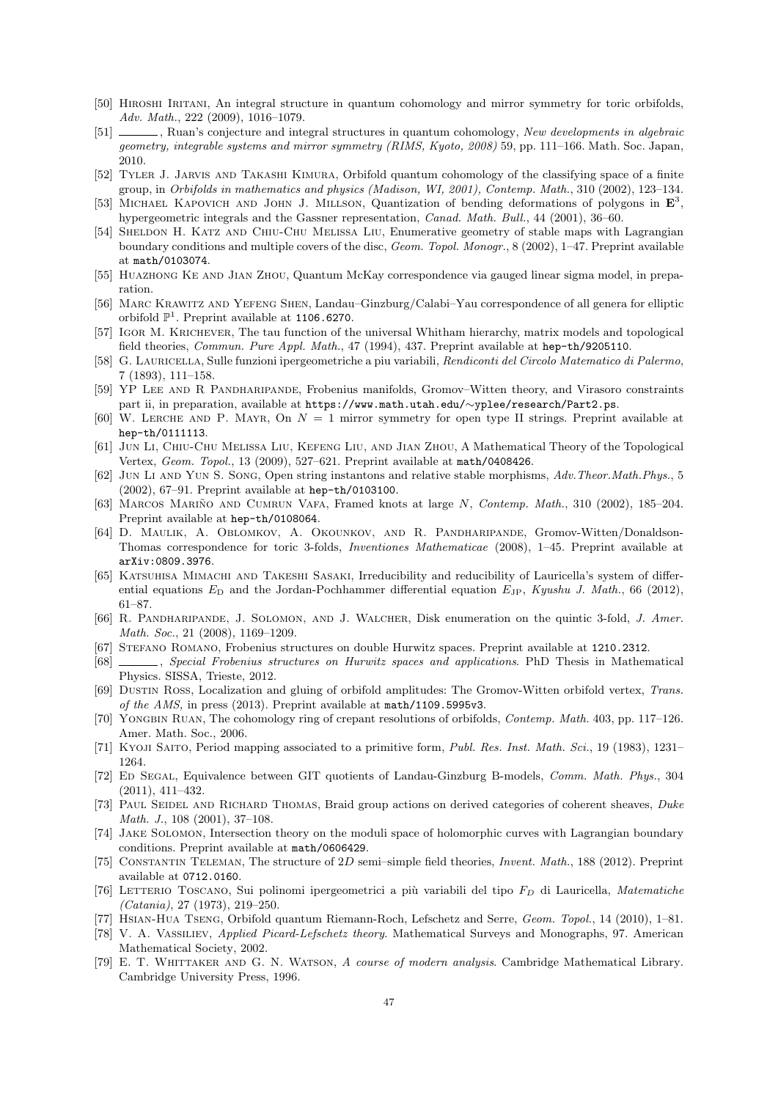- <span id="page-46-10"></span>[50] Hiroshi Iritani, An integral structure in quantum cohomology and mirror symmetry for toric orbifolds, Adv. Math., 222 (2009), 1016–1079.
- <span id="page-46-13"></span>[51] , Ruan's conjecture and integral structures in quantum cohomology, New developments in algebraic geometry, integrable systems and mirror symmetry (RIMS, Kyoto, 2008) 59, pp. 111–166. Math. Soc. Japan, 2010.
- <span id="page-46-26"></span>[52] Tyler J. Jarvis and Takashi Kimura, Orbifold quantum cohomology of the classifying space of a finite group, in Orbifolds in mathematics and physics (Madison, WI, 2001), Contemp. Math., 310 (2002), 123–134.
- <span id="page-46-22"></span>[53] MICHAEL KAPOVICH AND JOHN J. MILLSON, Quantization of bending deformations of polygons in  $\mathbf{E}^3$ , hypergeometric integrals and the Gassner representation, Canad. Math. Bull., 44 (2001), 36–60.
- <span id="page-46-2"></span>[54] Sheldon H. Katz and Chiu-Chu Melissa Liu, Enumerative geometry of stable maps with Lagrangian boundary conditions and multiple covers of the disc, Geom. Topol. Monogr., 8 (2002), 1–47. Preprint available at math/0103074.
- <span id="page-46-11"></span>[55] Huazhong Ke and Jian Zhou, Quantum McKay correspondence via gauged linear sigma model, in preparation.
- <span id="page-46-12"></span>[56] Marc Krawitz and Yefeng Shen, Landau–Ginzburg/Calabi–Yau correspondence of all genera for elliptic orbifold  $\mathbb{P}^1$ . Preprint available at 1106.6270.
- <span id="page-46-17"></span>[57] Igor M. Krichever, The tau function of the universal Whitham hierarchy, matrix models and topological field theories, Commun. Pure Appl. Math., 47 (1994), 437. Preprint available at hep-th/9205110.
- <span id="page-46-21"></span>[58] G. Lauricella, Sulle funzioni ipergeometriche a piu variabili, Rendiconti del Circolo Matematico di Palermo, 7 (1893), 111–158.
- <span id="page-46-28"></span>[59] YP LEE AND R PANDHARIPANDE, Frobenius manifolds, Gromov–Witten theory, and Virasoro constraints part ii, in preparation, available at https://www.math.utah.edu/∼yplee/research/Part2.ps.
- <span id="page-46-5"></span>[60] W. LERCHE AND P. MAYR, On  $N = 1$  mirror symmetry for open type II strings. Preprint available at hep-th/0111113.
- <span id="page-46-7"></span>[61] Jun Li, Chiu-Chu Melissa Liu, Kefeng Liu, and Jian Zhou, A Mathematical Theory of the Topological Vertex, Geom. Topol., 13 (2009), 527–621. Preprint available at math/0408426.
- <span id="page-46-4"></span>[62] Jun Li and Yun S. Song, Open string instantons and relative stable morphisms, Adv.Theor.Math.Phys., 5 (2002), 67–91. Preprint available at hep-th/0103100.
- <span id="page-46-6"></span>[63] MARCOS MARIÑO AND CUMRUN VAFA, Framed knots at large N, Contemp. Math., 310 (2002), 185–204. Preprint available at hep-th/0108064.
- <span id="page-46-8"></span>[64] D. Maulik, A. Oblomkov, A. Okounkov, and R. Pandharipande, Gromov-Witten/Donaldson-Thomas correspondence for toric 3-folds, Inventiones Mathematicae (2008), 1–45. Preprint available at arXiv:0809.3976.
- <span id="page-46-23"></span>[65] KATSUHISA MIMACHI AND TAKESHI SASAKI, Irreducibility and reducibility of Lauricella's system of differential equations  $E_D$  and the Jordan-Pochhammer differential equation  $E_{JP}$ , Kyushu J. Math., 66 (2012), 61–87.
- <span id="page-46-0"></span>[66] R. PANDHARIPANDE, J. SOLOMON, AND J. WALCHER, Disk enumeration on the quintic 3-fold, J. Amer. Math. Soc., 21 (2008), 1169–1209.
- <span id="page-46-15"></span>[67] Stefano Romano, Frobenius structures on double Hurwitz spaces. Preprint available at 1210.2312.
- <span id="page-46-18"></span>[68] , Special Frobenius structures on Hurwitz spaces and applications. PhD Thesis in Mathematical Physics. SISSA, Trieste, 2012.
- <span id="page-46-3"></span>[69] Dustin Ross, Localization and gluing of orbifold amplitudes: The Gromov-Witten orbifold vertex, Trans. of the AMS, in press (2013). Preprint available at math/1109.5995v3.
- <span id="page-46-9"></span>[70] YONGBIN RUAN, The cohomology ring of crepant resolutions of orbifolds, *Contemp. Math.* 403, pp. 117–126. Amer. Math. Soc., 2006.
- <span id="page-46-16"></span>[71] Kyoji Saito, Period mapping associated to a primitive form, Publ. Res. Inst. Math. Sci., 19 (1983), 1231– 1264.
- <span id="page-46-14"></span>[72] ED SEGAL, Equivalence between GIT quotients of Landau-Ginzburg B-models, Comm. Math. Phys., 304 (2011), 411–432.
- <span id="page-46-24"></span>[73] PAUL SEIDEL AND RICHARD THOMAS, Braid group actions on derived categories of coherent sheaves, Duke Math. J., 108 (2001), 37–108.
- <span id="page-46-1"></span>[74] Jake Solomon, Intersection theory on the moduli space of holomorphic curves with Lagrangian boundary conditions. Preprint available at math/0606429.
- <span id="page-46-25"></span>[75] CONSTANTIN TELEMAN, The structure of 2D semi–simple field theories, *Invent. Math.*, 188 (2012). Preprint available at 0712.0160.
- <span id="page-46-29"></span>[76] LETTERIO TOSCANO, Sui polinomi ipergeometrici a più variabili del tipo  $F_D$  di Lauricella, Matematiche (Catania), 27 (1973), 219–250.
- <span id="page-46-27"></span>[77] Hsian-Hua Tseng, Orbifold quantum Riemann-Roch, Lefschetz and Serre, Geom. Topol., 14 (2010), 1–81.
- <span id="page-46-19"></span>[78] V. A. Vassiliev, Applied Picard-Lefschetz theory. Mathematical Surveys and Monographs, 97. American Mathematical Society, 2002.
- <span id="page-46-20"></span>[79] E. T. WHITTAKER AND G. N. WATSON, A course of modern analysis. Cambridge Mathematical Library. Cambridge University Press, 1996.